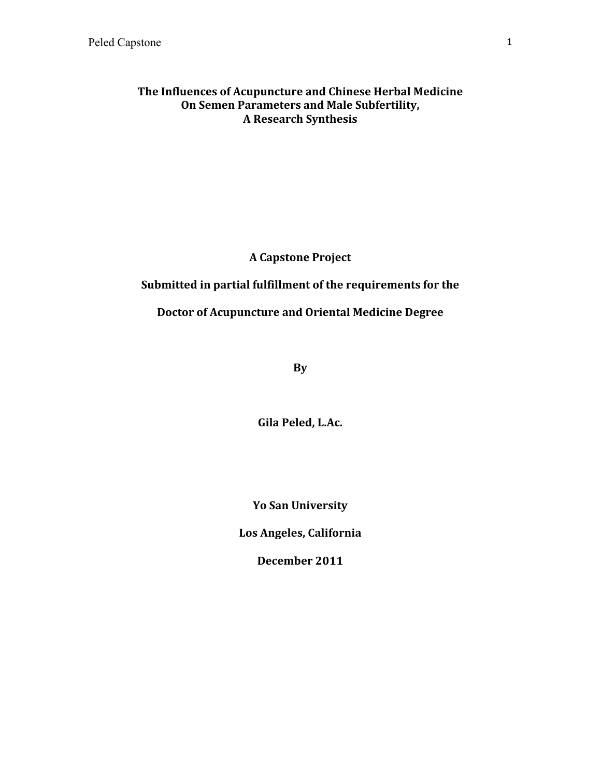## The Influences of Acupuncture and Chinese Herbal Medicine **On Semen Parameters and Male Subfertility, A Research Synthesis**

**A Capstone Project**

## Submitted in partial fulfillment of the requirements for the

## **Doctor of Acupuncture and Oriental Medicine Degree**

**By**

Gila Peled, L.Ac.

**Yo San University**

**Los Angeles, California**

**December 2011**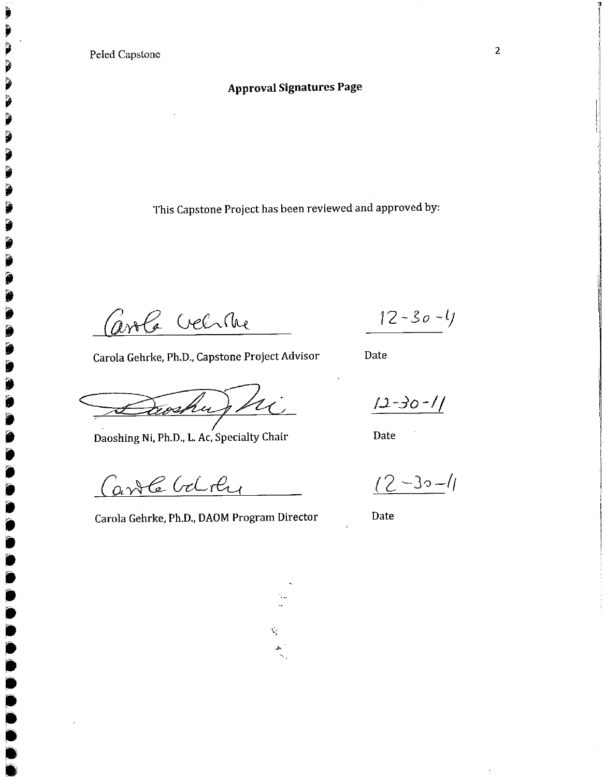Peled Capstone

D

þ þ þ **D** þ þ

₿

## **Approval Signatures Page**

This Capstone Project has been reviewed and approved by:

Carola Velike

Carola Gehrke, Ph.D., Capstone Project Advisor

Toshu

Daoshing Ni, Ph.D., L. Ac, Specialty Chair

Carole Colory

Carola Gehrke, Ph.D., DAOM Program Director

 $12 - 30 - 11$ 

 $12 - 30 - 41$ 

Date

Date

 $(2-30-1)$ 

Date

 $\overline{2}$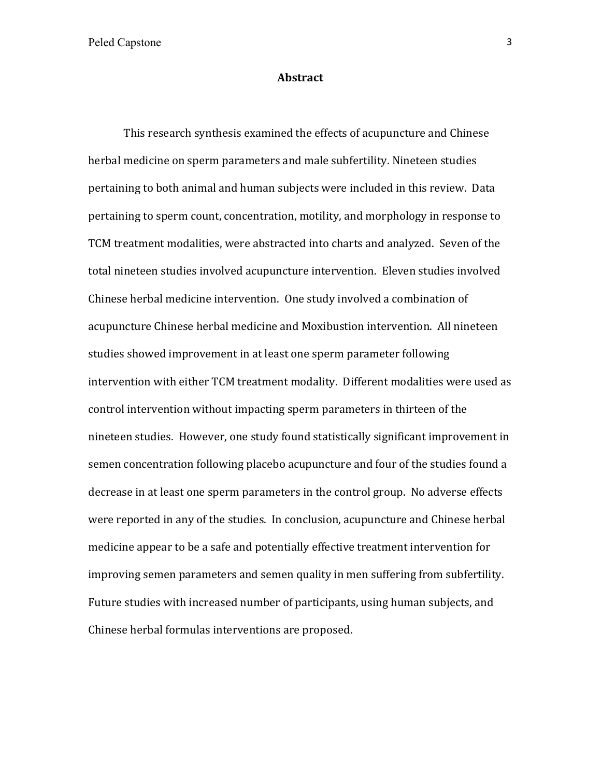#### **Abstract**

This research synthesis examined the effects of acupuncture and Chinese herbal medicine on sperm parameters and male subfertility. Nineteen studies pertaining to both animal and human subjects were included in this review. Data pertaining to sperm count, concentration, motility, and morphology in response to TCM treatment modalities, were abstracted into charts and analyzed. Seven of the total nineteen studies involved acupuncture intervention. Eleven studies involved Chinese herbal medicine intervention. One study involved a combination of acupuncture Chinese herbal medicine and Moxibustion intervention. All nineteen studies showed improvement in at least one sperm parameter following intervention with either TCM treatment modality. Different modalities were used as control intervention without impacting sperm parameters in thirteen of the nineteen studies. However, one study found statistically significant improvement in semen concentration following placebo acupuncture and four of the studies found a decrease in at least one sperm parameters in the control group. No adverse effects were reported in any of the studies. In conclusion, acupuncture and Chinese herbal medicine appear to be a safe and potentially effective treatment intervention for improving semen parameters and semen quality in men suffering from subfertility. Future studies with increased number of participants, using human subjects, and Chinese herbal formulas interventions are proposed.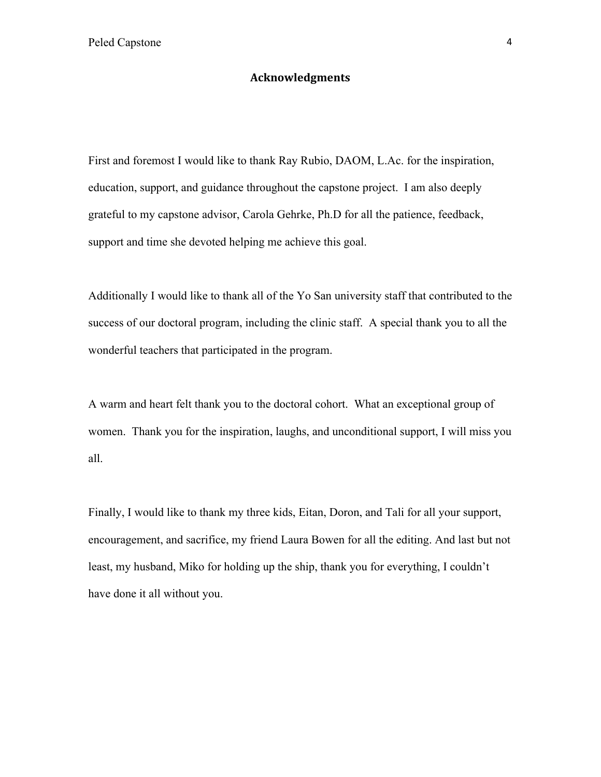#### **Acknowledgments**

First and foremost I would like to thank Ray Rubio, DAOM, L.Ac. for the inspiration, education, support, and guidance throughout the capstone project. I am also deeply grateful to my capstone advisor, Carola Gehrke, Ph.D for all the patience, feedback, support and time she devoted helping me achieve this goal.

Additionally I would like to thank all of the Yo San university staff that contributed to the success of our doctoral program, including the clinic staff. A special thank you to all the wonderful teachers that participated in the program.

A warm and heart felt thank you to the doctoral cohort. What an exceptional group of women. Thank you for the inspiration, laughs, and unconditional support, I will miss you all.

Finally, I would like to thank my three kids, Eitan, Doron, and Tali for all your support, encouragement, and sacrifice, my friend Laura Bowen for all the editing. And last but not least, my husband, Miko for holding up the ship, thank you for everything, I couldn't have done it all without you.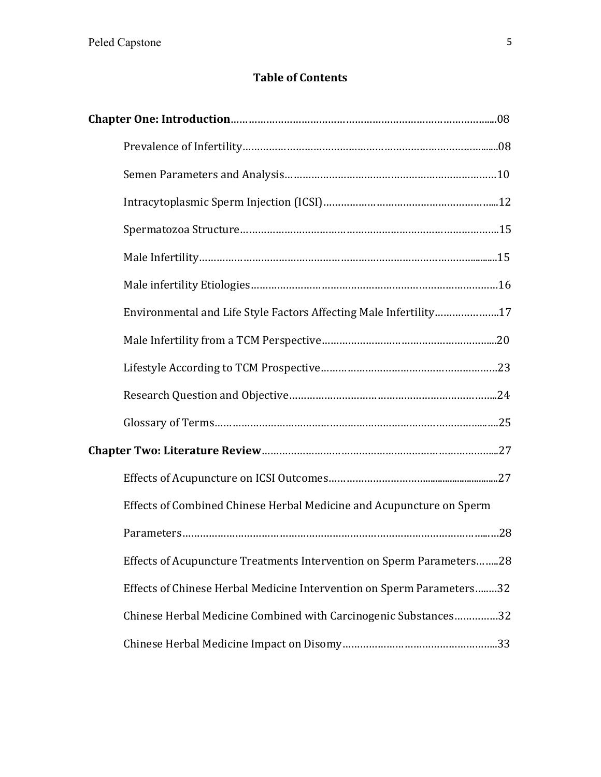# **Table of Contents**

| Environmental and Life Style Factors Affecting Male Infertility17     |  |
|-----------------------------------------------------------------------|--|
|                                                                       |  |
|                                                                       |  |
|                                                                       |  |
|                                                                       |  |
|                                                                       |  |
|                                                                       |  |
| Effects of Combined Chinese Herbal Medicine and Acupuncture on Sperm  |  |
|                                                                       |  |
| Effects of Acupuncture Treatments Intervention on Sperm Parameters28  |  |
| Effects of Chinese Herbal Medicine Intervention on Sperm Parameters32 |  |
| Chinese Herbal Medicine Combined with Carcinogenic Substances32       |  |
|                                                                       |  |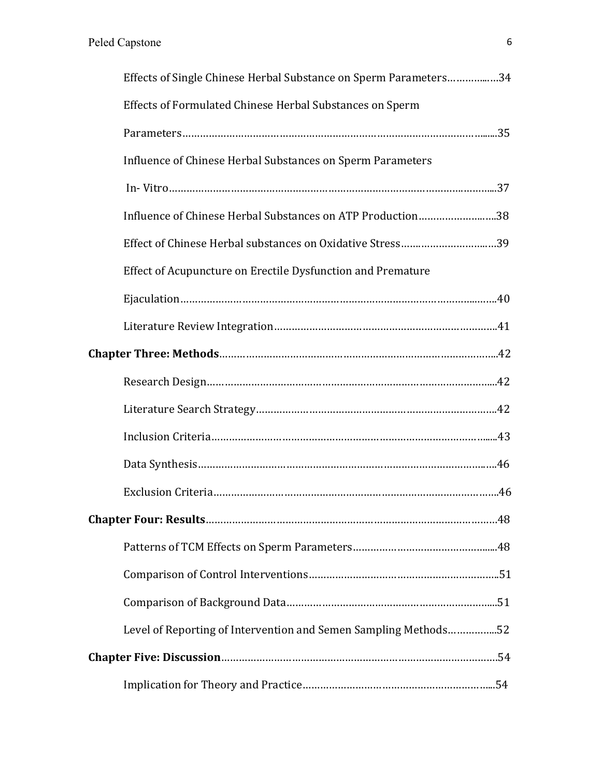|  | Effects of Single Chinese Herbal Substance on Sperm Parameters34 |  |
|--|------------------------------------------------------------------|--|
|  | Effects of Formulated Chinese Herbal Substances on Sperm         |  |
|  |                                                                  |  |
|  | Influence of Chinese Herbal Substances on Sperm Parameters       |  |
|  |                                                                  |  |
|  | Influence of Chinese Herbal Substances on ATP Production38       |  |
|  | Effect of Chinese Herbal substances on Oxidative Stress39        |  |
|  | Effect of Acupuncture on Erectile Dysfunction and Premature      |  |
|  |                                                                  |  |
|  |                                                                  |  |
|  |                                                                  |  |
|  |                                                                  |  |
|  |                                                                  |  |
|  |                                                                  |  |
|  |                                                                  |  |
|  |                                                                  |  |
|  |                                                                  |  |
|  |                                                                  |  |
|  |                                                                  |  |
|  |                                                                  |  |
|  | Level of Reporting of Intervention and Semen Sampling Methods52  |  |
|  |                                                                  |  |
|  |                                                                  |  |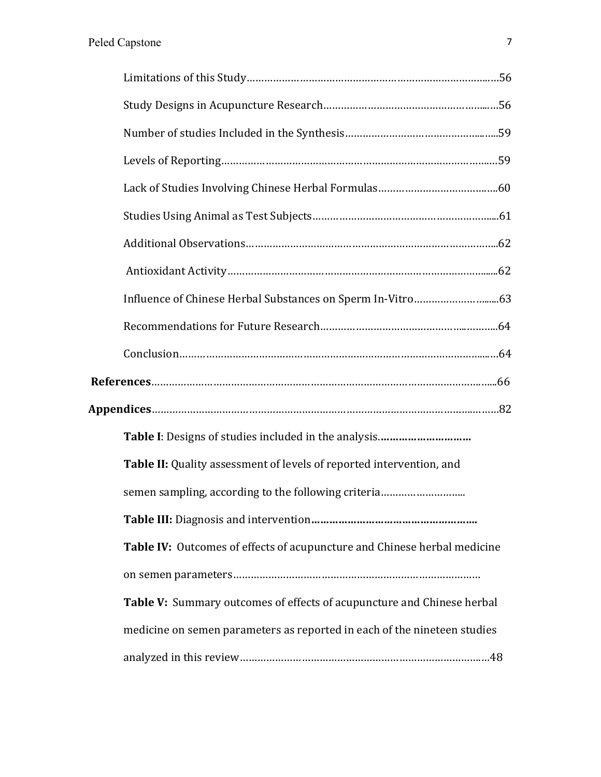| Table II: Quality assessment of levels of reported intervention, and     |  |  |
|--------------------------------------------------------------------------|--|--|
| semen sampling, according to the following criteria                      |  |  |
|                                                                          |  |  |
| Table IV: Outcomes of effects of acupuncture and Chinese herbal medicine |  |  |
|                                                                          |  |  |
| Table V: Summary outcomes of effects of acupuncture and Chinese herbal   |  |  |
|                                                                          |  |  |
| medicine on semen parameters as reported in each of the nineteen studies |  |  |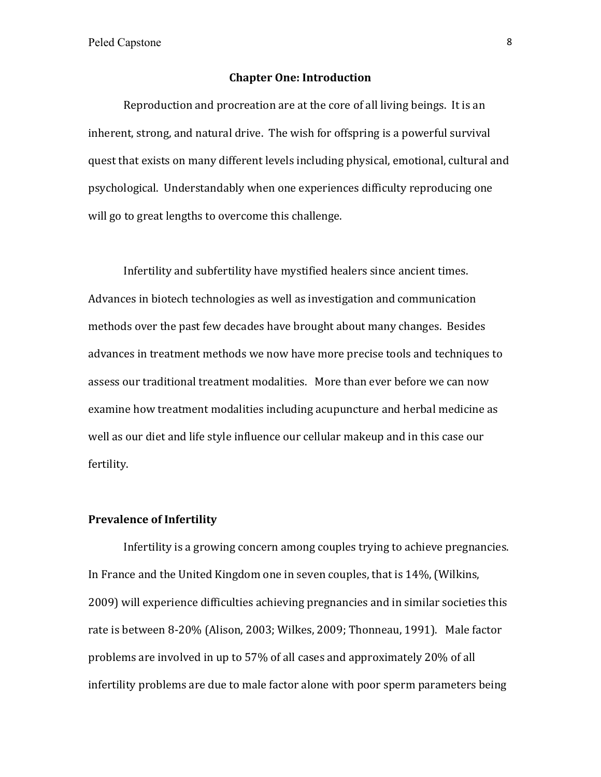#### **Chapter One: Introduction**

Reproduction and procreation are at the core of all living beings. It is an inherent, strong, and natural drive. The wish for offspring is a powerful survival quest that exists on many different levels including physical, emotional, cultural and psychological. Understandably when one experiences difficulty reproducing one will go to great lengths to overcome this challenge.

Infertility and subfertility have mystified healers since ancient times. Advances in biotech technologies as well as investigation and communication methods over the past few decades have brought about many changes. Besides advances in treatment methods we now have more precise tools and techniques to assess our traditional treatment modalities. More than ever before we can now examine how treatment modalities including acupuncture and herbal medicine as well as our diet and life style influence our cellular makeup and in this case our fertility. 

## **Prevalence of Infertility**

Infertility is a growing concern among couples trying to achieve pregnancies. In France and the United Kingdom one in seven couples, that is 14%, (Wilkins, 2009) will experience difficulties achieving pregnancies and in similar societies this rate is between 8-20% (Alison, 2003; Wilkes, 2009; Thonneau, 1991). Male factor problems are involved in up to 57% of all cases and approximately 20% of all infertility problems are due to male factor alone with poor sperm parameters being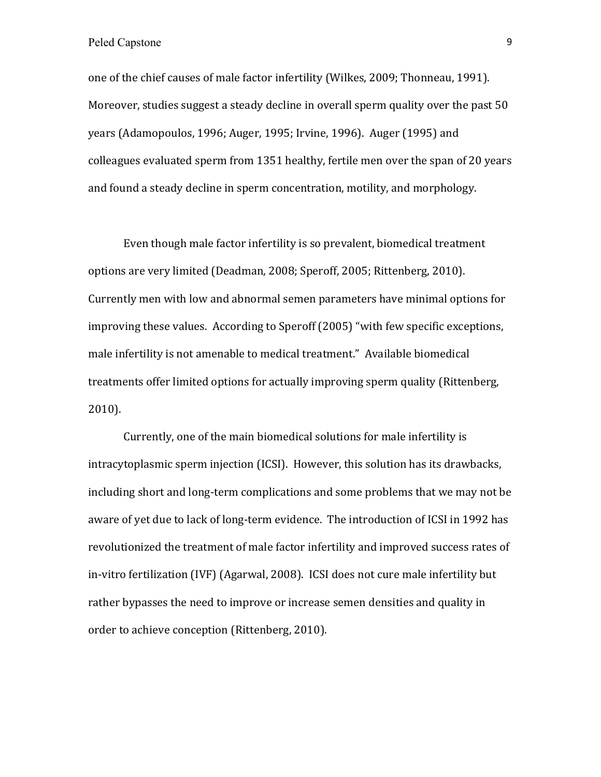#### Peled Capstone 9

one of the chief causes of male factor infertility (Wilkes, 2009; Thonneau, 1991). Moreover, studies suggest a steady decline in overall sperm quality over the past 50 years (Adamopoulos, 1996; Auger, 1995; Irvine, 1996). Auger (1995) and colleagues evaluated sperm from 1351 healthy, fertile men over the span of 20 years and found a steady decline in sperm concentration, motility, and morphology.

Even though male factor infertility is so prevalent, biomedical treatment options are very limited (Deadman, 2008; Speroff, 2005; Rittenberg, 2010). Currently men with low and abnormal semen parameters have minimal options for improving these values. According to Speroff (2005) "with few specific exceptions, male infertility is not amenable to medical treatment." Available biomedical treatments offer limited options for actually improving sperm quality (Rittenberg, 2010). 

Currently, one of the main biomedical solutions for male infertility is intracytoplasmic sperm injection (ICSI). However, this solution has its drawbacks, including short and long-term complications and some problems that we may not be aware of yet due to lack of long-term evidence. The introduction of ICSI in 1992 has revolutionized the treatment of male factor infertility and improved success rates of in-vitro fertilization (IVF) (Agarwal, 2008). ICSI does not cure male infertility but rather bypasses the need to improve or increase semen densities and quality in order to achieve conception (Rittenberg, 2010).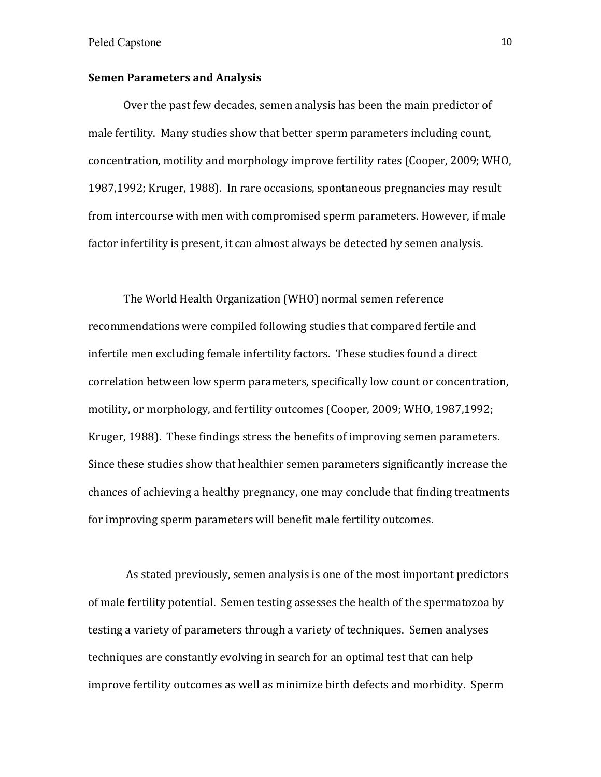## **Semen Parameters and Analysis**

Over the past few decades, semen analysis has been the main predictor of male fertility. Many studies show that better sperm parameters including count, concentration, motility and morphology improve fertility rates (Cooper, 2009; WHO, 1987,1992; Kruger, 1988). In rare occasions, spontaneous pregnancies may result from intercourse with men with compromised sperm parameters. However, if male factor infertility is present, it can almost always be detected by semen analysis.

The World Health Organization (WHO) normal semen reference recommendations were compiled following studies that compared fertile and infertile men excluding female infertility factors. These studies found a direct correlation between low sperm parameters, specifically low count or concentration, motility, or morphology, and fertility outcomes (Cooper, 2009; WHO, 1987,1992; Kruger, 1988). These findings stress the benefits of improving semen parameters. Since these studies show that healthier semen parameters significantly increase the chances of achieving a healthy pregnancy, one may conclude that finding treatments for improving sperm parameters will benefit male fertility outcomes.

As stated previously, semen analysis is one of the most important predictors of male fertility potential. Semen testing assesses the health of the spermatozoa by testing a variety of parameters through a variety of techniques. Semen analyses techniques are constantly evolving in search for an optimal test that can help improve fertility outcomes as well as minimize birth defects and morbidity. Sperm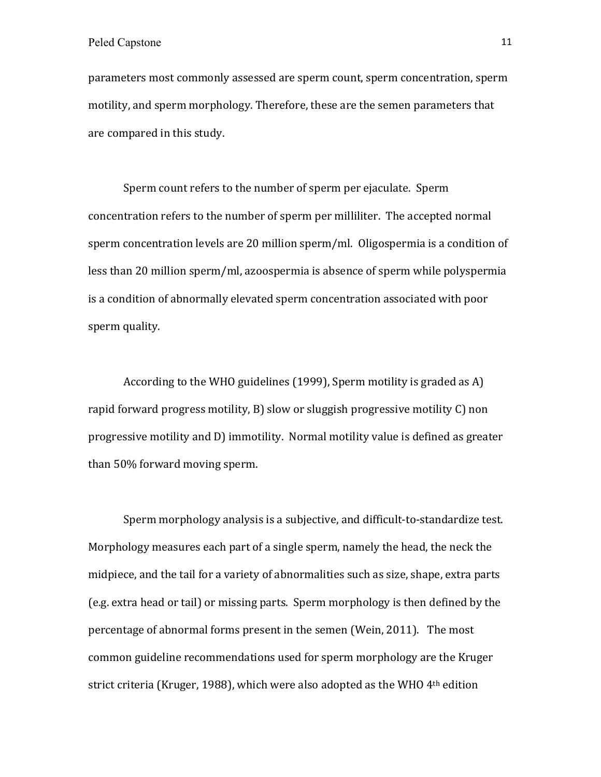parameters most commonly assessed are sperm count, sperm concentration, sperm motility, and sperm morphology. Therefore, these are the semen parameters that are compared in this study.

Sperm count refers to the number of sperm per ejaculate. Sperm concentration refers to the number of sperm per milliliter. The accepted normal sperm concentration levels are 20 million sperm/ml. Oligospermia is a condition of less than 20 million sperm/ml, azoospermia is absence of sperm while polyspermia is a condition of abnormally elevated sperm concentration associated with poor sperm quality.

According to the WHO guidelines  $(1999)$ , Sperm motility is graded as A) rapid forward progress motility, B) slow or sluggish progressive motility C) non progressive motility and D) immotility. Normal motility value is defined as greater than 50% forward moving sperm.

Sperm morphology analysis is a subjective, and difficult-to-standardize test. Morphology measures each part of a single sperm, namely the head, the neck the midpiece, and the tail for a variety of abnormalities such as size, shape, extra parts (e.g. extra head or tail) or missing parts. Sperm morphology is then defined by the percentage of abnormal forms present in the semen (Wein, 2011). The most common guideline recommendations used for sperm morphology are the Kruger strict criteria (Kruger, 1988), which were also adopted as the WHO  $4<sup>th</sup>$  edition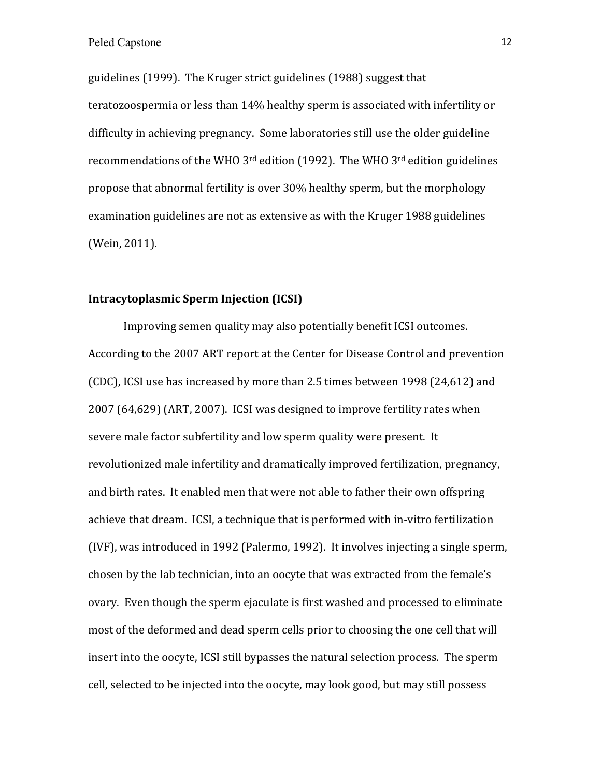guidelines (1999). The Kruger strict guidelines (1988) suggest that teratozoospermia or less than 14% healthy sperm is associated with infertility or difficulty in achieving pregnancy. Some laboratories still use the older guideline recommendations of the WHO  $3<sup>rd</sup>$  edition (1992). The WHO  $3<sup>rd</sup>$  edition guidelines propose that abnormal fertility is over 30% healthy sperm, but the morphology examination guidelines are not as extensive as with the Kruger 1988 guidelines (Wein, 2011).

## **Intracytoplasmic Sperm Injection (ICSI)**

Improving semen quality may also potentially benefit ICSI outcomes. According to the 2007 ART report at the Center for Disease Control and prevention (CDC), ICSI use has increased by more than 2.5 times between 1998 (24,612) and 2007 (64,629) (ART, 2007). ICSI was designed to improve fertility rates when severe male factor subfertility and low sperm quality were present. It revolutionized male infertility and dramatically improved fertilization, pregnancy, and birth rates. It enabled men that were not able to father their own offspring achieve that dream. ICSI, a technique that is performed with in-vitro fertilization  $(IVF)$ , was introduced in 1992 (Palermo, 1992). It involves injecting a single sperm, chosen by the lab technician, into an oocyte that was extracted from the female's ovary. Even though the sperm ejaculate is first washed and processed to eliminate most of the deformed and dead sperm cells prior to choosing the one cell that will insert into the oocyte, ICSI still bypasses the natural selection process. The sperm cell, selected to be injected into the oocyte, may look good, but may still possess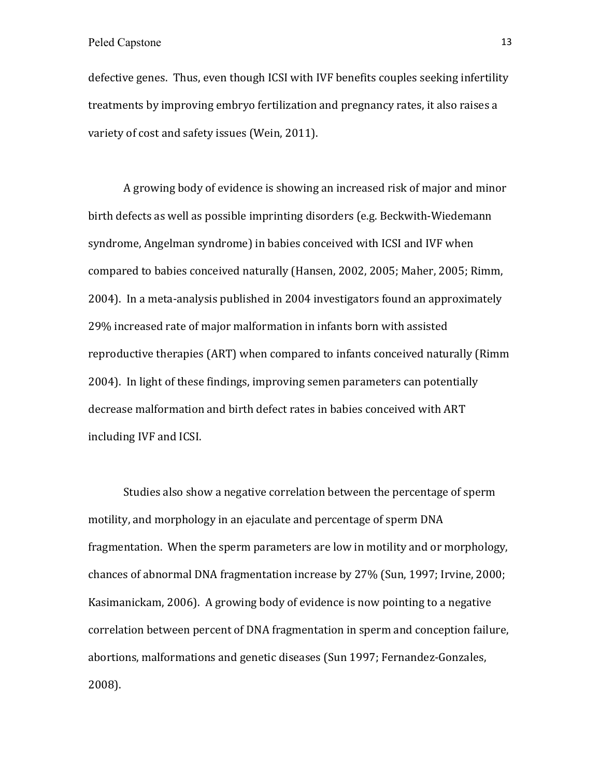defective genes. Thus, even though ICSI with IVF benefits couples seeking infertility treatments by improving embryo fertilization and pregnancy rates, it also raises a variety of cost and safety issues (Wein, 2011).

A growing body of evidence is showing an increased risk of major and minor birth defects as well as possible imprinting disorders (e.g. Beckwith-Wiedemann syndrome, Angelman syndrome) in babies conceived with ICSI and IVF when compared to babies conceived naturally (Hansen, 2002, 2005; Maher, 2005; Rimm, 2004). In a meta-analysis published in 2004 investigators found an approximately 29% increased rate of major malformation in infants born with assisted reproductive therapies (ART) when compared to infants conceived naturally (Rimm 2004). In light of these findings, improving semen parameters can potentially decrease malformation and birth defect rates in babies conceived with ART including IVF and ICSI.

Studies also show a negative correlation between the percentage of sperm motility, and morphology in an ejaculate and percentage of sperm DNA fragmentation. When the sperm parameters are low in motility and or morphology, chances of abnormal DNA fragmentation increase by 27% (Sun, 1997; Irvine, 2000; Kasimanickam, 2006). A growing body of evidence is now pointing to a negative correlation between percent of DNA fragmentation in sperm and conception failure, abortions, malformations and genetic diseases (Sun 1997; Fernandez-Gonzales, 2008).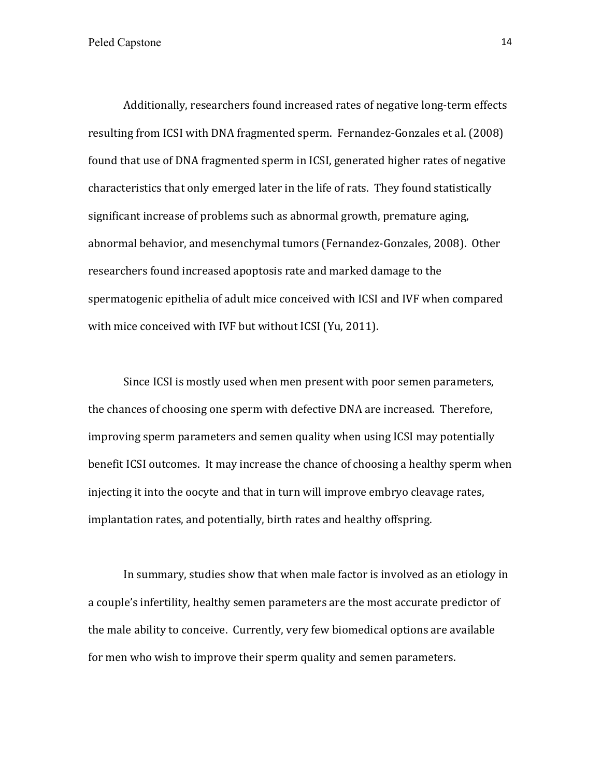Additionally, researchers found increased rates of negative long-term effects resulting from ICSI with DNA fragmented sperm. Fernandez-Gonzales et al. (2008) found that use of DNA fragmented sperm in ICSI, generated higher rates of negative characteristics that only emerged later in the life of rats. They found statistically significant increase of problems such as abnormal growth, premature aging, abnormal behavior, and mesenchymal tumors (Fernandez-Gonzales, 2008). Other researchers found increased apoptosis rate and marked damage to the spermatogenic epithelia of adult mice conceived with ICSI and IVF when compared with mice conceived with IVF but without ICSI (Yu, 2011).

Since ICSI is mostly used when men present with poor semen parameters, the chances of choosing one sperm with defective DNA are increased. Therefore, improving sperm parameters and semen quality when using ICSI may potentially benefit ICSI outcomes. It may increase the chance of choosing a healthy sperm when injecting it into the oocyte and that in turn will improve embryo cleavage rates, implantation rates, and potentially, birth rates and healthy offspring.

In summary, studies show that when male factor is involved as an etiology in a couple's infertility, healthy semen parameters are the most accurate predictor of the male ability to conceive. Currently, very few biomedical options are available for men who wish to improve their sperm quality and semen parameters.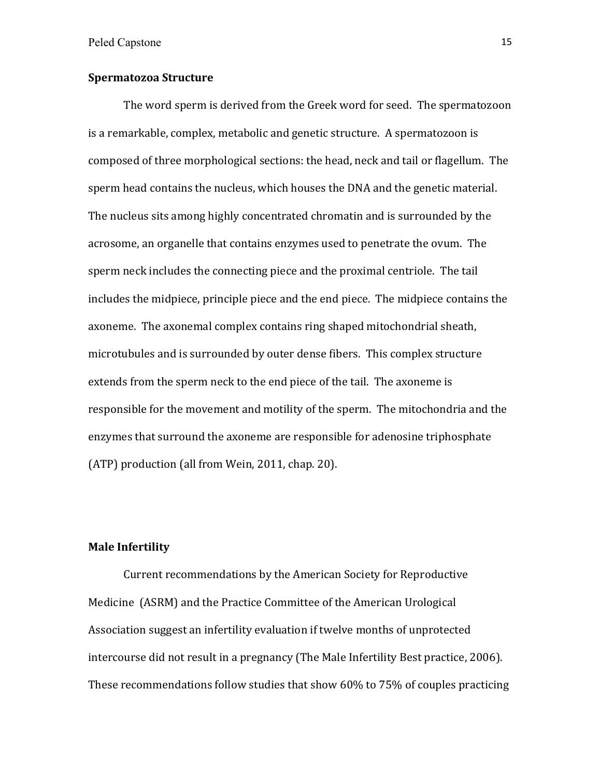## **Spermatozoa Structure**

The word sperm is derived from the Greek word for seed. The spermatozoon is a remarkable, complex, metabolic and genetic structure. A spermatozoon is composed of three morphological sections: the head, neck and tail or flagellum. The sperm head contains the nucleus, which houses the DNA and the genetic material. The nucleus sits among highly concentrated chromatin and is surrounded by the acrosome, an organelle that contains enzymes used to penetrate the ovum. The sperm neck includes the connecting piece and the proximal centriole. The tail includes the midpiece, principle piece and the end piece. The midpiece contains the axoneme. The axonemal complex contains ring shaped mitochondrial sheath, microtubules and is surrounded by outer dense fibers. This complex structure extends from the sperm neck to the end piece of the tail. The axoneme is responsible for the movement and motility of the sperm. The mitochondria and the enzymes that surround the axoneme are responsible for adenosine triphosphate  $(ATP)$  production  $\left[\text{all from Wein, } 2011, \text{chap. } 20\right]$ .

## **Male Infertility**

Current recommendations by the American Society for Reproductive Medicine (ASRM) and the Practice Committee of the American Urological Association suggest an infertility evaluation if twelve months of unprotected intercourse did not result in a pregnancy (The Male Infertility Best practice, 2006). These recommendations follow studies that show  $60\%$  to  $75\%$  of couples practicing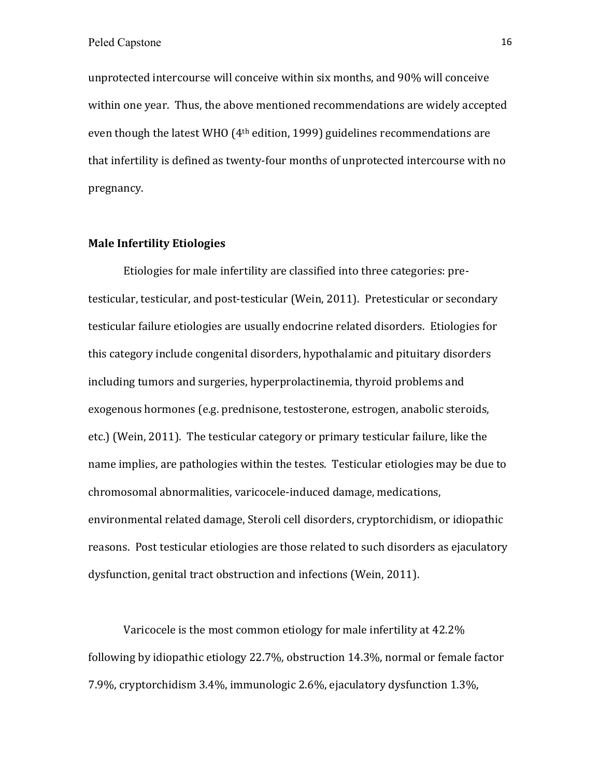unprotected intercourse will conceive within six months, and 90% will conceive within one year. Thus, the above mentioned recommendations are widely accepted even though the latest WHO  $(4<sup>th</sup>$  edition, 1999) guidelines recommendations are that infertility is defined as twenty-four months of unprotected intercourse with no pregnancy. 

## **Male Infertility Etiologies**

Etiologies for male infertility are classified into three categories: pretesticular, testicular, and post-testicular (Wein, 2011). Pretesticular or secondary testicular failure etiologies are usually endocrine related disorders. Etiologies for this category include congenital disorders, hypothalamic and pituitary disorders including tumors and surgeries, hyperprolactinemia, thyroid problems and exogenous hormones (e.g. prednisone, testosterone, estrogen, anabolic steroids, etc.) (Wein, 2011). The testicular category or primary testicular failure, like the name implies, are pathologies within the testes. Testicular etiologies may be due to chromosomal abnormalities, varicocele-induced damage, medications, environmental related damage, Steroli cell disorders, cryptorchidism, or idiopathic reasons. Post testicular etiologies are those related to such disorders as ejaculatory dysfunction, genital tract obstruction and infections (Wein, 2011).

Varicocele is the most common etiology for male infertility at 42.2% following by idiopathic etiology  $22.7\%$ , obstruction  $14.3\%$ , normal or female factor 7.9%, cryptorchidism 3.4%, immunologic 2.6%, ejaculatory dysfunction 1.3%,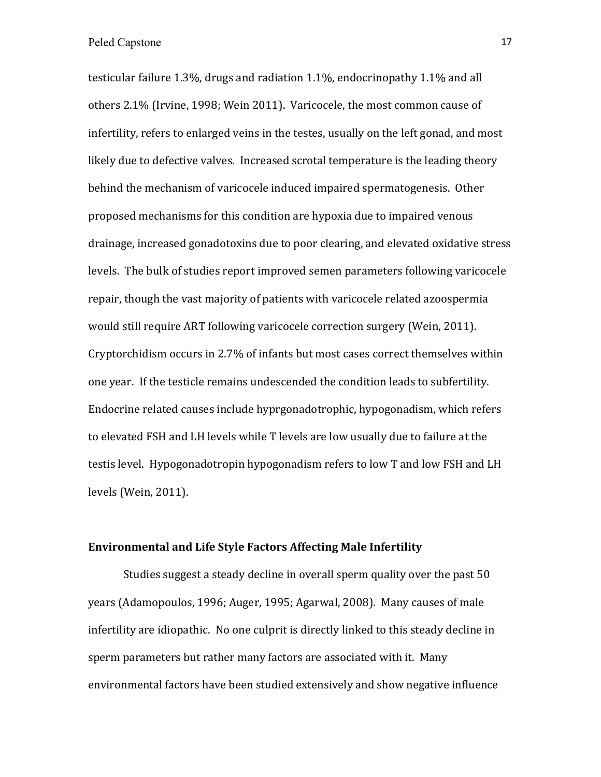testicular failure  $1.3\%$ , drugs and radiation  $1.1\%$ , endocrinopathy  $1.1\%$  and all others 2.1% (Irvine, 1998; Wein 2011). Varicocele, the most common cause of infertility, refers to enlarged veins in the testes, usually on the left gonad, and most likely due to defective valves. Increased scrotal temperature is the leading theory behind the mechanism of varicocele induced impaired spermatogenesis. Other proposed mechanisms for this condition are hypoxia due to impaired venous drainage, increased gonadotoxins due to poor clearing, and elevated oxidative stress levels. The bulk of studies report improved semen parameters following varicocele repair, though the vast majority of patients with varicocele related azoospermia would still require ART following varicocele correction surgery (Wein, 2011). Cryptorchidism occurs in 2.7% of infants but most cases correct themselves within one year. If the testicle remains undescended the condition leads to subfertility. Endocrine related causes include hyprgonadotrophic, hypogonadism, which refers to elevated FSH and LH levels while T levels are low usually due to failure at the testis level. Hypogonadotropin hypogonadism refers to low T and low FSH and LH levels (Wein, 2011).

## **Environmental and Life Style Factors Affecting Male Infertility**

Studies suggest a steady decline in overall sperm quality over the past 50 years (Adamopoulos, 1996; Auger, 1995; Agarwal, 2008). Many causes of male infertility are idiopathic. No one culprit is directly linked to this steady decline in sperm parameters but rather many factors are associated with it. Many environmental factors have been studied extensively and show negative influence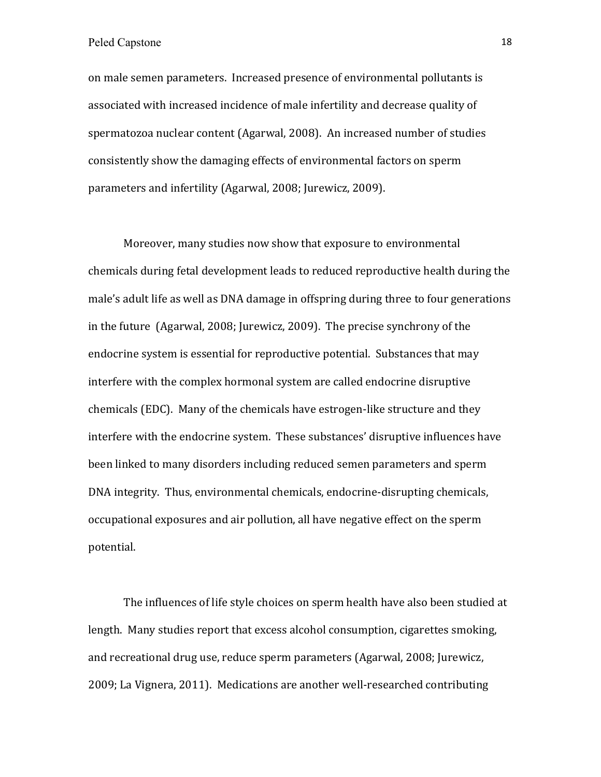#### Peled Capstone 18

on male semen parameters. Increased presence of environmental pollutants is associated with increased incidence of male infertility and decrease quality of spermatozoa nuclear content (Agarwal, 2008). An increased number of studies consistently show the damaging effects of environmental factors on sperm parameters and infertility (Agarwal, 2008; Jurewicz, 2009).

Moreover, many studies now show that exposure to environmental chemicals during fetal development leads to reduced reproductive health during the male's adult life as well as DNA damage in offspring during three to four generations in the future (Agarwal, 2008; Jurewicz, 2009). The precise synchrony of the endocrine system is essential for reproductive potential. Substances that may interfere with the complex hormonal system are called endocrine disruptive chemicals (EDC). Many of the chemicals have estrogen-like structure and they interfere with the endocrine system. These substances' disruptive influences have been linked to many disorders including reduced semen parameters and sperm DNA integrity. Thus, environmental chemicals, endocrine-disrupting chemicals, occupational exposures and air pollution, all have negative effect on the sperm potential. 

The influences of life style choices on sperm health have also been studied at length. Many studies report that excess alcohol consumption, cigarettes smoking, and recreational drug use, reduce sperm parameters (Agarwal, 2008; Jurewicz, 2009; La Vignera, 2011). Medications are another well-researched contributing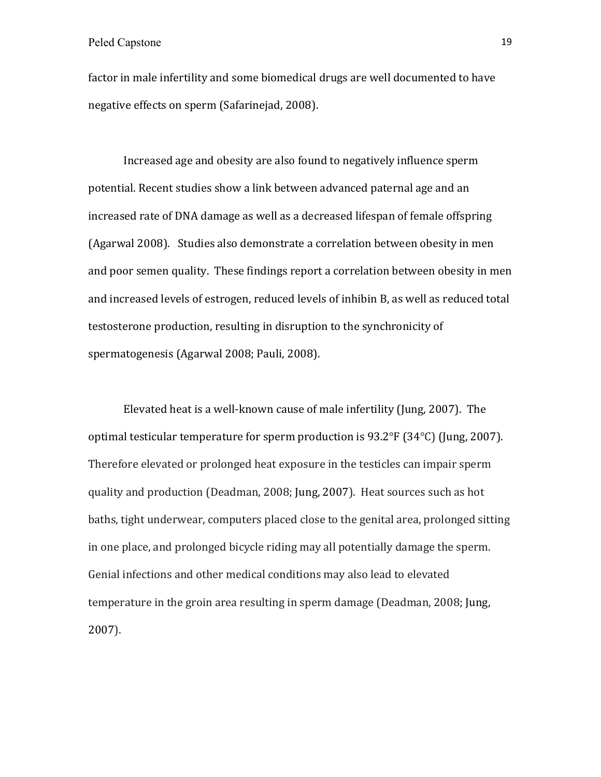factor in male infertility and some biomedical drugs are well documented to have negative effects on sperm (Safarinejad, 2008).

Increased age and obesity are also found to negatively influence sperm potential. Recent studies show a link between advanced paternal age and an increased rate of DNA damage as well as a decreased lifespan of female offspring (Agarwal 2008). Studies also demonstrate a correlation between obesity in men and poor semen quality. These findings report a correlation between obesity in men and increased levels of estrogen, reduced levels of inhibin B, as well as reduced total testosterone production, resulting in disruption to the synchronicity of spermatogenesis (Agarwal 2008; Pauli, 2008).

Elevated heat is a well-known cause of male infertility (Jung, 2007). The optimal testicular temperature for sperm production is  $93.2^{\circ}F(34^{\circ}C)$  (Jung, 2007). Therefore elevated or prolonged heat exposure in the testicles can impair sperm quality and production (Deadman, 2008; Jung, 2007). Heat sources such as hot baths, tight underwear, computers placed close to the genital area, prolonged sitting in one place, and prolonged bicycle riding may all potentially damage the sperm. Genial infections and other medical conditions may also lead to elevated temperature in the groin area resulting in sperm damage (Deadman, 2008; Jung, 2007).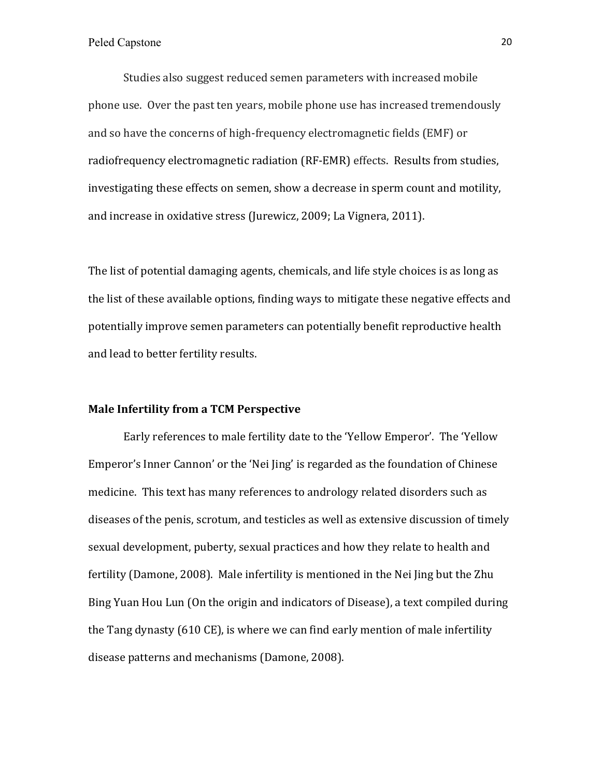Studies also suggest reduced semen parameters with increased mobile phone use. Over the past ten years, mobile phone use has increased tremendously and so have the concerns of high-frequency electromagnetic fields (EMF) or radiofrequency electromagnetic radiation (RF-EMR) effects. Results from studies, investigating these effects on semen, show a decrease in sperm count and motility, and increase in oxidative stress (Jurewicz, 2009; La Vignera, 2011).

The list of potential damaging agents, chemicals, and life style choices is as long as the list of these available options, finding ways to mitigate these negative effects and potentially improve semen parameters can potentially benefit reproductive health and lead to better fertility results.

#### **Male Infertility from a TCM Perspective**

Early references to male fertility date to the 'Yellow Emperor'. The 'Yellow Emperor's Inner Cannon' or the 'Nei Jing' is regarded as the foundation of Chinese medicine. This text has many references to andrology related disorders such as diseases of the penis, scrotum, and testicles as well as extensive discussion of timely sexual development, puberty, sexual practices and how they relate to health and fertility (Damone, 2008). Male infertility is mentioned in the Nei Jing but the Zhu Bing Yuan Hou Lun (On the origin and indicators of Disease), a text compiled during the Tang dynasty  $(610 \text{ CE})$ , is where we can find early mention of male infertility disease patterns and mechanisms (Damone, 2008).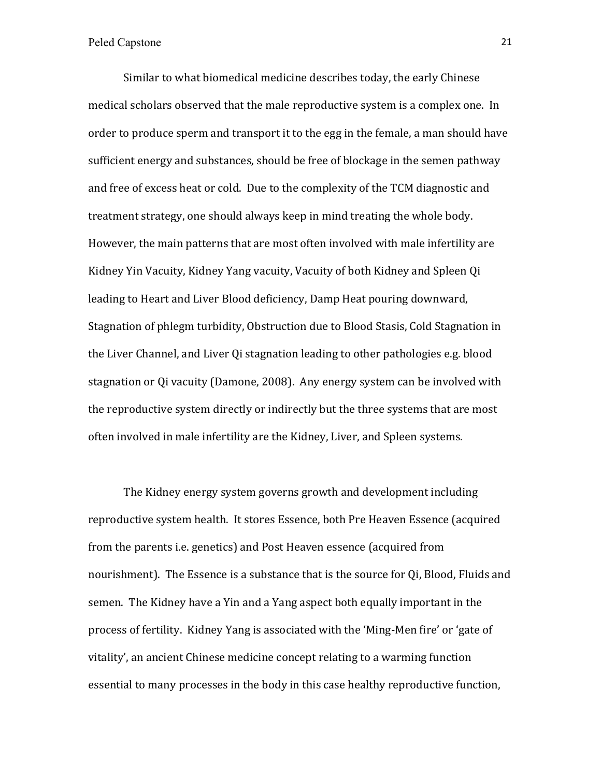Similar to what biomedical medicine describes today, the early Chinese medical scholars observed that the male reproductive system is a complex one. In order to produce sperm and transport it to the egg in the female, a man should have sufficient energy and substances, should be free of blockage in the semen pathway and free of excess heat or cold. Due to the complexity of the TCM diagnostic and treatment strategy, one should always keep in mind treating the whole body. However, the main patterns that are most often involved with male infertility are Kidney Yin Vacuity, Kidney Yang vacuity, Vacuity of both Kidney and Spleen Oi leading to Heart and Liver Blood deficiency, Damp Heat pouring downward, Stagnation of phlegm turbidity, Obstruction due to Blood Stasis, Cold Stagnation in the Liver Channel, and Liver Qi stagnation leading to other pathologies e.g. blood stagnation or Qi vacuity (Damone, 2008). Any energy system can be involved with the reproductive system directly or indirectly but the three systems that are most often involved in male infertility are the Kidney, Liver, and Spleen systems.

The Kidney energy system governs growth and development including reproductive system health. It stores Essence, both Pre Heaven Essence (acquired from the parents i.e. genetics) and Post Heaven essence (acquired from nourishment). The Essence is a substance that is the source for  $Qi$ , Blood, Fluids and semen. The Kidney have a Yin and a Yang aspect both equally important in the process of fertility. Kidney Yang is associated with the 'Ming-Men fire' or 'gate of vitality', an ancient Chinese medicine concept relating to a warming function essential to many processes in the body in this case healthy reproductive function,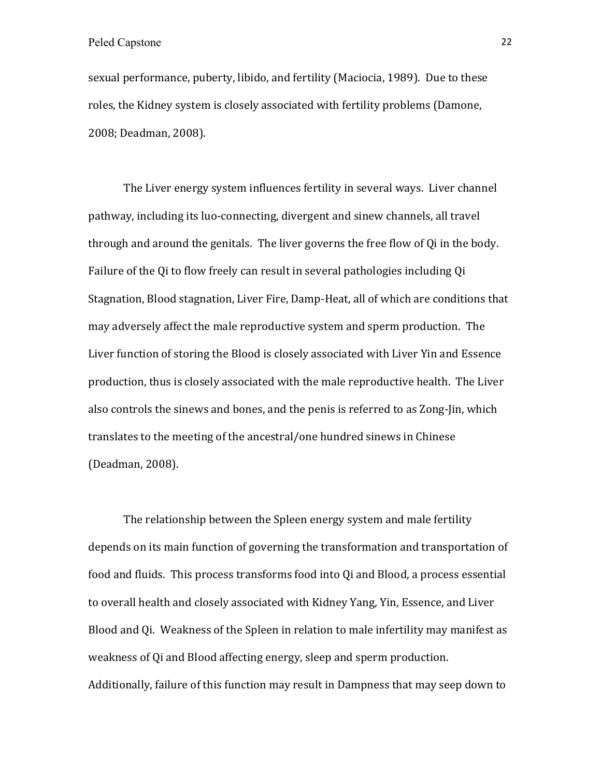sexual performance, puberty, libido, and fertility (Maciocia, 1989). Due to these roles, the Kidney system is closely associated with fertility problems (Damone, 2008; Deadman, 2008).

The Liver energy system influences fertility in several ways. Liver channel pathway, including its luo-connecting, divergent and sinew channels, all travel through and around the genitals. The liver governs the free flow of Qi in the body. Failure of the Oi to flow freely can result in several pathologies including Oi Stagnation, Blood stagnation, Liver Fire, Damp-Heat, all of which are conditions that may adversely affect the male reproductive system and sperm production. The Liver function of storing the Blood is closely associated with Liver Yin and Essence production, thus is closely associated with the male reproductive health. The Liver also controls the sinews and bones, and the penis is referred to as Zong-Jin, which translates to the meeting of the ancestral/one hundred sinews in Chinese (Deadman, 2008).

The relationship between the Spleen energy system and male fertility depends on its main function of governing the transformation and transportation of food and fluids. This process transforms food into Qi and Blood, a process essential to overall health and closely associated with Kidney Yang, Yin, Essence, and Liver Blood and Qi. Weakness of the Spleen in relation to male infertility may manifest as weakness of Qi and Blood affecting energy, sleep and sperm production. Additionally, failure of this function may result in Dampness that may seep down to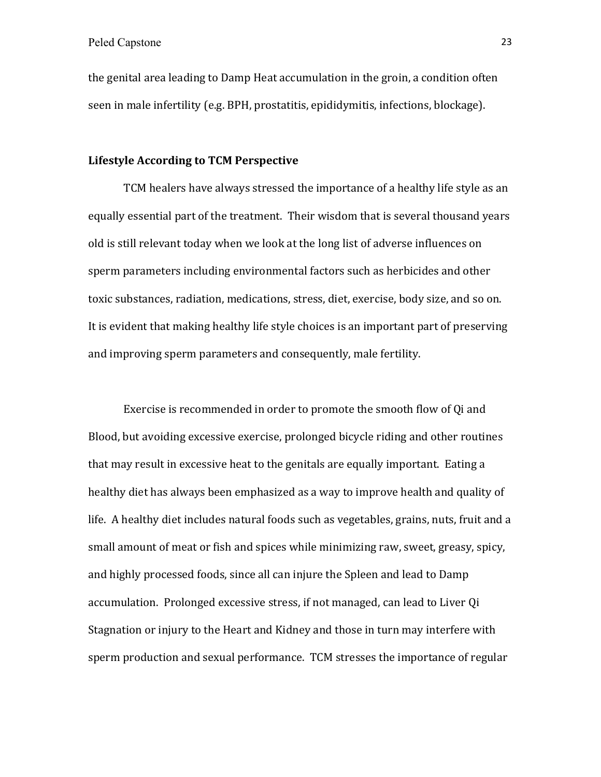the genital area leading to Damp Heat accumulation in the groin, a condition often seen in male infertility (e.g. BPH, prostatitis, epididymitis, infections, blockage).

#### **Lifestyle According to TCM Perspective**

TCM healers have always stressed the importance of a healthy life style as an equally essential part of the treatment. Their wisdom that is several thousand years old is still relevant today when we look at the long list of adverse influences on sperm parameters including environmental factors such as herbicides and other toxic substances, radiation, medications, stress, diet, exercise, body size, and so on. It is evident that making healthy life style choices is an important part of preserving and improving sperm parameters and consequently, male fertility.

Exercise is recommended in order to promote the smooth flow of Qi and Blood, but avoiding excessive exercise, prolonged bicycle riding and other routines that may result in excessive heat to the genitals are equally important. Eating a healthy diet has always been emphasized as a way to improve health and quality of life. A healthy diet includes natural foods such as vegetables, grains, nuts, fruit and a small amount of meat or fish and spices while minimizing raw, sweet, greasy, spicy, and highly processed foods, since all can injure the Spleen and lead to Damp accumulation. Prolonged excessive stress, if not managed, can lead to Liver Qi Stagnation or injury to the Heart and Kidney and those in turn may interfere with sperm production and sexual performance. TCM stresses the importance of regular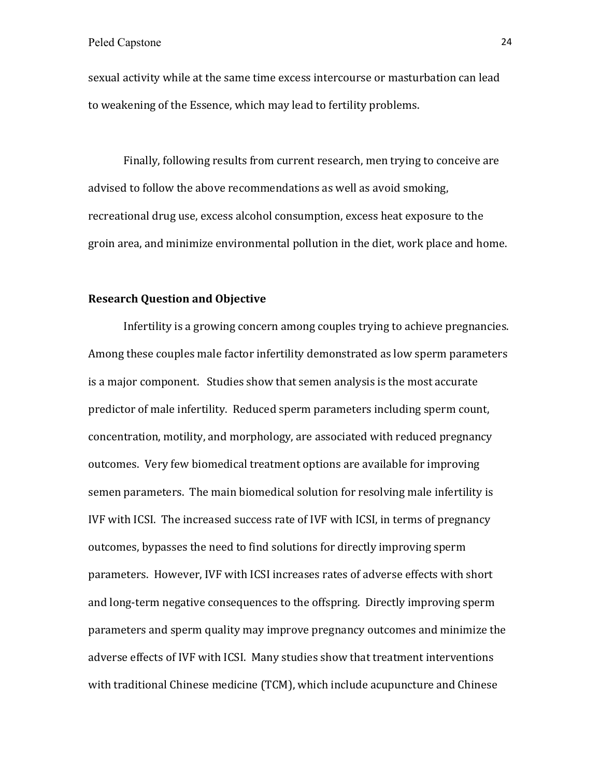sexual activity while at the same time excess intercourse or masturbation can lead to weakening of the Essence, which may lead to fertility problems.

Finally, following results from current research, men trying to conceive are advised to follow the above recommendations as well as avoid smoking, recreational drug use, excess alcohol consumption, excess heat exposure to the groin area, and minimize environmental pollution in the diet, work place and home.

## **Research Question and Objective**

Infertility is a growing concern among couples trying to achieve pregnancies. Among these couples male factor infertility demonstrated as low sperm parameters is a major component. Studies show that semen analysis is the most accurate predictor of male infertility. Reduced sperm parameters including sperm count, concentration, motility, and morphology, are associated with reduced pregnancy outcomes. Very few biomedical treatment options are available for improving semen parameters. The main biomedical solution for resolving male infertility is IVF with ICSI. The increased success rate of IVF with ICSI, in terms of pregnancy outcomes, bypasses the need to find solutions for directly improving sperm parameters. However, IVF with ICSI increases rates of adverse effects with short and long-term negative consequences to the offspring. Directly improving sperm parameters and sperm quality may improve pregnancy outcomes and minimize the adverse effects of IVF with ICSI. Many studies show that treatment interventions with traditional Chinese medicine (TCM), which include acupuncture and Chinese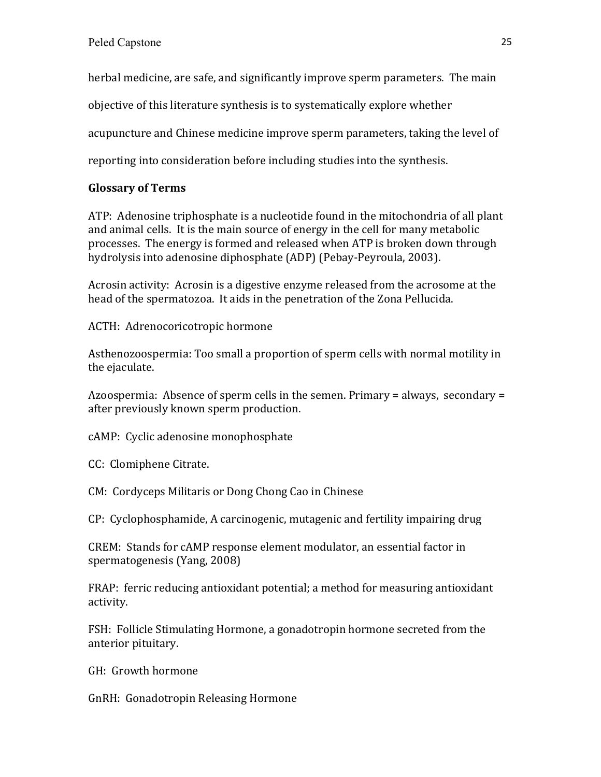herbal medicine, are safe, and significantly improve sperm parameters. The main

objective of this literature synthesis is to systematically explore whether

acupuncture and Chinese medicine improve sperm parameters, taking the level of

reporting into consideration before including studies into the synthesis.

# **Glossary of Terms**

ATP: Adenosine triphosphate is a nucleotide found in the mitochondria of all plant and animal cells. It is the main source of energy in the cell for many metabolic processes. The energy is formed and released when ATP is broken down through hydrolysis into adenosine diphosphate (ADP) (Pebay-Peyroula, 2003).

Acrosin activity: Acrosin is a digestive enzyme released from the acrosome at the head of the spermatozoa. It aids in the penetration of the Zona Pellucida.

ACTH: Adrenocoricotropic hormone

Asthenozoospermia: Too small a proportion of sperm cells with normal motility in the ejaculate.

Azoospermia: Absence of sperm cells in the semen. Primary = always, secondary = after previously known sperm production.

cAMP: Cyclic adenosine monophosphate

CC: Clomiphene Citrate.

CM: Cordyceps Militaris or Dong Chong Cao in Chinese

CP: Cyclophosphamide, A carcinogenic, mutagenic and fertility impairing drug

CREM: Stands for cAMP response element modulator, an essential factor in spermatogenesis (Yang, 2008)

FRAP: ferric reducing antioxidant potential; a method for measuring antioxidant activity.

FSH: Follicle Stimulating Hormone, a gonadotropin hormone secreted from the anterior pituitary.

GH: Growth hormone

GnRH: Gonadotropin Releasing Hormone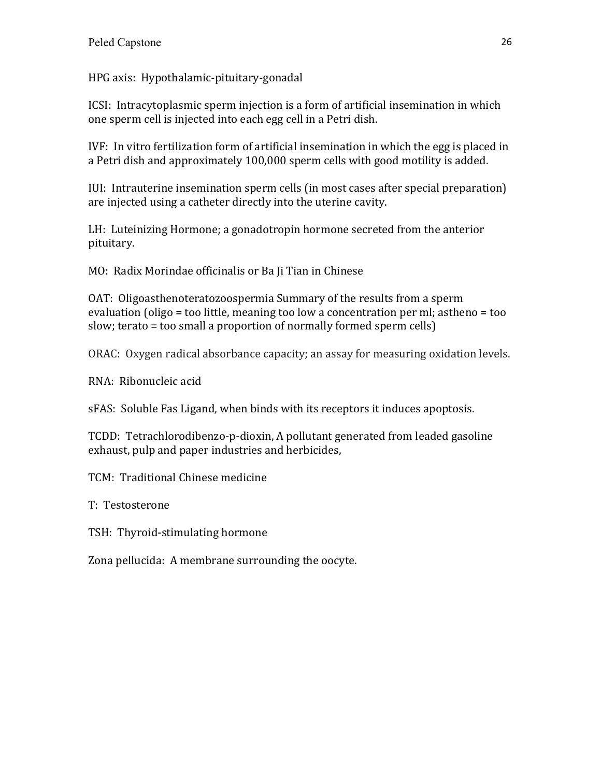HPG axis: Hypothalamic-pituitary-gonadal

ICSI: Intracytoplasmic sperm injection is a form of artificial insemination in which one sperm cell is injected into each egg cell in a Petri dish.

IVF: In vitro fertilization form of artificial insemination in which the egg is placed in a Petri dish and approximately 100,000 sperm cells with good motility is added.

IUI: Intrauterine insemination sperm cells (in most cases after special preparation) are injected using a catheter directly into the uterine cavity.

LH: Luteinizing Hormone; a gonadotropin hormone secreted from the anterior pituitary. 

MO: Radix Morindae officinalis or Ba Ji Tian in Chinese

OAT: Oligoasthenoteratozoospermia Summary of the results from a sperm evaluation (oligo = too little, meaning too low a concentration per ml; astheno = too slow; terato  $=$  too small a proportion of normally formed sperm cells)

ORAC: Oxygen radical absorbance capacity; an assay for measuring oxidation levels.

RNA: Ribonucleic acid

sFAS: Soluble Fas Ligand, when binds with its receptors it induces apoptosis.

TCDD: Tetrachlorodibenzo-p-dioxin, A pollutant generated from leaded gasoline exhaust, pulp and paper industries and herbicides,

TCM: Traditional Chinese medicine

T: Testosterone 

TSH: Thyroid-stimulating hormone

Zona pellucida: A membrane surrounding the oocyte.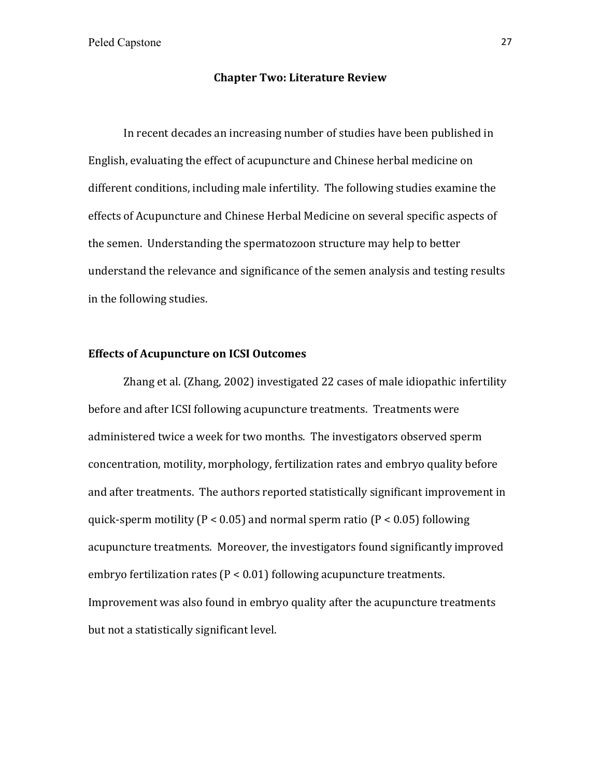#### **Chapter Two: Literature Review**

In recent decades an increasing number of studies have been published in English, evaluating the effect of acupuncture and Chinese herbal medicine on different conditions, including male infertility. The following studies examine the effects of Acupuncture and Chinese Herbal Medicine on several specific aspects of the semen. Understanding the spermatozoon structure may help to better understand the relevance and significance of the semen analysis and testing results in the following studies.

## **Effects of Acupuncture on ICSI Outcomes**

Zhang et al. (Zhang, 2002) investigated 22 cases of male idiopathic infertility before and after ICSI following acupuncture treatments. Treatments were administered twice a week for two months. The investigators observed sperm concentration, motility, morphology, fertilization rates and embryo quality before and after treatments. The authors reported statistically significant improvement in quick-sperm motility ( $P < 0.05$ ) and normal sperm ratio ( $P < 0.05$ ) following acupuncture treatments. Moreover, the investigators found significantly improved embryo fertilization rates ( $P < 0.01$ ) following acupuncture treatments. Improvement was also found in embryo quality after the acupuncture treatments but not a statistically significant level.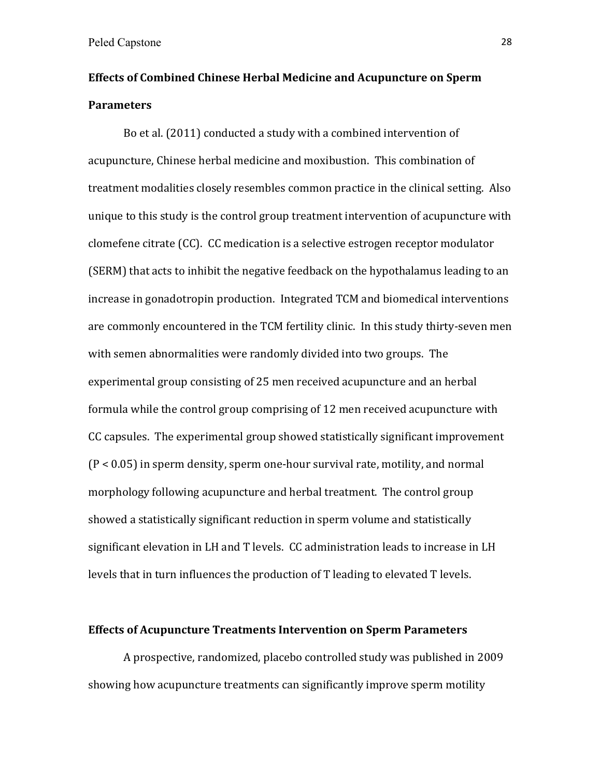# **Effects of Combined Chinese Herbal Medicine and Acupuncture on Sperm Parameters**

Bo et al. (2011) conducted a study with a combined intervention of acupuncture, Chinese herbal medicine and moxibustion. This combination of treatment modalities closely resembles common practice in the clinical setting. Also unique to this study is the control group treatment intervention of acupuncture with clomefene citrate (CC). CC medication is a selective estrogen receptor modulator  $(SERM)$  that acts to inhibit the negative feedback on the hypothalamus leading to an increase in gonadotropin production. Integrated TCM and biomedical interventions are commonly encountered in the TCM fertility clinic. In this study thirty-seven men with semen abnormalities were randomly divided into two groups. The experimental group consisting of 25 men received acupuncture and an herbal formula while the control group comprising of 12 men received acupuncture with CC capsules. The experimental group showed statistically significant improvement  $(P < 0.05)$  in sperm density, sperm one-hour survival rate, motility, and normal morphology following acupuncture and herbal treatment. The control group showed a statistically significant reduction in sperm volume and statistically significant elevation in LH and T levels. CC administration leads to increase in LH levels that in turn influences the production of T leading to elevated T levels.

#### **Effects of Acupuncture Treatments Intervention on Sperm Parameters**

A prospective, randomized, placebo controlled study was published in 2009 showing how acupuncture treatments can significantly improve sperm motility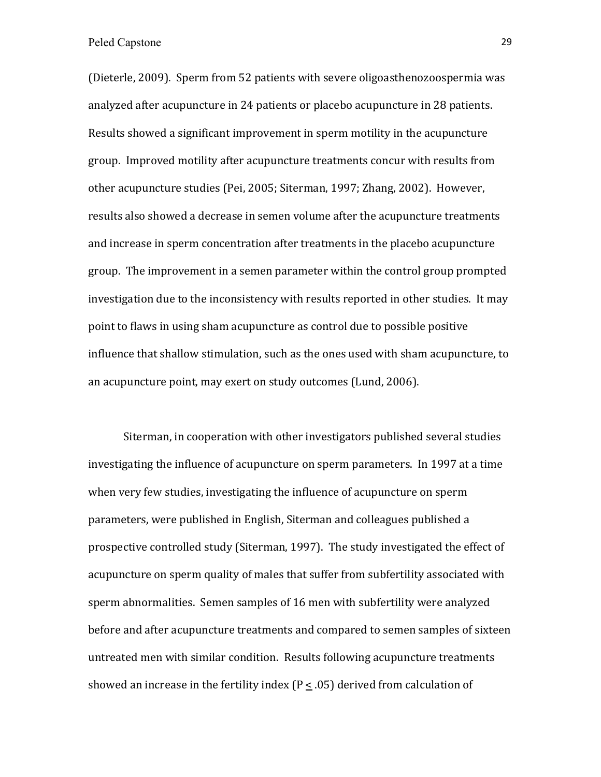(Dieterle, 2009). Sperm from 52 patients with severe oligoasthenozoospermia was analyzed after acupuncture in 24 patients or placebo acupuncture in 28 patients. Results showed a significant improvement in sperm motility in the acupuncture group. Improved motility after acupuncture treatments concur with results from other acupuncture studies (Pei, 2005; Siterman, 1997; Zhang, 2002). However, results also showed a decrease in semen volume after the acupuncture treatments and increase in sperm concentration after treatments in the placebo acupuncture group. The improvement in a semen parameter within the control group prompted investigation due to the inconsistency with results reported in other studies. It may point to flaws in using sham acupuncture as control due to possible positive influence that shallow stimulation, such as the ones used with sham acupuncture, to an acupuncture point, may exert on study outcomes (Lund, 2006).

Siterman, in cooperation with other investigators published several studies investigating the influence of acupuncture on sperm parameters. In 1997 at a time when very few studies, investigating the influence of acupuncture on sperm parameters, were published in English, Siterman and colleagues published a prospective controlled study (Siterman, 1997). The study investigated the effect of acupuncture on sperm quality of males that suffer from subfertility associated with sperm abnormalities. Semen samples of 16 men with subfertility were analyzed before and after acupuncture treatments and compared to semen samples of sixteen untreated men with similar condition. Results following acupuncture treatments showed an increase in the fertility index ( $P \leq .05$ ) derived from calculation of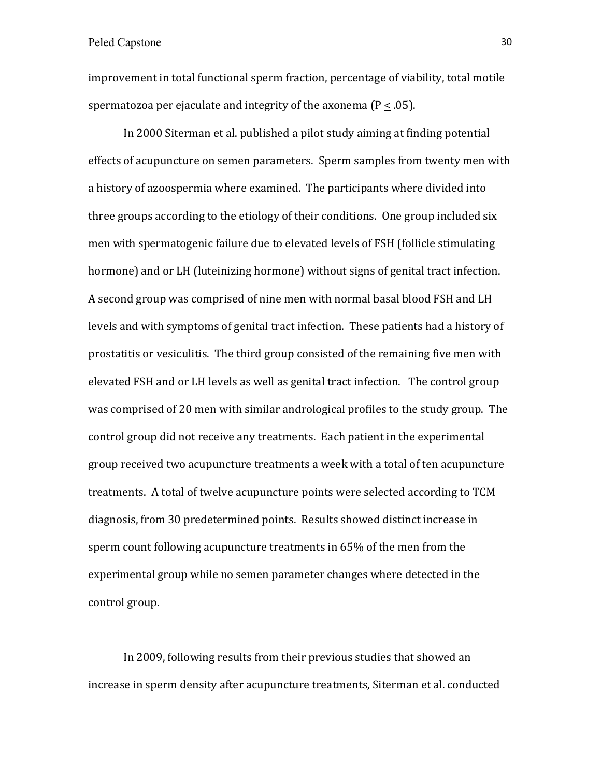improvement in total functional sperm fraction, percentage of viability, total motile spermatozoa per ejaculate and integrity of the axonema  $(P < .05)$ .

In 2000 Siterman et al. published a pilot study aiming at finding potential effects of acupuncture on semen parameters. Sperm samples from twenty men with a history of azoospermia where examined. The participants where divided into three groups according to the etiology of their conditions. One group included six men with spermatogenic failure due to elevated levels of FSH (follicle stimulating hormone) and or LH (luteinizing hormone) without signs of genital tract infection. A second group was comprised of nine men with normal basal blood FSH and LH levels and with symptoms of genital tract infection. These patients had a history of prostatitis or vesiculitis. The third group consisted of the remaining five men with elevated FSH and or LH levels as well as genital tract infection. The control group was comprised of 20 men with similar andrological profiles to the study group. The control group did not receive any treatments. Each patient in the experimental group received two acupuncture treatments a week with a total of ten acupuncture treatments. A total of twelve acupuncture points were selected according to TCM diagnosis, from 30 predetermined points. Results showed distinct increase in sperm count following acupuncture treatments in  $65%$  of the men from the experimental group while no semen parameter changes where detected in the control group.

In 2009, following results from their previous studies that showed an increase in sperm density after acupuncture treatments, Siterman et al. conducted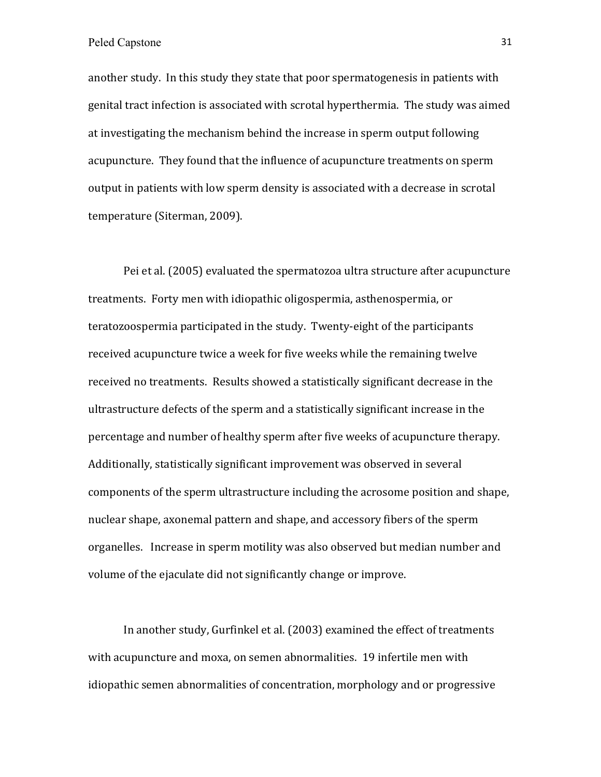another study. In this study they state that poor spermatogenesis in patients with genital tract infection is associated with scrotal hyperthermia. The study was aimed at investigating the mechanism behind the increase in sperm output following acupuncture. They found that the influence of acupuncture treatments on sperm output in patients with low sperm density is associated with a decrease in scrotal temperature (Siterman, 2009).

Pei et al. (2005) evaluated the spermatozoa ultra structure after acupuncture treatments. Forty men with idiopathic oligospermia, asthenospermia, or teratozoospermia participated in the study. Twenty-eight of the participants received acupuncture twice a week for five weeks while the remaining twelve received no treatments. Results showed a statistically significant decrease in the ultrastructure defects of the sperm and a statistically significant increase in the percentage and number of healthy sperm after five weeks of acupuncture therapy. Additionally, statistically significant improvement was observed in several components of the sperm ultrastructure including the acrosome position and shape. nuclear shape, axonemal pattern and shape, and accessory fibers of the sperm organelles. Increase in sperm motility was also observed but median number and volume of the ejaculate did not significantly change or improve.

In another study, Gurfinkel et al. (2003) examined the effect of treatments with acupuncture and moxa, on semen abnormalities. 19 infertile men with idiopathic semen abnormalities of concentration, morphology and or progressive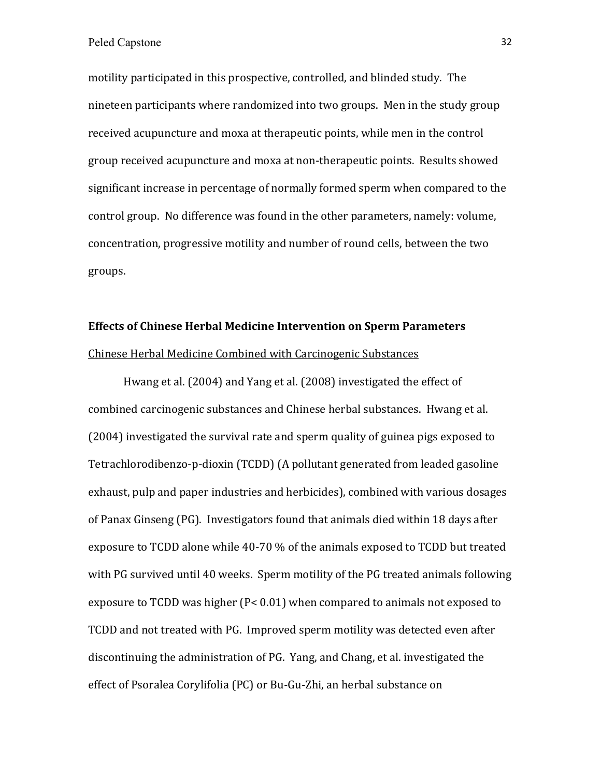motility participated in this prospective, controlled, and blinded study. The nineteen participants where randomized into two groups. Men in the study group received acupuncture and moxa at therapeutic points, while men in the control group received acupuncture and moxa at non-therapeutic points. Results showed significant increase in percentage of normally formed sperm when compared to the control group. No difference was found in the other parameters, namely: volume, concentration, progressive motility and number of round cells, between the two groups. 

## **Effects of Chinese Herbal Medicine Intervention on Sperm Parameters**

Chinese Herbal Medicine Combined with Carcinogenic Substances

Hwang et al. (2004) and Yang et al. (2008) investigated the effect of combined carcinogenic substances and Chinese herbal substances. Hwang et al. (2004) investigated the survival rate and sperm quality of guinea pigs exposed to Tetrachlorodibenzo-p-dioxin (TCDD) (A pollutant generated from leaded gasoline exhaust, pulp and paper industries and herbicides), combined with various dosages of Panax Ginseng (PG). Investigators found that animals died within 18 days after exposure to TCDD alone while  $40-70\%$  of the animals exposed to TCDD but treated with PG survived until 40 weeks. Sperm motility of the PG treated animals following exposure to TCDD was higher  $(P< 0.01)$  when compared to animals not exposed to TCDD and not treated with PG. Improved sperm motility was detected even after discontinuing the administration of PG. Yang, and Chang, et al. investigated the effect of Psoralea Corylifolia (PC) or Bu-Gu-Zhi, an herbal substance on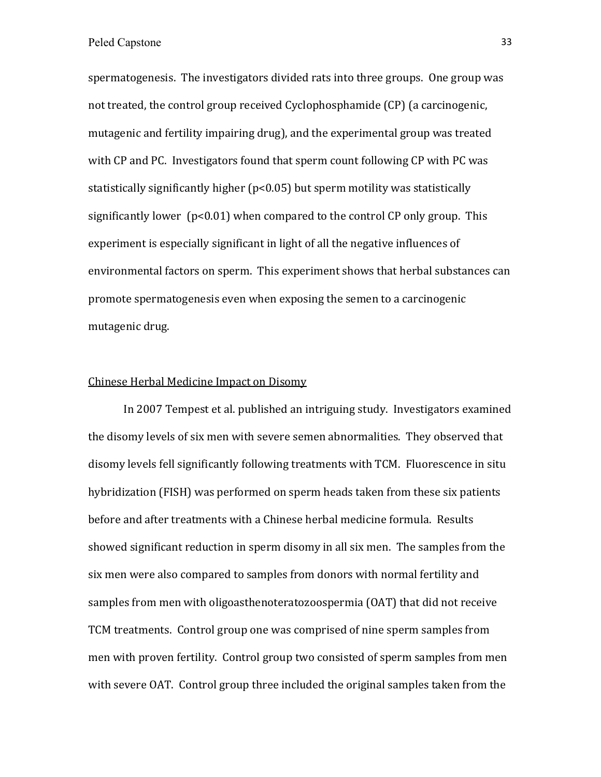spermatogenesis. The investigators divided rats into three groups. One group was not treated, the control group received Cyclophosphamide  $(CP)$  (a carcinogenic, mutagenic and fertility impairing drug), and the experimental group was treated with CP and PC. Investigators found that sperm count following CP with PC was statistically significantly higher  $(p<0.05)$  but sperm motility was statistically significantly lower  $(p<0.01)$  when compared to the control CP only group. This experiment is especially significant in light of all the negative influences of environmental factors on sperm. This experiment shows that herbal substances can promote spermatogenesis even when exposing the semen to a carcinogenic mutagenic drug.

#### Chinese Herbal Medicine Impact on Disomy

In 2007 Tempest et al. published an intriguing study. Investigators examined the disomy levels of six men with severe semen abnormalities. They observed that disomy levels fell significantly following treatments with TCM. Fluorescence in situ hybridization (FISH) was performed on sperm heads taken from these six patients before and after treatments with a Chinese herbal medicine formula. Results showed significant reduction in sperm disomy in all six men. The samples from the six men were also compared to samples from donors with normal fertility and samples from men with oligoasthenoteratozoospermia (OAT) that did not receive TCM treatments. Control group one was comprised of nine sperm samples from men with proven fertility. Control group two consisted of sperm samples from men with severe OAT. Control group three included the original samples taken from the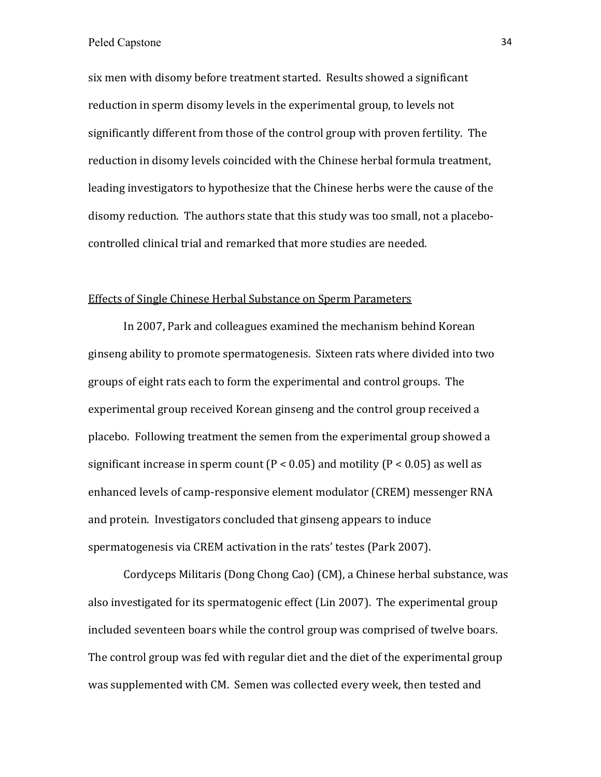#### Peled Capstone 34

six men with disomy before treatment started. Results showed a significant reduction in sperm disomy levels in the experimental group, to levels not significantly different from those of the control group with proven fertility. The reduction in disomy levels coincided with the Chinese herbal formula treatment, leading investigators to hypothesize that the Chinese herbs were the cause of the disomy reduction. The authors state that this study was too small, not a placebocontrolled clinical trial and remarked that more studies are needed.

## Effects of Single Chinese Herbal Substance on Sperm Parameters

In 2007, Park and colleagues examined the mechanism behind Korean ginseng ability to promote spermatogenesis. Sixteen rats where divided into two groups of eight rats each to form the experimental and control groups. The experimental group received Korean ginseng and the control group received a placebo. Following treatment the semen from the experimental group showed a significant increase in sperm count ( $P < 0.05$ ) and motility ( $P < 0.05$ ) as well as enhanced levels of camp-responsive element modulator (CREM) messenger RNA and protein. Investigators concluded that ginseng appears to induce spermatogenesis via CREM activation in the rats' testes (Park 2007).

Cordyceps Militaris (Dong Chong Cao) (CM), a Chinese herbal substance, was also investigated for its spermatogenic effect (Lin 2007). The experimental group included seventeen boars while the control group was comprised of twelve boars. The control group was fed with regular diet and the diet of the experimental group was supplemented with CM. Semen was collected every week, then tested and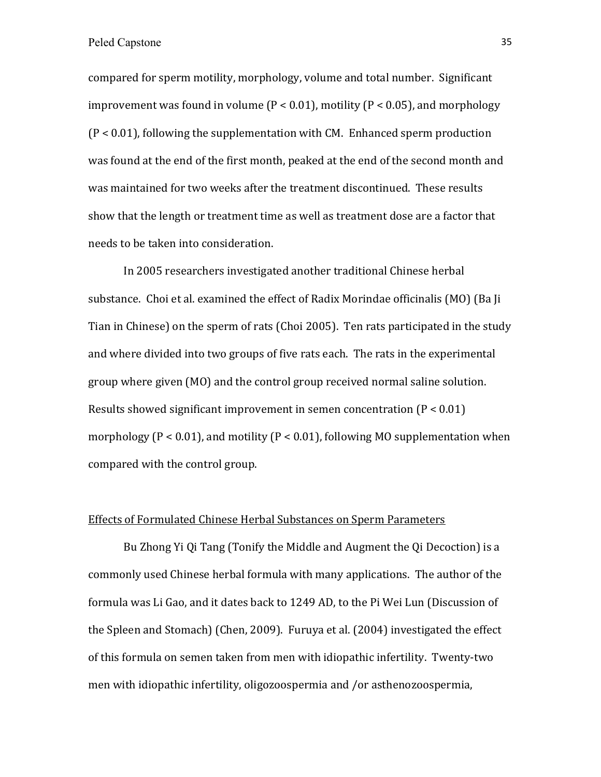compared for sperm motility, morphology, volume and total number. Significant improvement was found in volume ( $P < 0.01$ ), motility ( $P < 0.05$ ), and morphology  $(P < 0.01)$ , following the supplementation with CM. Enhanced sperm production was found at the end of the first month, peaked at the end of the second month and was maintained for two weeks after the treatment discontinued. These results show that the length or treatment time as well as treatment dose are a factor that needs to be taken into consideration.

In 2005 researchers investigated another traditional Chinese herbal substance. Choi et al. examined the effect of Radix Morindae officinalis (MO) (Ba Ji Tian in Chinese) on the sperm of rats (Choi 2005). Ten rats participated in the study and where divided into two groups of five rats each. The rats in the experimental group where given (MO) and the control group received normal saline solution. Results showed significant improvement in semen concentration  $(P < 0.01)$ morphology ( $P < 0.01$ ), and motility ( $P < 0.01$ ), following MO supplementation when compared with the control group.

## Effects of Formulated Chinese Herbal Substances on Sperm Parameters

Bu Zhong Yi Qi Tang (Tonify the Middle and Augment the Qi Decoction) is a commonly used Chinese herbal formula with many applications. The author of the formula was Li Gao, and it dates back to 1249 AD, to the Pi Wei Lun (Discussion of the Spleen and Stomach) (Chen, 2009). Furuya et al. (2004) investigated the effect of this formula on semen taken from men with idiopathic infertility. Twenty-two men with idiopathic infertility, oligozoospermia and /or asthenozoospermia,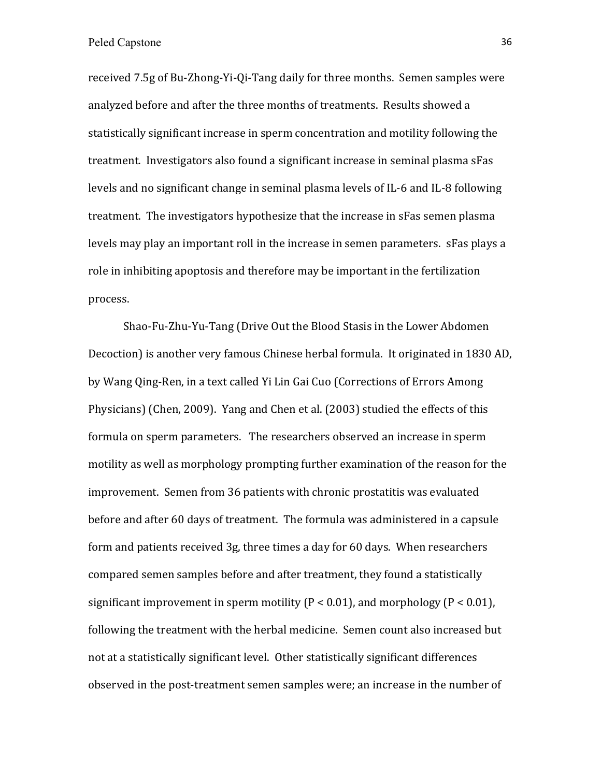Peled Capstone 36

received 7.5g of Bu-Zhong-Yi-Qi-Tang daily for three months. Semen samples were analyzed before and after the three months of treatments. Results showed a statistically significant increase in sperm concentration and motility following the treatment. Investigators also found a significant increase in seminal plasma sFas levels and no significant change in seminal plasma levels of IL-6 and IL-8 following treatment. The investigators hypothesize that the increase in sFas semen plasma levels may play an important roll in the increase in semen parameters. SFas plays a role in inhibiting apoptosis and therefore may be important in the fertilization process. 

Shao-Fu-Zhu-Yu-Tang (Drive Out the Blood Stasis in the Lower Abdomen Decoction) is another very famous Chinese herbal formula. It originated in 1830 AD, by Wang Qing-Ren, in a text called Yi Lin Gai Cuo (Corrections of Errors Among Physicians) (Chen, 2009). Yang and Chen et al. (2003) studied the effects of this formula on sperm parameters. The researchers observed an increase in sperm motility as well as morphology prompting further examination of the reason for the improvement. Semen from 36 patients with chronic prostatitis was evaluated before and after 60 days of treatment. The formula was administered in a capsule form and patients received 3g, three times a day for 60 days. When researchers compared semen samples before and after treatment, they found a statistically significant improvement in sperm motility ( $P < 0.01$ ), and morphology ( $P < 0.01$ ), following the treatment with the herbal medicine. Semen count also increased but not at a statistically significant level. Other statistically significant differences observed in the post-treatment semen samples were; an increase in the number of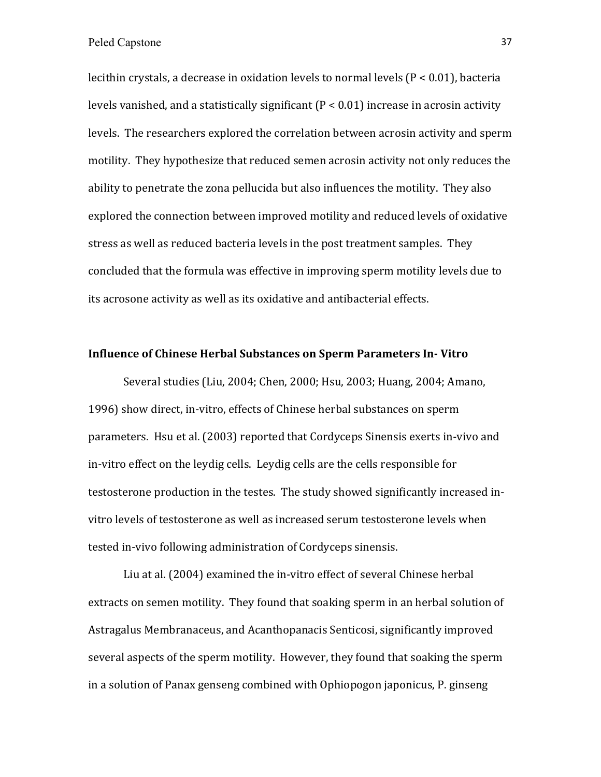lecithin crystals, a decrease in oxidation levels to normal levels  $(P < 0.01)$ , bacteria levels vanished, and a statistically significant  $(P < 0.01)$  increase in acrosin activity levels. The researchers explored the correlation between acrosin activity and sperm motility. They hypothesize that reduced semen acrosin activity not only reduces the ability to penetrate the zona pellucida but also influences the motility. They also explored the connection between improved motility and reduced levels of oxidative stress as well as reduced bacteria levels in the post treatment samples. They concluded that the formula was effective in improving sperm motility levels due to its acrosone activity as well as its oxidative and antibacterial effects.

#### **Influence of Chinese Herbal Substances on Sperm Parameters In-Vitro**

Several studies (Liu, 2004; Chen, 2000; Hsu, 2003; Huang, 2004; Amano, 1996) show direct, in-vitro, effects of Chinese herbal substances on sperm parameters. Hsu et al. (2003) reported that Cordyceps Sinensis exerts in-vivo and in-vitro effect on the leydig cells. Leydig cells are the cells responsible for testosterone production in the testes. The study showed significantly increased invitro levels of testosterone as well as increased serum testosterone levels when tested in-vivo following administration of Cordyceps sinensis.

Liu at al. (2004) examined the in-vitro effect of several Chinese herbal extracts on semen motility. They found that soaking sperm in an herbal solution of Astragalus Membranaceus, and Acanthopanacis Senticosi, significantly improved several aspects of the sperm motility. However, they found that soaking the sperm in a solution of Panax genseng combined with Ophiopogon japonicus, P. ginseng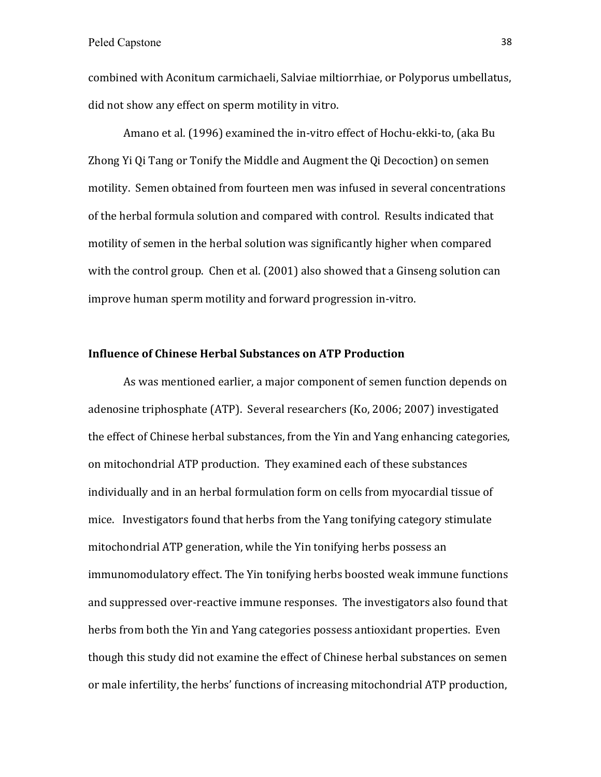combined with Aconitum carmichaeli, Salviae miltiorrhiae, or Polyporus umbellatus, did not show any effect on sperm motility in vitro.

Amano et al. (1996) examined the in-vitro effect of Hochu-ekki-to, (aka Bu Zhong Yi Qi Tang or Tonify the Middle and Augment the Qi Decoction) on semen motility. Semen obtained from fourteen men was infused in several concentrations of the herbal formula solution and compared with control. Results indicated that motility of semen in the herbal solution was significantly higher when compared with the control group. Chen et al.  $(2001)$  also showed that a Ginseng solution can improve human sperm motility and forward progression in-vitro.

# **Influence of Chinese Herbal Substances on ATP Production**

As was mentioned earlier, a major component of semen function depends on adenosine triphosphate (ATP). Several researchers (Ko, 2006; 2007) investigated the effect of Chinese herbal substances, from the Yin and Yang enhancing categories, on mitochondrial ATP production. They examined each of these substances individually and in an herbal formulation form on cells from myocardial tissue of mice. Investigators found that herbs from the Yang tonifying category stimulate mitochondrial ATP generation, while the Yin tonifying herbs possess an immunomodulatory effect. The Yin tonifying herbs boosted weak immune functions and suppressed over-reactive immune responses. The investigators also found that herbs from both the Yin and Yang categories possess antioxidant properties. Even though this study did not examine the effect of Chinese herbal substances on semen or male infertility, the herbs' functions of increasing mitochondrial ATP production,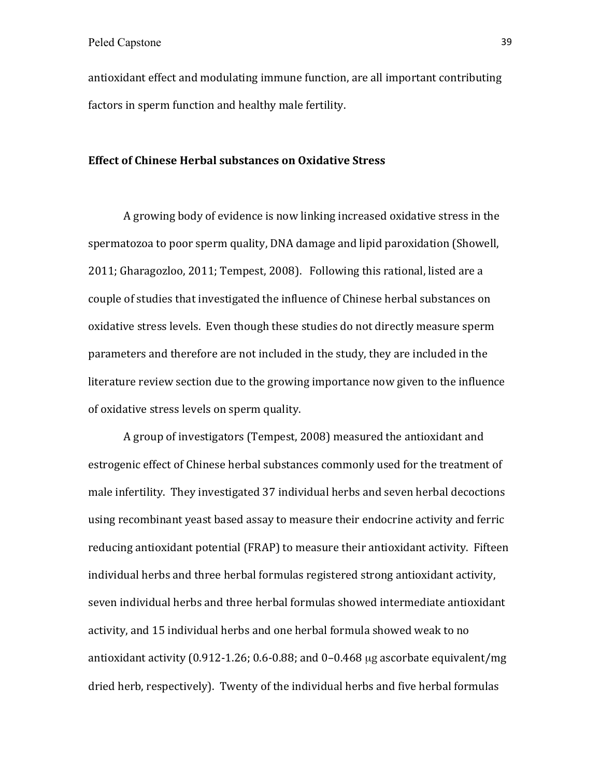antioxidant effect and modulating immune function, are all important contributing factors in sperm function and healthy male fertility.

#### **Effect of Chinese Herbal substances on Oxidative Stress**

A growing body of evidence is now linking increased oxidative stress in the spermatozoa to poor sperm quality, DNA damage and lipid paroxidation (Showell,  $2011$ ; Gharagozloo,  $2011$ ; Tempest,  $2008$ ). Following this rational, listed are a couple of studies that investigated the influence of Chinese herbal substances on oxidative stress levels. Even though these studies do not directly measure sperm parameters and therefore are not included in the study, they are included in the literature review section due to the growing importance now given to the influence of oxidative stress levels on sperm quality.

A group of investigators (Tempest, 2008) measured the antioxidant and estrogenic effect of Chinese herbal substances commonly used for the treatment of male infertility. They investigated 37 individual herbs and seven herbal decoctions using recombinant yeast based assay to measure their endocrine activity and ferric reducing antioxidant potential (FRAP) to measure their antioxidant activity. Fifteen individual herbs and three herbal formulas registered strong antioxidant activity, seven individual herbs and three herbal formulas showed intermediate antioxidant activity, and 15 individual herbs and one herbal formula showed weak to no antioxidant activity  $(0.912-1.26; 0.6-0.88;$  and  $0-0.468 \mu$ g ascorbate equivalent/mg dried herb, respectively). Twenty of the individual herbs and five herbal formulas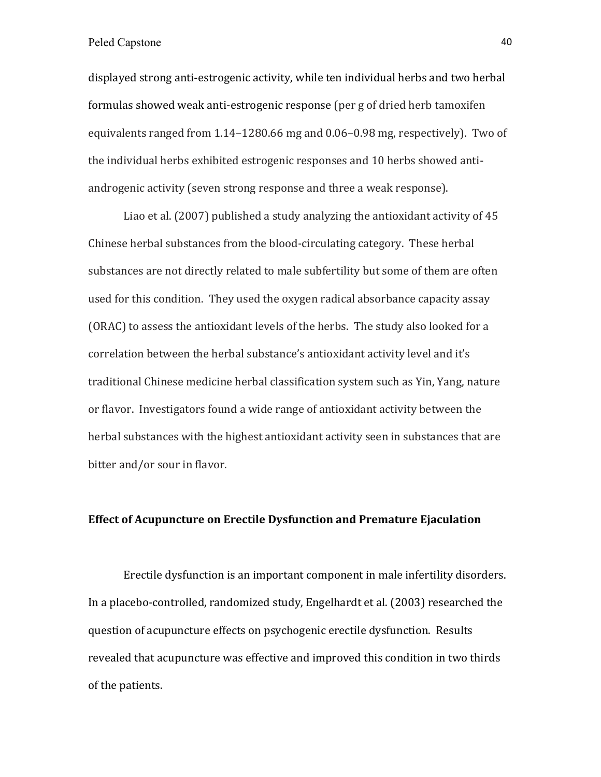displayed strong anti-estrogenic activity, while ten individual herbs and two herbal formulas showed weak anti-estrogenic response (per g of dried herb tamoxifen equivalents ranged from 1.14–1280.66 mg and 0.06–0.98 mg, respectively). Two of the individual herbs exhibited estrogenic responses and 10 herbs showed antiandrogenic activity (seven strong response and three a weak response).

Liao et al. (2007) published a study analyzing the antioxidant activity of  $45$ Chinese herbal substances from the blood-circulating category. These herbal substances are not directly related to male subfertility but some of them are often used for this condition. They used the oxygen radical absorbance capacity assay (ORAC) to assess the antioxidant levels of the herbs. The study also looked for a correlation between the herbal substance's antioxidant activity level and it's traditional Chinese medicine herbal classification system such as Yin, Yang, nature or flavor. Investigators found a wide range of antioxidant activity between the herbal substances with the highest antioxidant activity seen in substances that are bitter and/or sour in flavor.

# **Effect of Acupuncture on Erectile Dysfunction and Premature Ejaculation**

Erectile dysfunction is an important component in male infertility disorders. In a placebo-controlled, randomized study, Engelhardt et al. (2003) researched the question of acupuncture effects on psychogenic erectile dysfunction. Results revealed that acupuncture was effective and improved this condition in two thirds of the patients.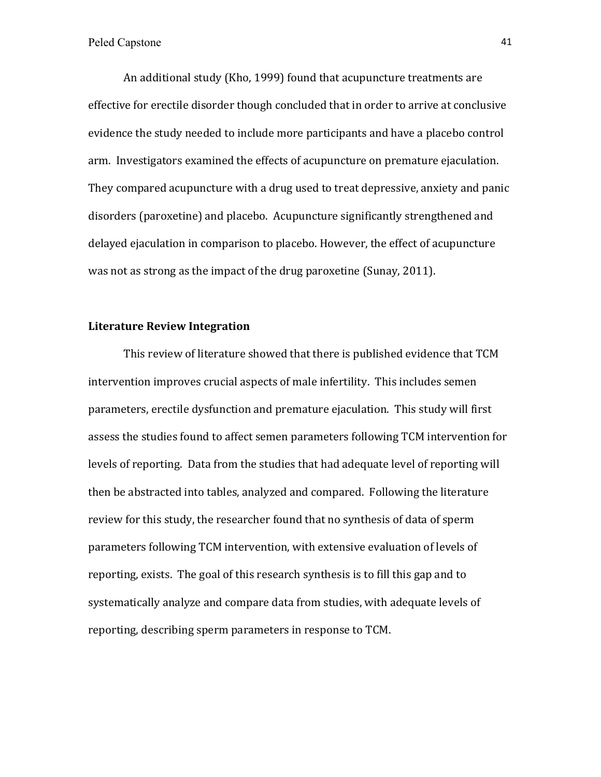An additional study (Kho, 1999) found that acupuncture treatments are effective for erectile disorder though concluded that in order to arrive at conclusive evidence the study needed to include more participants and have a placebo control arm. Investigators examined the effects of acupuncture on premature ejaculation. They compared acupuncture with a drug used to treat depressive, anxiety and panic disorders (paroxetine) and placebo. Acupuncture significantly strengthened and delayed ejaculation in comparison to placebo. However, the effect of acupuncture was not as strong as the impact of the drug paroxetine (Sunay, 2011).

## **Literature Review Integration**

This review of literature showed that there is published evidence that TCM intervention improves crucial aspects of male infertility. This includes semen parameters, erectile dysfunction and premature ejaculation. This study will first assess the studies found to affect semen parameters following TCM intervention for levels of reporting. Data from the studies that had adequate level of reporting will then be abstracted into tables, analyzed and compared. Following the literature review for this study, the researcher found that no synthesis of data of sperm parameters following TCM intervention, with extensive evaluation of levels of reporting, exists. The goal of this research synthesis is to fill this gap and to systematically analyze and compare data from studies, with adequate levels of reporting, describing sperm parameters in response to TCM.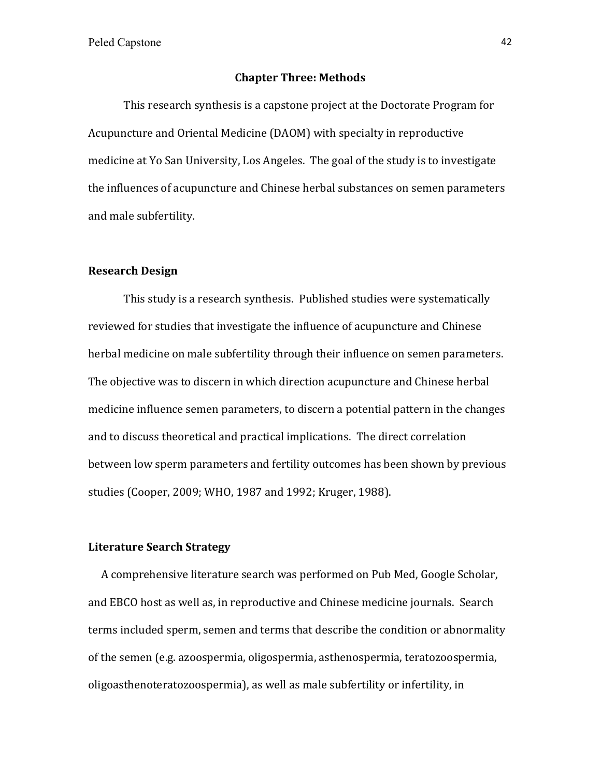## **Chapter Three: Methods**

This research synthesis is a capstone project at the Doctorate Program for Acupuncture and Oriental Medicine (DAOM) with specialty in reproductive medicine at Yo San University, Los Angeles. The goal of the study is to investigate the influences of acupuncture and Chinese herbal substances on semen parameters and male subfertility.

## **Research Design**

This study is a research synthesis. Published studies were systematically reviewed for studies that investigate the influence of acupuncture and Chinese herbal medicine on male subfertility through their influence on semen parameters. The objective was to discern in which direction acupuncture and Chinese herbal medicine influence semen parameters, to discern a potential pattern in the changes and to discuss theoretical and practical implications. The direct correlation between low sperm parameters and fertility outcomes has been shown by previous studies (Cooper, 2009; WHO, 1987 and 1992; Kruger, 1988).

# **Literature Search Strategy**

A comprehensive literature search was performed on Pub Med, Google Scholar, and EBCO host as well as, in reproductive and Chinese medicine journals. Search terms included sperm, semen and terms that describe the condition or abnormality of the semen (e.g. azoospermia, oligospermia, asthenospermia, teratozoospermia, oligoasthenoteratozoospermia), as well as male subfertility or infertility, in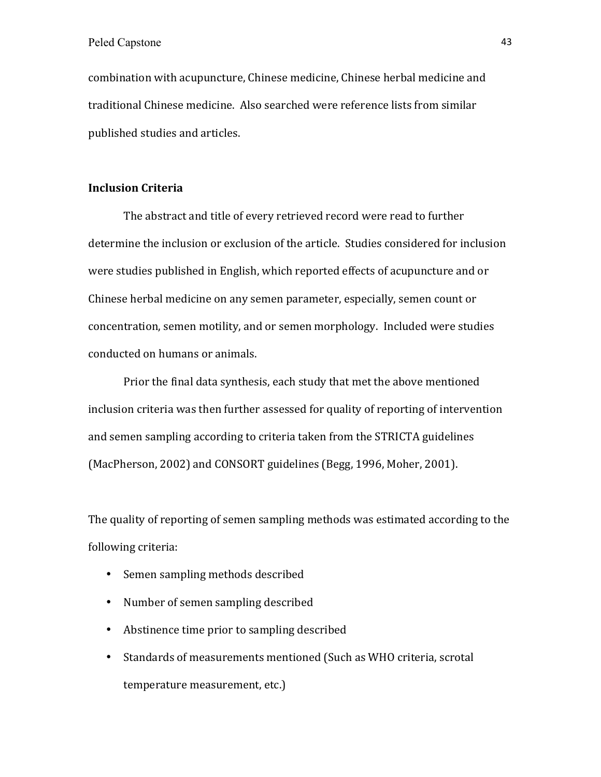combination with acupuncture, Chinese medicine, Chinese herbal medicine and traditional Chinese medicine. Also searched were reference lists from similar published studies and articles.

# **Inclusion Criteria**

The abstract and title of every retrieved record were read to further determine the inclusion or exclusion of the article. Studies considered for inclusion were studies published in English, which reported effects of acupuncture and or Chinese herbal medicine on any semen parameter, especially, semen count or concentration, semen motility, and or semen morphology. Included were studies conducted on humans or animals.

Prior the final data synthesis, each study that met the above mentioned inclusion criteria was then further assessed for quality of reporting of intervention and semen sampling according to criteria taken from the STRICTA guidelines (MacPherson, 2002) and CONSORT guidelines (Begg, 1996, Moher, 2001).

The quality of reporting of semen sampling methods was estimated according to the following criteria:

- Semen sampling methods described
- Number of semen sampling described
- Abstinence time prior to sampling described
- Standards of measurements mentioned (Such as WHO criteria, scrotal temperature measurement, etc.)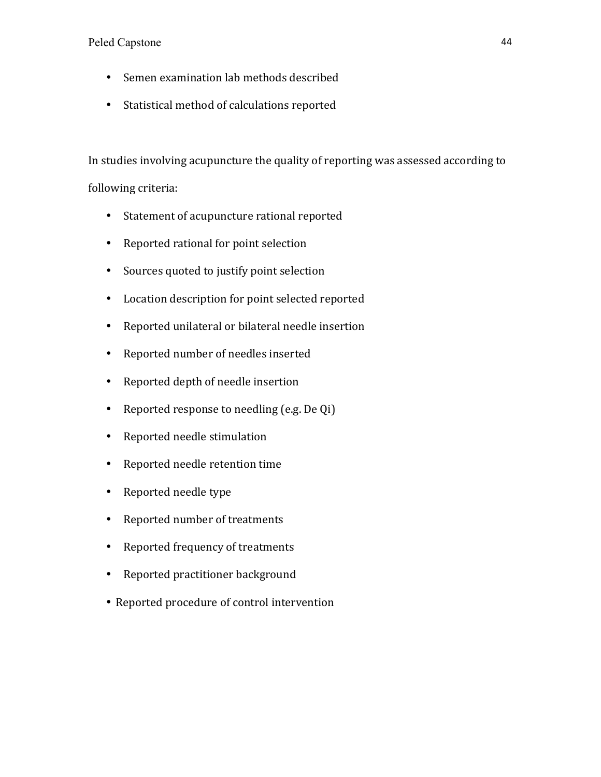- Semen examination lab methods described
- Statistical method of calculations reported

In studies involving acupuncture the quality of reporting was assessed according to following criteria:

- Statement of acupuncture rational reported
- Reported rational for point selection
- Sources quoted to justify point selection
- Location description for point selected reported
- Reported unilateral or bilateral needle insertion
- Reported number of needles inserted
- Reported depth of needle insertion
- Reported response to needling (e.g. De Qi)
- Reported needle stimulation
- Reported needle retention time
- Reported needle type
- Reported number of treatments
- Reported frequency of treatments
- Reported practitioner background
- Reported procedure of control intervention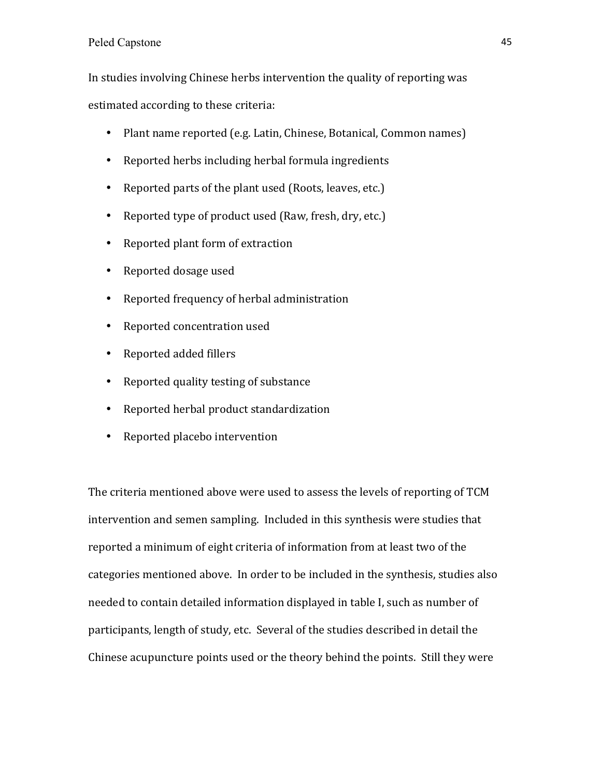In studies involving Chinese herbs intervention the quality of reporting was estimated according to these criteria:

- Plant name reported (e.g. Latin, Chinese, Botanical, Common names)
- Reported herbs including herbal formula ingredients
- Reported parts of the plant used (Roots, leaves, etc.)
- Reported type of product used (Raw, fresh, dry, etc.)
- Reported plant form of extraction
- Reported dosage used
- Reported frequency of herbal administration
- Reported concentration used
- Reported added fillers
- Reported quality testing of substance
- Reported herbal product standardization
- Reported placebo intervention

The criteria mentioned above were used to assess the levels of reporting of TCM intervention and semen sampling. Included in this synthesis were studies that reported a minimum of eight criteria of information from at least two of the categories mentioned above. In order to be included in the synthesis, studies also needed to contain detailed information displayed in table I, such as number of participants, length of study, etc. Several of the studies described in detail the Chinese acupuncture points used or the theory behind the points. Still they were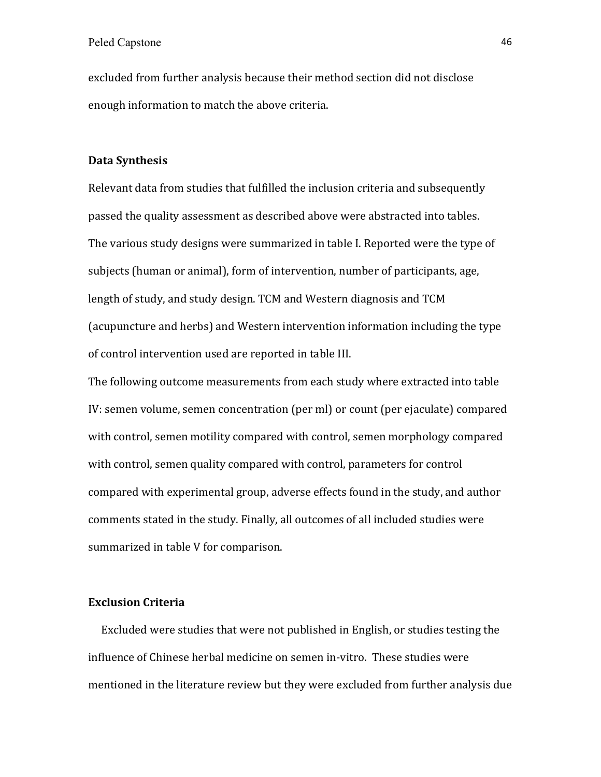excluded from further analysis because their method section did not disclose enough information to match the above criteria.

#### **Data Synthesis**

Relevant data from studies that fulfilled the inclusion criteria and subsequently passed the quality assessment as described above were abstracted into tables. The various study designs were summarized in table I. Reported were the type of subjects (human or animal), form of intervention, number of participants, age, length of study, and study design. TCM and Western diagnosis and TCM (acupuncture and herbs) and Western intervention information including the type of control intervention used are reported in table III.

The following outcome measurements from each study where extracted into table IV: semen volume, semen concentration (per ml) or count (per ejaculate) compared with control, semen motility compared with control, semen morphology compared with control, semen quality compared with control, parameters for control compared with experimental group, adverse effects found in the study, and author comments stated in the study. Finally, all outcomes of all included studies were summarized in table V for comparison.

# **Exclusion Criteria**

Excluded were studies that were not published in English, or studies testing the influence of Chinese herbal medicine on semen in-vitro. These studies were mentioned in the literature review but they were excluded from further analysis due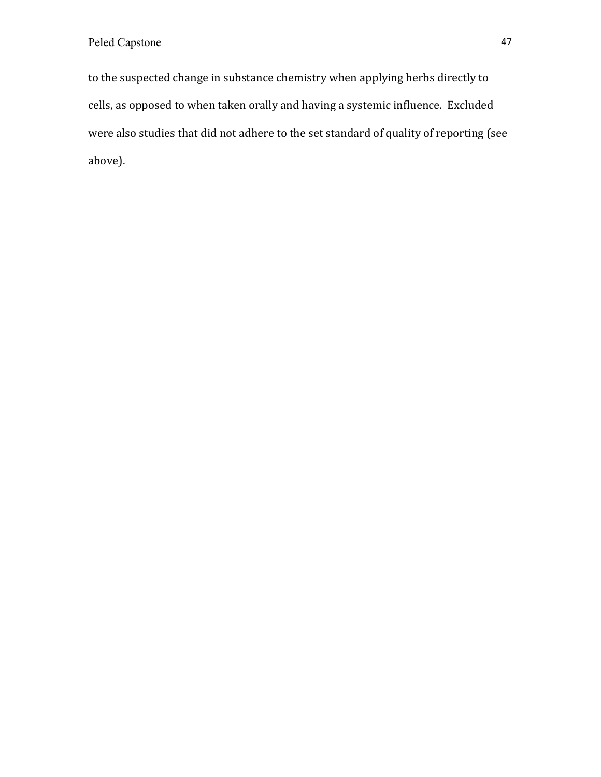to the suspected change in substance chemistry when applying herbs directly to cells, as opposed to when taken orally and having a systemic influence. Excluded were also studies that did not adhere to the set standard of quality of reporting (see above).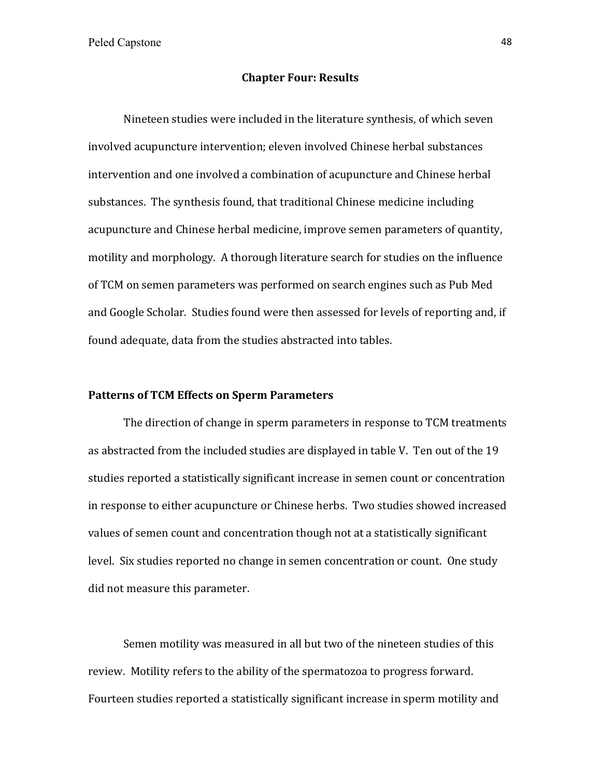#### **Chapter Four: Results**

Nineteen studies were included in the literature synthesis, of which seven involved acupuncture intervention; eleven involved Chinese herbal substances intervention and one involved a combination of acupuncture and Chinese herbal substances. The synthesis found, that traditional Chinese medicine including acupuncture and Chinese herbal medicine, improve semen parameters of quantity, motility and morphology. A thorough literature search for studies on the influence of TCM on semen parameters was performed on search engines such as Pub Med and Google Scholar. Studies found were then assessed for levels of reporting and, if found adequate, data from the studies abstracted into tables.

## **Patterns of TCM Effects on Sperm Parameters**

The direction of change in sperm parameters in response to TCM treatments as abstracted from the included studies are displayed in table V. Ten out of the  $19$ studies reported a statistically significant increase in semen count or concentration in response to either acupuncture or Chinese herbs. Two studies showed increased values of semen count and concentration though not at a statistically significant level. Six studies reported no change in semen concentration or count. One study did not measure this parameter.

Semen motility was measured in all but two of the nineteen studies of this review. Motility refers to the ability of the spermatozoa to progress forward. Fourteen studies reported a statistically significant increase in sperm motility and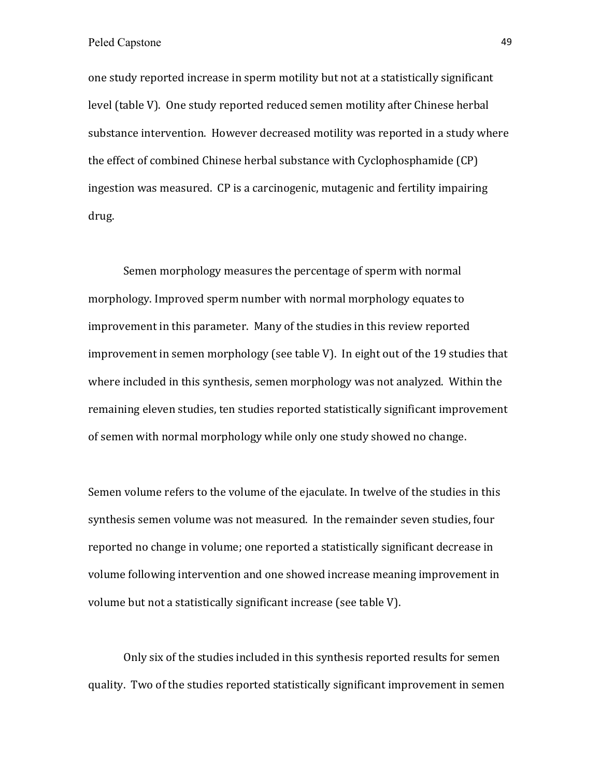one study reported increase in sperm motility but not at a statistically significant level (table V). One study reported reduced semen motility after Chinese herbal substance intervention. However decreased motility was reported in a study where the effect of combined Chinese herbal substance with Cyclophosphamide (CP) ingestion was measured. CP is a carcinogenic, mutagenic and fertility impairing drug.

Semen morphology measures the percentage of sperm with normal morphology. Improved sperm number with normal morphology equates to improvement in this parameter. Many of the studies in this review reported improvement in semen morphology (see table V). In eight out of the 19 studies that where included in this synthesis, semen morphology was not analyzed. Within the remaining eleven studies, ten studies reported statistically significant improvement of semen with normal morphology while only one study showed no change.

Semen volume refers to the volume of the ejaculate. In twelve of the studies in this synthesis semen volume was not measured. In the remainder seven studies, four reported no change in volume; one reported a statistically significant decrease in volume following intervention and one showed increase meaning improvement in volume but not a statistically significant increase (see table  $V$ ).

Only six of the studies included in this synthesis reported results for semen quality. Two of the studies reported statistically significant improvement in semen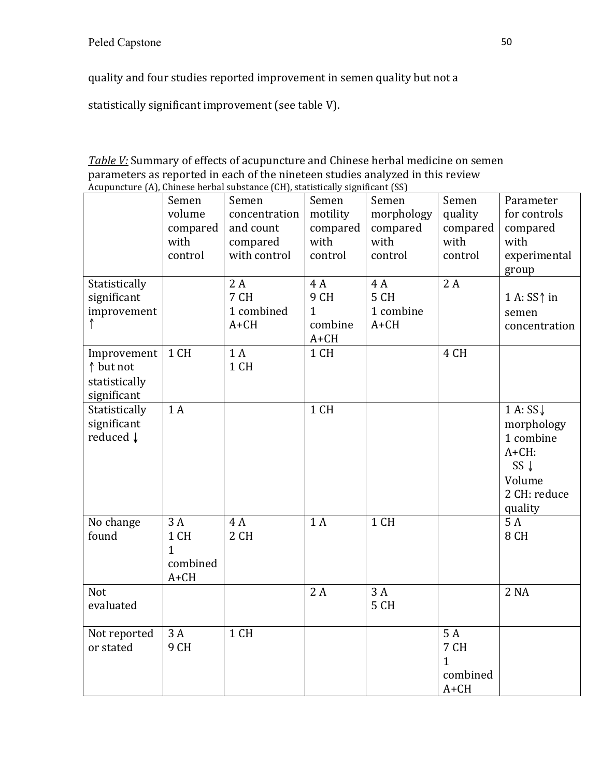quality and four studies reported improvement in semen quality but not a

statistically significant improvement (see table V).

Table V: Summary of effects of acupuncture and Chinese herbal medicine on semen parameters as reported in each of the nineteen studies analyzed in this review  $\overline{\mathbf{A}}$ cupuncture (A), Chinese herbal substance (CH), statistically significant (SS)

| 110apanetar e <sub>(</sub> 11 <i>j</i> )<br>substance (311), statistically significant (33) |              |               |              |            |                 |                         |
|---------------------------------------------------------------------------------------------|--------------|---------------|--------------|------------|-----------------|-------------------------|
|                                                                                             | Semen        | Semen         | Semen        | Semen      | Semen           | Parameter               |
|                                                                                             | volume       | concentration | motility     | morphology | quality         | for controls            |
|                                                                                             | compared     | and count     | compared     | compared   | compared        | compared                |
|                                                                                             | with         | compared      | with         | with       | with            | with                    |
|                                                                                             | control      | with control  | control      | control    | control         | experimental            |
|                                                                                             |              |               |              |            |                 | group                   |
| Statistically                                                                               |              | 2A            | 4A           | 4 A        | 2A              |                         |
| significant                                                                                 |              | 7 CH          | 9 CH         | 5 CH       |                 | 1 A: $SS^{\uparrow}$ in |
| improvement                                                                                 |              | 1 combined    | $\mathbf{1}$ | 1 combine  |                 | semen                   |
|                                                                                             |              | $A + CH$      | combine      | $A + CH$   |                 | concentration           |
|                                                                                             |              |               | $A + CH$     |            |                 |                         |
| Improvement                                                                                 | 1 CH         | 1 A           | 1 CH         |            | 4 CH            |                         |
| ↑ but not                                                                                   |              | 1 CH          |              |            |                 |                         |
| statistically                                                                               |              |               |              |            |                 |                         |
| significant                                                                                 |              |               |              |            |                 |                         |
| Statistically                                                                               | 1A           |               | 1 CH         |            |                 | 1 A: $SS\downarrow$     |
| significant                                                                                 |              |               |              |            |                 | morphology              |
| reduced ↓                                                                                   |              |               |              |            |                 | 1 combine               |
|                                                                                             |              |               |              |            |                 | $A + CH$ :              |
|                                                                                             |              |               |              |            |                 | $SS \downarrow$         |
|                                                                                             |              |               |              |            |                 | Volume                  |
|                                                                                             |              |               |              |            |                 | 2 CH: reduce            |
|                                                                                             |              |               |              |            |                 | quality                 |
| No change                                                                                   | 3 A          | 4A            | 1A           | 1 CH       |                 | 5A                      |
| found                                                                                       | 1 CH         | 2 CH          |              |            |                 | 8 CH                    |
|                                                                                             | $\mathbf{1}$ |               |              |            |                 |                         |
|                                                                                             | combined     |               |              |            |                 |                         |
|                                                                                             | $A + CH$     |               |              |            |                 |                         |
| <b>Not</b>                                                                                  |              |               | 2A           | 3A         |                 | 2 NA                    |
| evaluated                                                                                   |              |               |              | 5 CH       |                 |                         |
|                                                                                             |              |               |              |            |                 |                         |
| Not reported                                                                                | 3 A          | 1 CH          |              |            | $5\overline{A}$ |                         |
| or stated                                                                                   | 9 CH         |               |              |            | 7 CH            |                         |
|                                                                                             |              |               |              |            | $\mathbf{1}$    |                         |
|                                                                                             |              |               |              |            | combined        |                         |
|                                                                                             |              |               |              |            |                 |                         |
|                                                                                             |              |               |              |            | $A + CH$        |                         |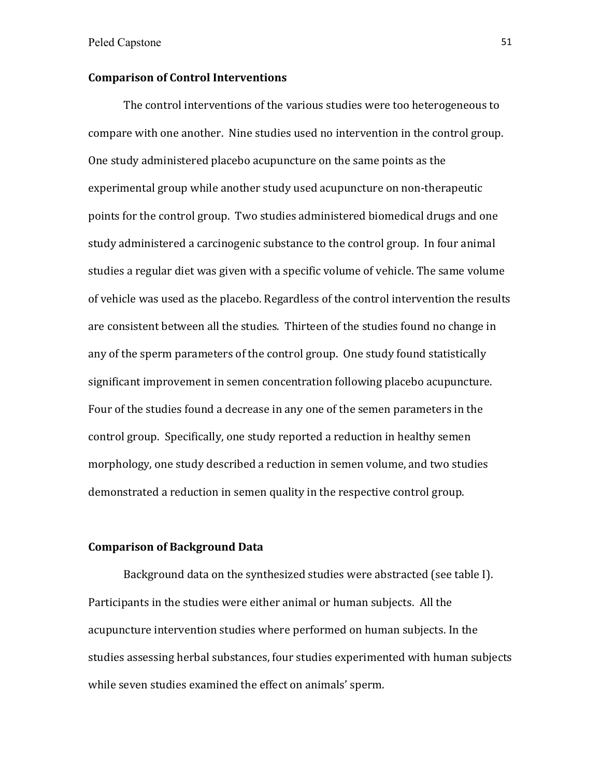## **Comparison of Control Interventions**

The control interventions of the various studies were too heterogeneous to compare with one another. Nine studies used no intervention in the control group. One study administered placebo acupuncture on the same points as the experimental group while another study used acupuncture on non-therapeutic points for the control group. Two studies administered biomedical drugs and one study administered a carcinogenic substance to the control group. In four animal studies a regular diet was given with a specific volume of vehicle. The same volume of vehicle was used as the placebo. Regardless of the control intervention the results are consistent between all the studies. Thirteen of the studies found no change in any of the sperm parameters of the control group. One study found statistically significant improvement in semen concentration following placebo acupuncture. Four of the studies found a decrease in any one of the semen parameters in the control group. Specifically, one study reported a reduction in healthy semen morphology, one study described a reduction in semen volume, and two studies demonstrated a reduction in semen quality in the respective control group.

## **Comparison of Background Data**

Background data on the synthesized studies were abstracted (see table I). Participants in the studies were either animal or human subjects. All the acupuncture intervention studies where performed on human subjects. In the studies assessing herbal substances, four studies experimented with human subjects while seven studies examined the effect on animals' sperm.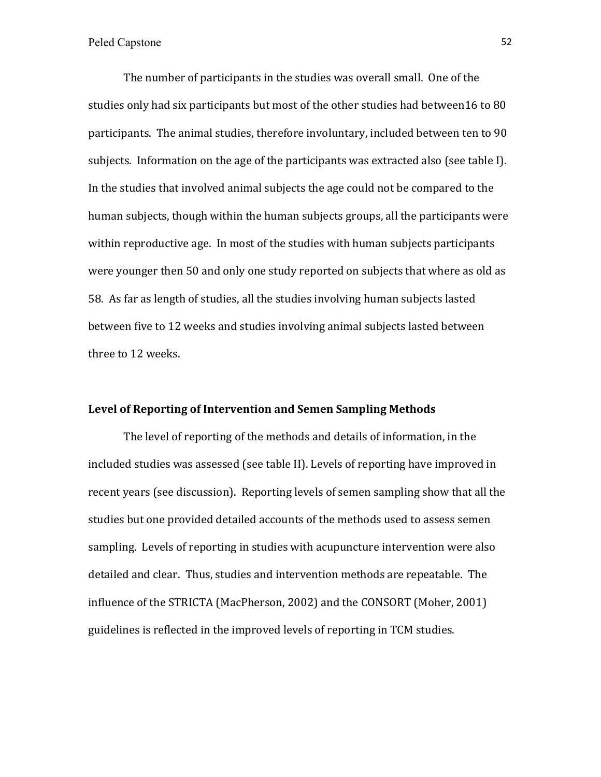The number of participants in the studies was overall small. One of the studies only had six participants but most of the other studies had between16 to 80 participants. The animal studies, therefore involuntary, included between ten to 90 subjects. Information on the age of the participants was extracted also (see table I). In the studies that involved animal subjects the age could not be compared to the human subjects, though within the human subjects groups, all the participants were within reproductive age. In most of the studies with human subjects participants were vounger then 50 and only one study reported on subjects that where as old as 58. As far as length of studies, all the studies involving human subjects lasted between five to 12 weeks and studies involving animal subjects lasted between three to 12 weeks.

#### Level of Reporting of Intervention and Semen Sampling Methods

The level of reporting of the methods and details of information, in the included studies was assessed (see table II). Levels of reporting have improved in recent vears (see discussion). Reporting levels of semen sampling show that all the studies but one provided detailed accounts of the methods used to assess semen sampling. Levels of reporting in studies with acupuncture intervention were also detailed and clear. Thus, studies and intervention methods are repeatable. The influence of the STRICTA (MacPherson, 2002) and the CONSORT (Moher, 2001) guidelines is reflected in the improved levels of reporting in TCM studies.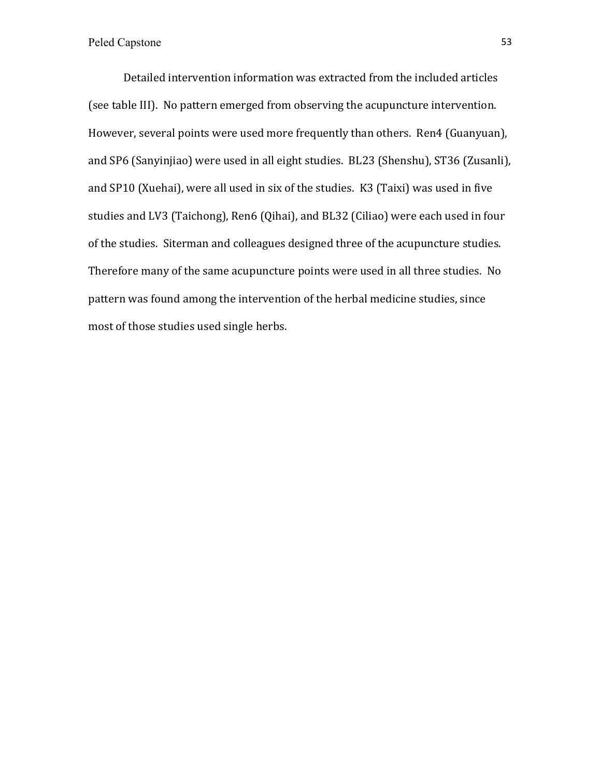Detailed intervention information was extracted from the included articles (see table III). No pattern emerged from observing the acupuncture intervention. However, several points were used more frequently than others. Ren4 (Guanyuan), and SP6 (Sanyinjiao) were used in all eight studies. BL23 (Shenshu), ST36 (Zusanli), and SP10 (Xuehai), were all used in six of the studies. K3 (Taixi) was used in five studies and LV3 (Taichong), Ren6 (Qihai), and BL32 (Ciliao) were each used in four of the studies. Siterman and colleagues designed three of the acupuncture studies. Therefore many of the same acupuncture points were used in all three studies. No pattern was found among the intervention of the herbal medicine studies, since most of those studies used single herbs.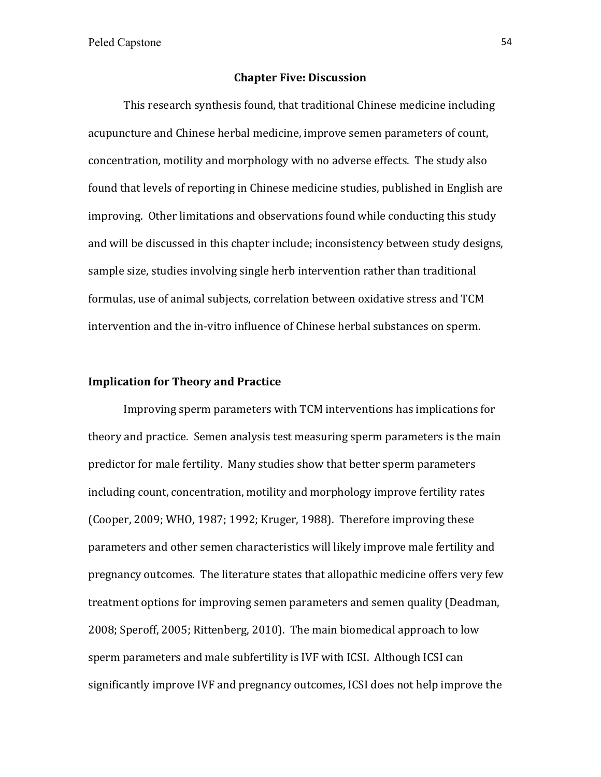## **Chapter Five: Discussion**

This research synthesis found, that traditional Chinese medicine including acupuncture and Chinese herbal medicine, improve semen parameters of count, concentration, motility and morphology with no adverse effects. The study also found that levels of reporting in Chinese medicine studies, published in English are improving. Other limitations and observations found while conducting this study and will be discussed in this chapter include; inconsistency between study designs, sample size, studies involving single herb intervention rather than traditional formulas, use of animal subjects, correlation between oxidative stress and TCM intervention and the in-vitro influence of Chinese herbal substances on sperm.

#### **Implication for Theory and Practice**

Improving sperm parameters with TCM interventions has implications for theory and practice. Semen analysis test measuring sperm parameters is the main predictor for male fertility. Many studies show that better sperm parameters including count, concentration, motility and morphology improve fertility rates (Cooper, 2009; WHO, 1987; 1992; Kruger, 1988). Therefore improving these parameters and other semen characteristics will likely improve male fertility and pregnancy outcomes. The literature states that allopathic medicine offers very few treatment options for improving semen parameters and semen quality (Deadman, 2008; Speroff, 2005; Rittenberg, 2010). The main biomedical approach to low sperm parameters and male subfertility is IVF with ICSI. Although ICSI can significantly improve IVF and pregnancy outcomes, ICSI does not help improve the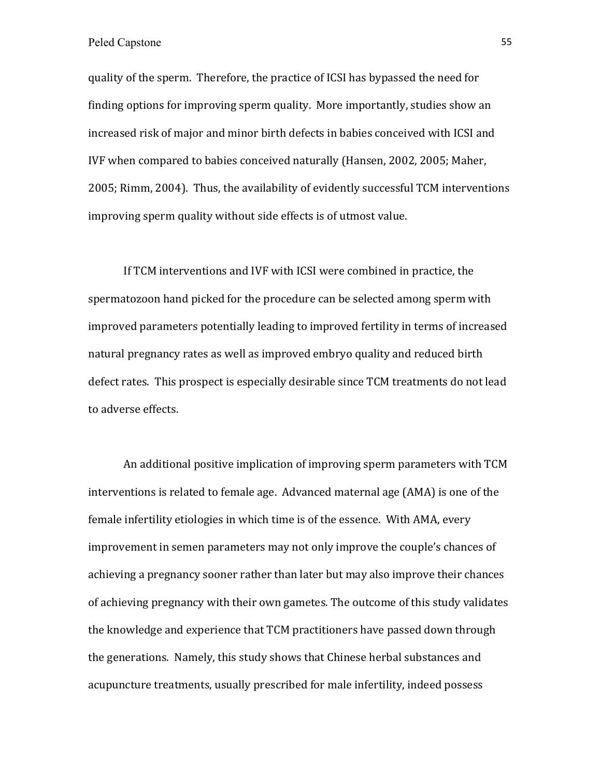quality of the sperm. Therefore, the practice of ICSI has bypassed the need for finding options for improving sperm quality. More importantly, studies show an increased risk of major and minor birth defects in babies conceived with ICSI and IVF when compared to babies conceived naturally (Hansen, 2002, 2005; Maher, 2005; Rimm, 2004). Thus, the availability of evidently successful TCM interventions improving sperm quality without side effects is of utmost value.

If TCM interventions and IVF with ICSI were combined in practice, the spermatozoon hand picked for the procedure can be selected among sperm with improved parameters potentially leading to improved fertility in terms of increased natural pregnancy rates as well as improved embryo quality and reduced birth defect rates. This prospect is especially desirable since TCM treatments do not lead to adverse effects.

An additional positive implication of improving sperm parameters with TCM interventions is related to female age. Advanced maternal age (AMA) is one of the female infertility etiologies in which time is of the essence. With AMA, every improvement in semen parameters may not only improve the couple's chances of achieving a pregnancy sooner rather than later but may also improve their chances of achieving pregnancy with their own gametes. The outcome of this study validates the knowledge and experience that TCM practitioners have passed down through the generations. Namely, this study shows that Chinese herbal substances and acupuncture treatments, usually prescribed for male infertility, indeed possess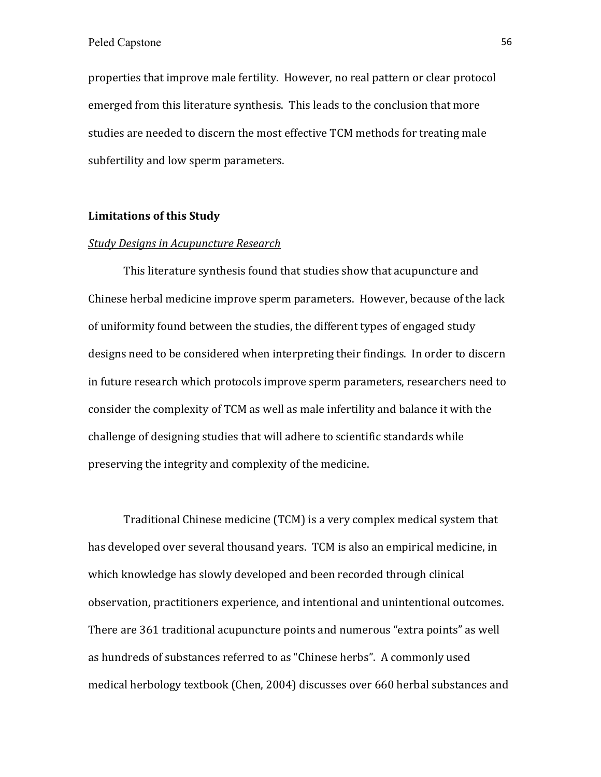properties that improve male fertility. However, no real pattern or clear protocol emerged from this literature synthesis. This leads to the conclusion that more studies are needed to discern the most effective TCM methods for treating male subfertility and low sperm parameters.

## Limitations of this Study

#### **Study Designs in Acupuncture Research**

This literature synthesis found that studies show that acupuncture and Chinese herbal medicine improve sperm parameters. However, because of the lack of uniformity found between the studies, the different types of engaged study designs need to be considered when interpreting their findings. In order to discern in future research which protocols improve sperm parameters, researchers need to consider the complexity of TCM as well as male infertility and balance it with the challenge of designing studies that will adhere to scientific standards while preserving the integrity and complexity of the medicine.

Traditional Chinese medicine (TCM) is a very complex medical system that has developed over several thousand years. TCM is also an empirical medicine, in which knowledge has slowly developed and been recorded through clinical observation, practitioners experience, and intentional and unintentional outcomes. There are 361 traditional acupuncture points and numerous "extra points" as well as hundreds of substances referred to as "Chinese herbs". A commonly used medical herbology textbook (Chen, 2004) discusses over 660 herbal substances and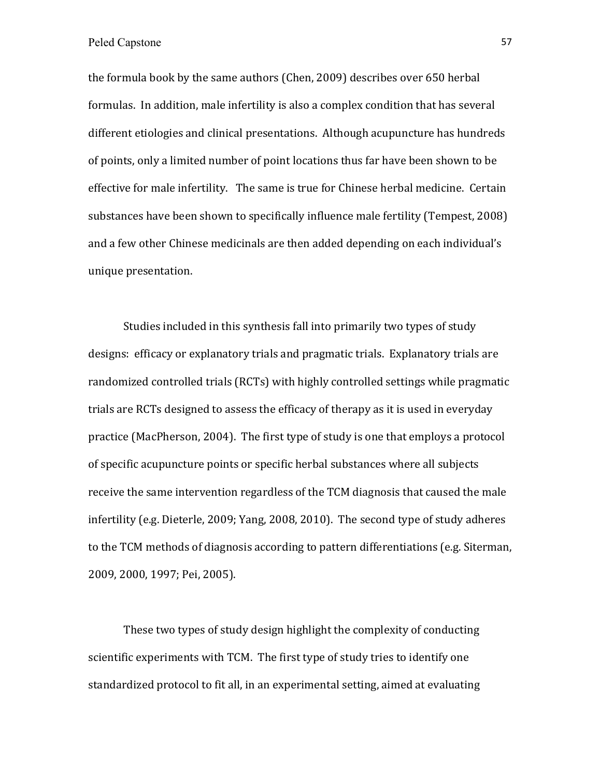the formula book by the same authors  $(Chen, 2009)$  describes over 650 herbal formulas. In addition, male infertility is also a complex condition that has several different etiologies and clinical presentations. Although acupuncture has hundreds of points, only a limited number of point locations thus far have been shown to be effective for male infertility. The same is true for Chinese herbal medicine. Certain substances have been shown to specifically influence male fertility (Tempest, 2008) and a few other Chinese medicinals are then added depending on each individual's unique presentation.

Studies included in this synthesis fall into primarily two types of study designs: efficacy or explanatory trials and pragmatic trials. Explanatory trials are randomized controlled trials (RCTs) with highly controlled settings while pragmatic trials are RCTs designed to assess the efficacy of therapy as it is used in everyday practice (MacPherson, 2004). The first type of study is one that employs a protocol of specific acupuncture points or specific herbal substances where all subjects receive the same intervention regardless of the TCM diagnosis that caused the male infertility  $(e.g.$  Dieterle,  $2009$ ; Yang,  $2008$ ,  $2010$ ). The second type of study adheres to the TCM methods of diagnosis according to pattern differentiations (e.g. Siterman, 2009, 2000, 1997; Pei, 2005).

These two types of study design highlight the complexity of conducting scientific experiments with TCM. The first type of study tries to identify one standardized protocol to fit all, in an experimental setting, aimed at evaluating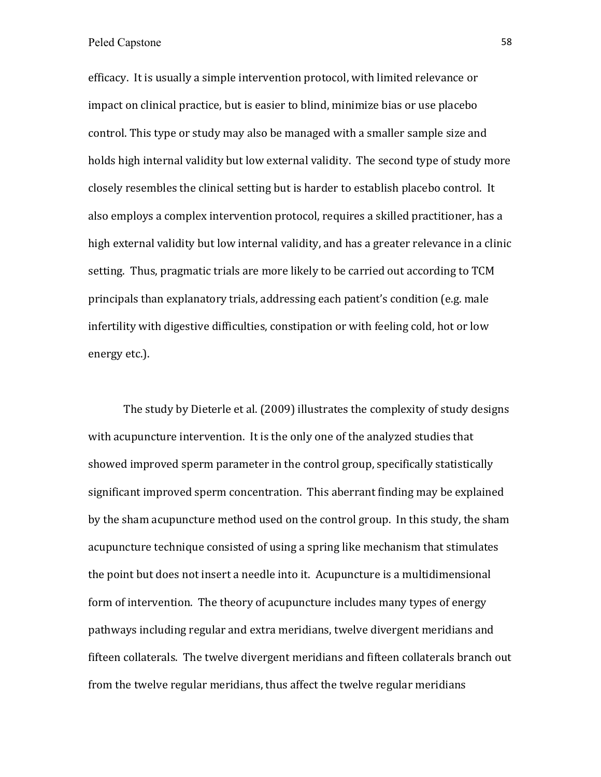efficacy. It is usually a simple intervention protocol, with limited relevance or impact on clinical practice, but is easier to blind, minimize bias or use placebo control. This type or study may also be managed with a smaller sample size and holds high internal validity but low external validity. The second type of study more closely resembles the clinical setting but is harder to establish placebo control. It also employs a complex intervention protocol, requires a skilled practitioner, has a high external validity but low internal validity, and has a greater relevance in a clinic setting. Thus, pragmatic trials are more likely to be carried out according to TCM principals than explanatory trials, addressing each patient's condition (e.g. male infertility with digestive difficulties, constipation or with feeling cold, hot or low energy etc.).

The study by Dieterle et al. (2009) illustrates the complexity of study designs with acupuncture intervention. It is the only one of the analyzed studies that showed improved sperm parameter in the control group, specifically statistically significant improved sperm concentration. This aberrant finding may be explained by the sham acupuncture method used on the control group. In this study, the sham acupuncture technique consisted of using a spring like mechanism that stimulates the point but does not insert a needle into it. Acupuncture is a multidimensional form of intervention. The theory of acupuncture includes many types of energy pathways including regular and extra meridians, twelve divergent meridians and fifteen collaterals. The twelve divergent meridians and fifteen collaterals branch out from the twelve regular meridians, thus affect the twelve regular meridians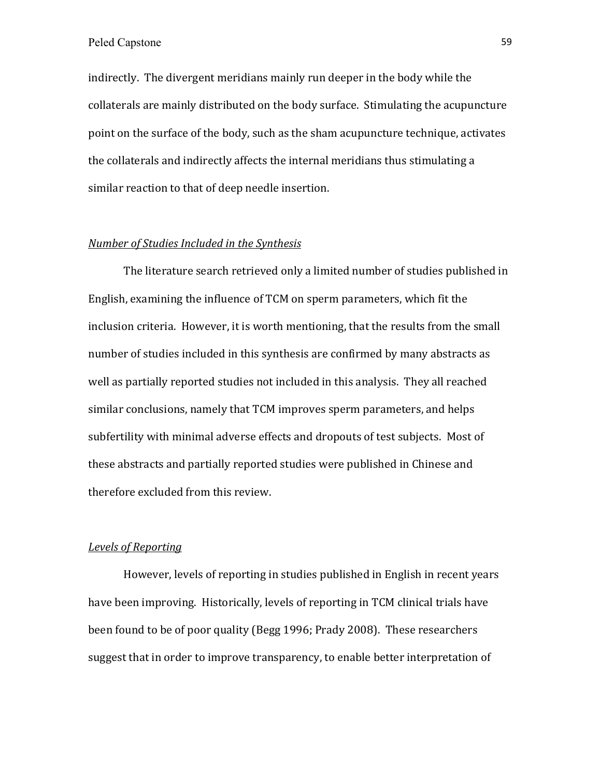indirectly. The divergent meridians mainly run deeper in the body while the collaterals are mainly distributed on the body surface. Stimulating the acupuncture point on the surface of the body, such as the sham acupuncture technique, activates the collaterals and indirectly affects the internal meridians thus stimulating a similar reaction to that of deep needle insertion.

#### *Number of Studies Included in the Synthesis*

The literature search retrieved only a limited number of studies published in English, examining the influence of TCM on sperm parameters, which fit the inclusion criteria. However, it is worth mentioning, that the results from the small number of studies included in this synthesis are confirmed by many abstracts as well as partially reported studies not included in this analysis. They all reached similar conclusions, namely that TCM improves sperm parameters, and helps subfertility with minimal adverse effects and dropouts of test subjects. Most of these abstracts and partially reported studies were published in Chinese and therefore excluded from this review.

# *Levels of Reporting*

However, levels of reporting in studies published in English in recent years have been improving. Historically, levels of reporting in TCM clinical trials have been found to be of poor quality (Begg 1996; Prady 2008). These researchers suggest that in order to improve transparency, to enable better interpretation of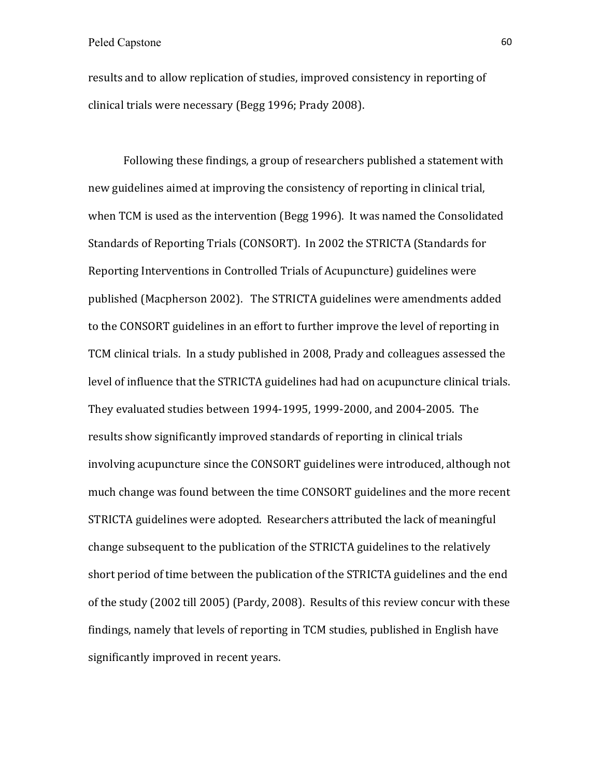results and to allow replication of studies, improved consistency in reporting of clinical trials were necessary (Begg 1996; Prady 2008).

Following these findings, a group of researchers published a statement with new guidelines aimed at improving the consistency of reporting in clinical trial, when TCM is used as the intervention (Begg 1996). It was named the Consolidated Standards of Reporting Trials (CONSORT). In 2002 the STRICTA (Standards for Reporting Interventions in Controlled Trials of Acupuncture) guidelines were published (Macpherson 2002). The STRICTA guidelines were amendments added to the CONSORT guidelines in an effort to further improve the level of reporting in TCM clinical trials. In a study published in 2008, Prady and colleagues assessed the level of influence that the STRICTA guidelines had had on acupuncture clinical trials. They evaluated studies between 1994-1995, 1999-2000, and 2004-2005. The results show significantly improved standards of reporting in clinical trials involving acupuncture since the CONSORT guidelines were introduced, although not much change was found between the time CONSORT guidelines and the more recent STRICTA guidelines were adopted. Researchers attributed the lack of meaningful change subsequent to the publication of the STRICTA guidelines to the relatively short period of time between the publication of the STRICTA guidelines and the end of the study (2002 till 2005) (Pardy, 2008). Results of this review concur with these findings, namely that levels of reporting in TCM studies, published in English have significantly improved in recent years.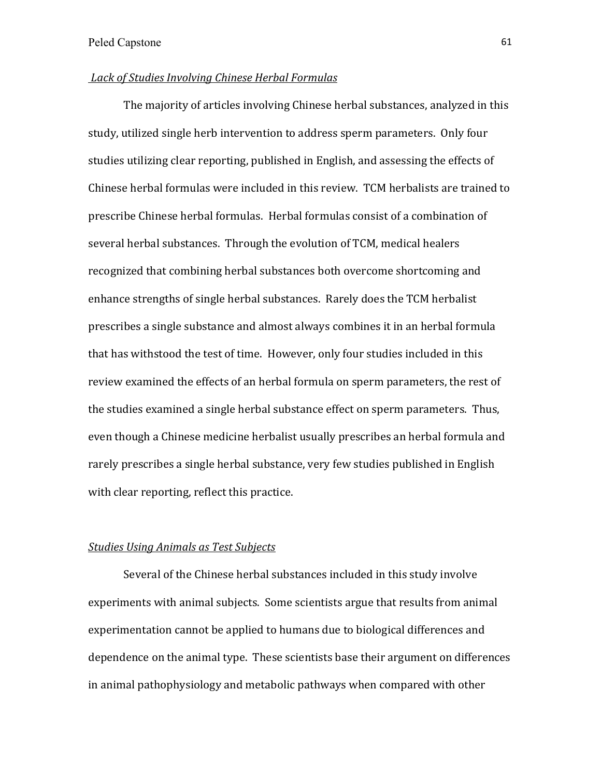## *Lack of Studies Involving Chinese Herbal Formulas*

The majority of articles involving Chinese herbal substances, analyzed in this study, utilized single herb intervention to address sperm parameters. Only four studies utilizing clear reporting, published in English, and assessing the effects of Chinese herbal formulas were included in this review. TCM herbalists are trained to prescribe Chinese herbal formulas. Herbal formulas consist of a combination of several herbal substances. Through the evolution of TCM, medical healers recognized that combining herbal substances both overcome shortcoming and enhance strengths of single herbal substances. Rarely does the TCM herbalist prescribes a single substance and almost always combines it in an herbal formula that has withstood the test of time. However, only four studies included in this review examined the effects of an herbal formula on sperm parameters, the rest of the studies examined a single herbal substance effect on sperm parameters. Thus, even though a Chinese medicine herbalist usually prescribes an herbal formula and rarely prescribes a single herbal substance, very few studies published in English with clear reporting, reflect this practice.

# *Studies Using Animals as Test Subjects*

Several of the Chinese herbal substances included in this study involve experiments with animal subjects. Some scientists argue that results from animal experimentation cannot be applied to humans due to biological differences and dependence on the animal type. These scientists base their argument on differences in animal pathophysiology and metabolic pathways when compared with other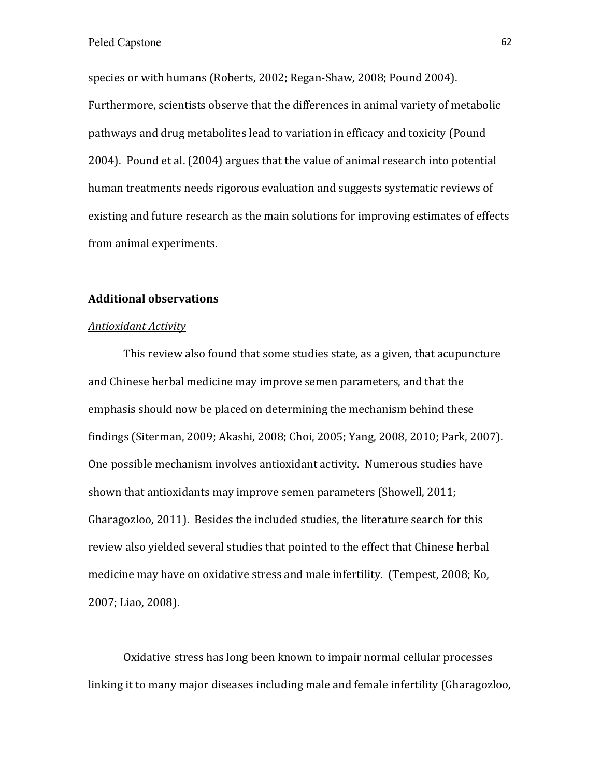species or with humans (Roberts, 2002; Regan-Shaw, 2008; Pound 2004). Furthermore, scientists observe that the differences in animal variety of metabolic pathways and drug metabolites lead to variation in efficacy and toxicity (Pound 2004). Pound et al. (2004) argues that the value of animal research into potential human treatments needs rigorous evaluation and suggests systematic reviews of existing and future research as the main solutions for improving estimates of effects from animal experiments.

# **Additional observations**

#### *Antioxidant Activity*

This review also found that some studies state, as a given, that acupuncture and Chinese herbal medicine may improve semen parameters, and that the emphasis should now be placed on determining the mechanism behind these findings (Siterman, 2009; Akashi, 2008; Choi, 2005; Yang, 2008, 2010; Park, 2007). One possible mechanism involves antioxidant activity. Numerous studies have shown that antioxidants may improve semen parameters  $(S$ howell, 2011; Gharagozloo, 2011). Besides the included studies, the literature search for this review also yielded several studies that pointed to the effect that Chinese herbal medicine may have on oxidative stress and male infertility. (Tempest, 2008; Ko, 2007; Liao, 2008).

Oxidative stress has long been known to impair normal cellular processes linking it to many major diseases including male and female infertility (Gharagozloo,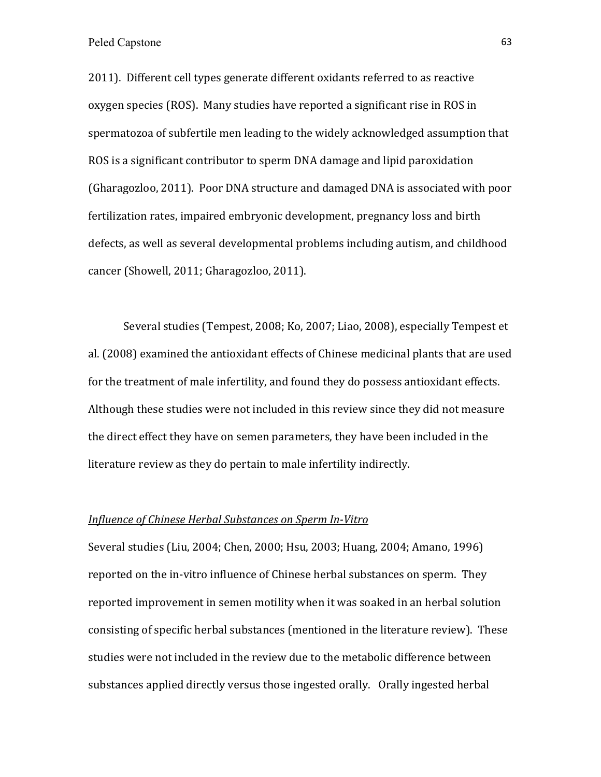2011). Different cell types generate different oxidants referred to as reactive oxygen species (ROS). Many studies have reported a significant rise in ROS in spermatozoa of subfertile men leading to the widely acknowledged assumption that ROS is a significant contributor to sperm DNA damage and lipid paroxidation (Gharagozloo, 2011). Poor DNA structure and damaged DNA is associated with poor fertilization rates, impaired embryonic development, pregnancy loss and birth defects, as well as several developmental problems including autism, and childhood cancer (Showell, 2011; Gharagozloo, 2011).

Several studies (Tempest, 2008; Ko, 2007; Liao, 2008), especially Tempest et al. (2008) examined the antioxidant effects of Chinese medicinal plants that are used for the treatment of male infertility, and found they do possess antioxidant effects. Although these studies were not included in this review since they did not measure the direct effect they have on semen parameters, they have been included in the literature review as they do pertain to male infertility indirectly.

## *Influence of Chinese Herbal Substances on Sperm In-Vitro*

Several studies (Liu, 2004; Chen, 2000; Hsu, 2003; Huang, 2004; Amano, 1996) reported on the in-vitro influence of Chinese herbal substances on sperm. They reported improvement in semen motility when it was soaked in an herbal solution consisting of specific herbal substances (mentioned in the literature review). These studies were not included in the review due to the metabolic difference between substances applied directly versus those ingested orally. Orally ingested herbal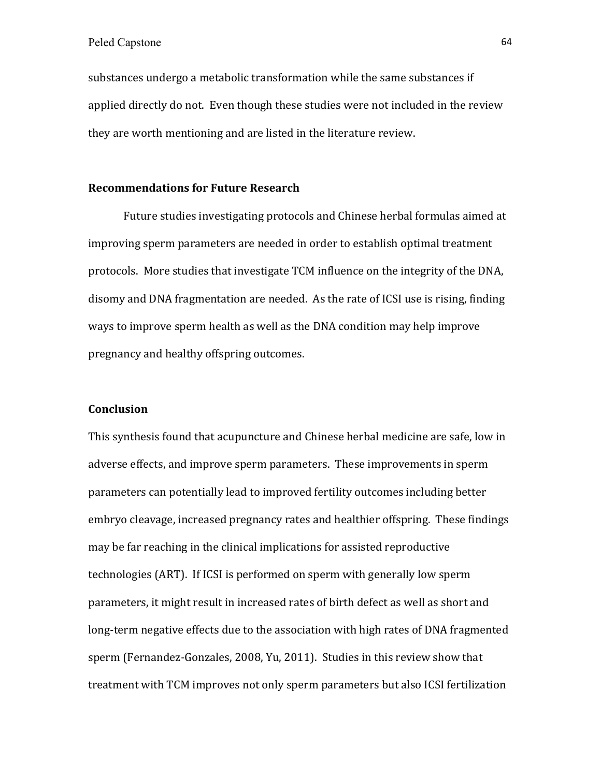substances undergo a metabolic transformation while the same substances if applied directly do not. Even though these studies were not included in the review they are worth mentioning and are listed in the literature review.

#### **Recommendations for Future Research**

Future studies investigating protocols and Chinese herbal formulas aimed at improving sperm parameters are needed in order to establish optimal treatment protocols. More studies that investigate TCM influence on the integrity of the DNA, disomy and DNA fragmentation are needed. As the rate of ICSI use is rising, finding ways to improve sperm health as well as the DNA condition may help improve pregnancy and healthy offspring outcomes.

#### **Conclusion**

This synthesis found that acupuncture and Chinese herbal medicine are safe, low in adverse effects, and improve sperm parameters. These improvements in sperm parameters can potentially lead to improved fertility outcomes including better embryo cleavage, increased pregnancy rates and healthier offspring. These findings may be far reaching in the clinical implications for assisted reproductive technologies (ART). If ICSI is performed on sperm with generally low sperm parameters, it might result in increased rates of birth defect as well as short and long-term negative effects due to the association with high rates of DNA fragmented sperm (Fernandez-Gonzales, 2008, Yu, 2011). Studies in this review show that treatment with TCM improves not only sperm parameters but also ICSI fertilization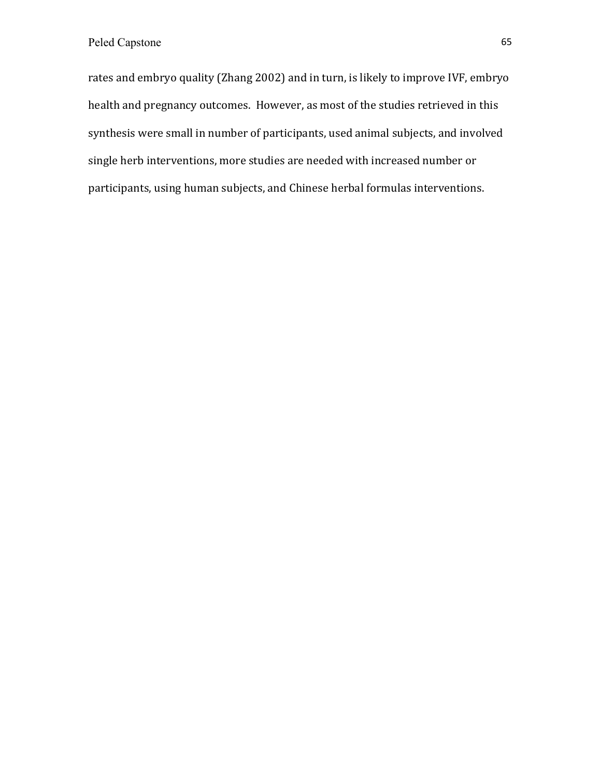rates and embryo quality (Zhang 2002) and in turn, is likely to improve IVF, embryo health and pregnancy outcomes. However, as most of the studies retrieved in this synthesis were small in number of participants, used animal subjects, and involved single herb interventions, more studies are needed with increased number or participants, using human subjects, and Chinese herbal formulas interventions.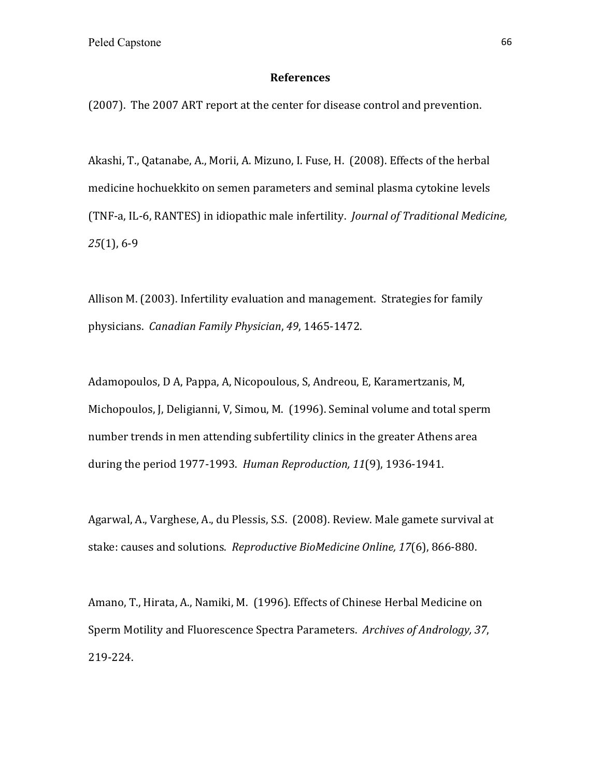### **References**

(2007). The 2007 ART report at the center for disease control and prevention.

Akashi, T., Qatanabe, A., Morii, A. Mizuno, I. Fuse, H. (2008). Effects of the herbal medicine hochuekkito on semen parameters and seminal plasma cytokine levels (TNF-a, IL-6, RANTES) in idiopathic male infertility. *Journal of Traditional Medicine*, 25(1), 6-9

Allison M. (2003). Infertility evaluation and management. Strategies for family physicians. *Canadian Family Physician*, *49*, 1465-1472. 

Adamopoulos, D A, Pappa, A, Nicopoulous, S, Andreou, E, Karamertzanis, M, Michopoulos, J, Deligianni, V, Simou, M. (1996). Seminal volume and total sperm number trends in men attending subfertility clinics in the greater Athens area during the period 1977-1993. *Human Reproduction, 11*(9), 1936-1941.

Agarwal, A., Varghese, A., du Plessis, S.S. (2008). Review. Male gamete survival at stake: causes and solutions. Reproductive BioMedicine Online, 17(6), 866-880.

Amano, T., Hirata, A., Namiki, M. (1996). Effects of Chinese Herbal Medicine on Sperm Motility and Fluorescence Spectra Parameters. Archives of Andrology, 37, 219-224.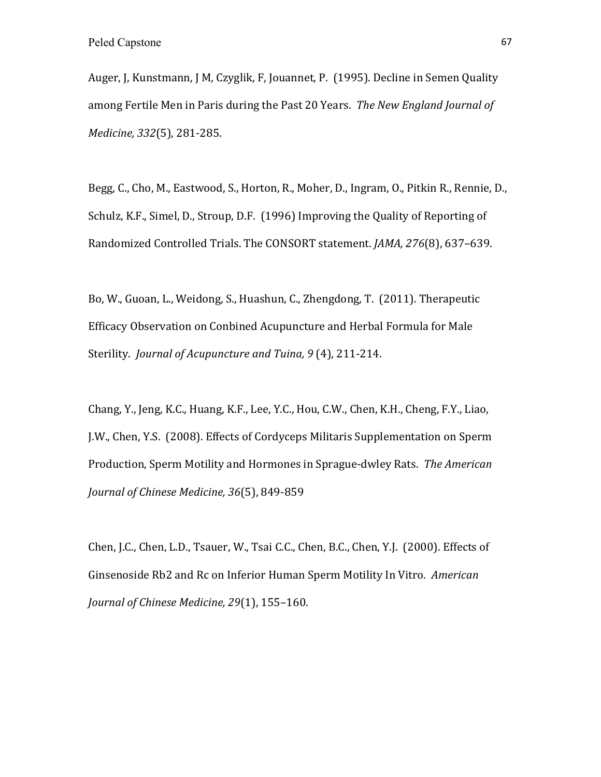Auger, J. Kunstmann, J M. Czyglik, F. Jouannet, P. (1995). Decline in Semen Quality among Fertile Men in Paris during the Past 20 Years. The New England Journal of *Medicine, 332*(5), 281-285. 

Begg, C., Cho, M., Eastwood, S., Horton, R., Moher, D., Ingram, O., Pitkin R., Rennie, D., Schulz, K.F., Simel, D., Stroup, D.F. (1996) Improving the Quality of Reporting of Randomized Controlled Trials. The CONSORT statement. *JAMA*, 276(8), 637-639.

Bo, W., Guoan, L., Weidong, S., Huashun, C., Zhengdong, T. (2011). Therapeutic Efficacy Observation on Conbined Acupuncture and Herbal Formula for Male Sterility. *Journal of Acupuncture and Tuina*, 9(4), 211-214.

Chang, Y., Jeng, K.C., Huang, K.F., Lee, Y.C., Hou, C.W., Chen, K.H., Cheng, F.Y., Liao, J.W., Chen, Y.S. (2008). Effects of Cordyceps Militaris Supplementation on Sperm Production, Sperm Motility and Hormones in Sprague-dwley Rats. The American *Journal of Chinese Medicine, 36*(5), 849-859

Chen, J.C., Chen, L.D., Tsauer, W., Tsai C.C., Chen, B.C., Chen, Y.J. (2000). Effects of Ginsenoside Rb2 and Rc on Inferior Human Sperm Motility In Vitro. American *Journal of Chinese Medicine, 29*(1), 155-160.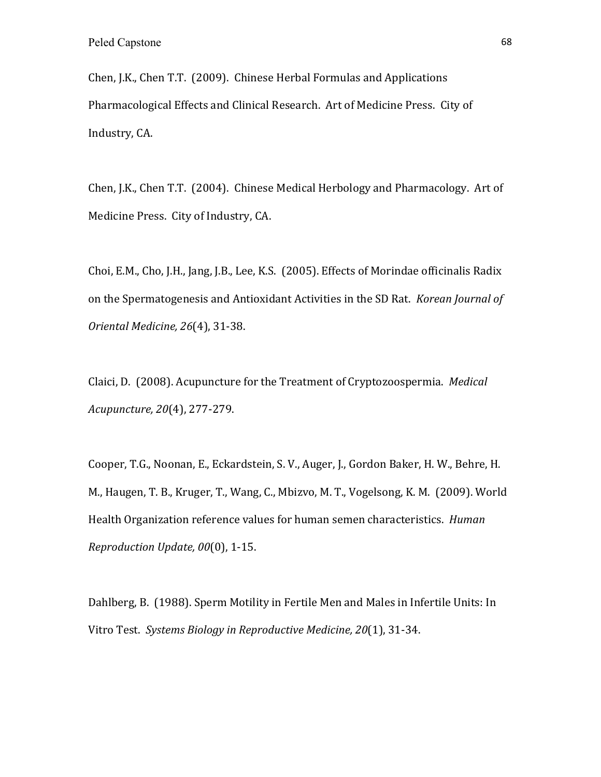Chen, J.K., Chen T.T. (2009). Chinese Herbal Formulas and Applications Pharmacological Effects and Clinical Research. Art of Medicine Press. City of Industry, CA.

Chen, J.K., Chen T.T. (2004). Chinese Medical Herbology and Pharmacology. Art of Medicine Press. City of Industry, CA.

Choi, E.M., Cho, J.H., Jang, J.B., Lee, K.S. (2005). Effects of Morindae officinalis Radix on the Spermatogenesis and Antioxidant Activities in the SD Rat. *Korean Journal of Oriental Medicine, 26*(4), 31-38. 

Claici, D. (2008). Acupuncture for the Treatment of Cryptozoospermia. *Medical Acupuncture, 20*(4), 277-279. 

Cooper, T.G., Noonan, E., Eckardstein, S. V., Auger, J., Gordon Baker, H. W., Behre, H. M., Haugen, T. B., Kruger, T., Wang, C., Mbizvo, M. T., Vogelsong, K. M. (2009). World Health Organization reference values for human semen characteristics. *Human Reproduction Update, 00*(0), 1-15.

Dahlberg, B. (1988). Sperm Motility in Fertile Men and Males in Infertile Units: In Vitro Test. Systems Biology in Reproductive Medicine, 20(1), 31-34.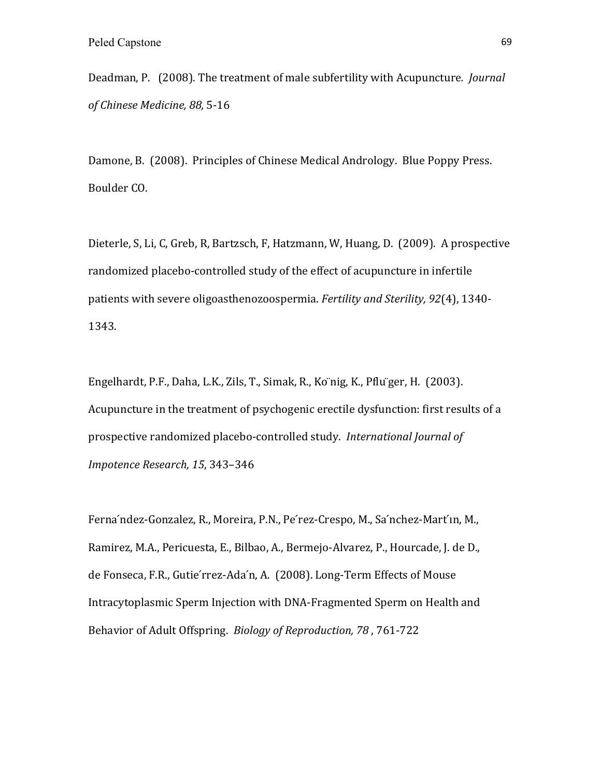Deadman, P. (2008). The treatment of male subfertility with Acupuncture. *Journal of Chinese Medicine, 88,* 5-16

Damone, B. (2008). Principles of Chinese Medical Andrology. Blue Poppy Press. Boulder CO.

Dieterle, S, Li, C, Greb, R, Bartzsch, F, Hatzmann, W, Huang, D. (2009). A prospective randomized placebo-controlled study of the effect of acupuncture in infertile patients with severe oligoasthenozoospermia. Fertility and Sterility, 92(4), 1340-1343.

Engelhardt, P.F., Daha, L.K., Zils, T., Simak, R., Ko'nig, K., Pflu'ger, H. (2003). Acupuncture in the treatment of psychogenic erectile dysfunction: first results of a prospective randomized placebo-controlled study. International Journal of *Impotence Research, 15*, 343–346

Ferna'ndez-Gonzalez, R., Moreira, P.N., Pe'rez-Crespo, M., Sa'nchez-Mart'ın, M., Ramirez, M.A., Pericuesta, E., Bilbao, A., Bermejo-Alvarez, P., Hourcade, J. de D., de Fonseca, F.R., Gutie'rrez-Ada'n, A. (2008). Long-Term Effects of Mouse Intracytoplasmic Sperm Injection with DNA-Fragmented Sperm on Health and Behavior of Adult Offspring. Biology of Reproduction, 78, 761-722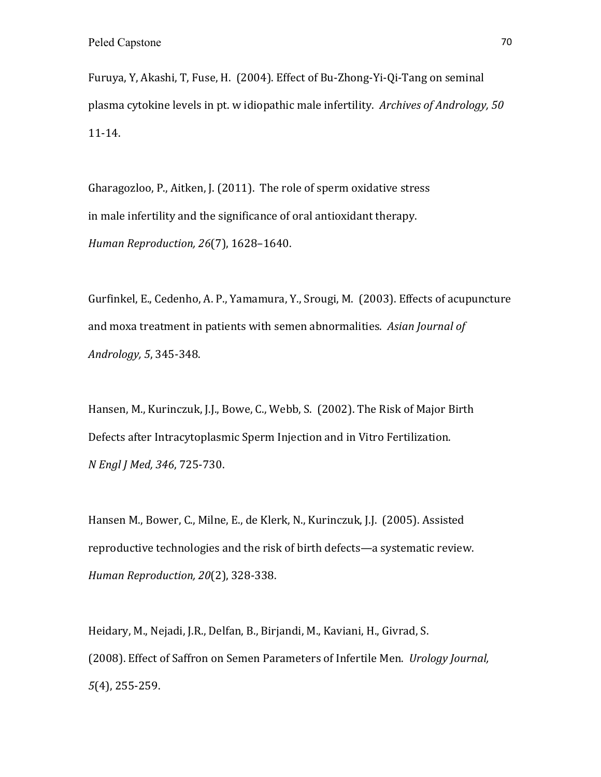Furuya, Y, Akashi, T, Fuse, H. (2004). Effect of Bu-Zhong-Yi-Qi-Tang on seminal plasma cytokine levels in pt. w idiopathic male infertility. Archives of Andrology, 50 11-14. 

Gharagozloo, P., Aitken, J. (2011). The role of sperm oxidative stress in male infertility and the significance of oral antioxidant therapy. *Human Reproduction, 26*(7), 1628-1640.

Gurfinkel, E., Cedenho, A. P., Yamamura, Y., Srougi, M. (2003). Effects of acupuncture and moxa treatment in patients with semen abnormalities. Asian Journal of *Andrology, 5*, 345-348. 

Hansen, M., Kurinczuk, J.J., Bowe, C., Webb, S. (2002). The Risk of Major Birth Defects after Intracytoplasmic Sperm Injection and in Vitro Fertilization. *N Engl J Med, 346*, 725-730.

Hansen M., Bower, C., Milne, E., de Klerk, N., Kurinczuk, J.J. (2005). Assisted reproductive technologies and the risk of birth defects—a systematic review. *Human Reproduction, 20*(2), 328-338.

Heidary, M., Nejadi, J.R., Delfan, B., Birjandi, M., Kaviani, H., Givrad, S. (2008). Effect of Saffron on Semen Parameters of Infertile Men. *Urology Journal*, *5*(4), 255-259.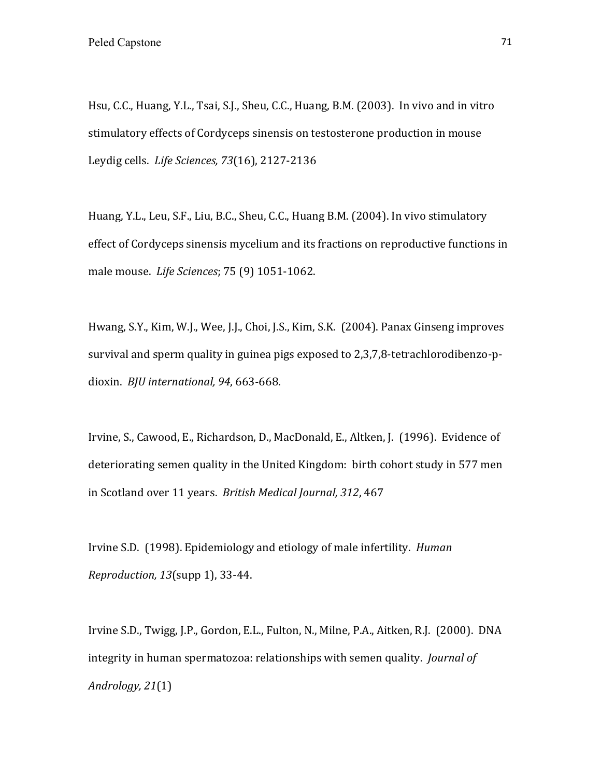Hsu, C.C., Huang, Y.L., Tsai, S.J., Sheu, C.C., Huang, B.M. (2003). In vivo and in vitro stimulatory effects of Cordyceps sinensis on testosterone production in mouse Leydig cells. *Life Sciences, 73*(16), 2127-2136

Huang, Y.L., Leu, S.F., Liu, B.C., Sheu, C.C., Huang B.M. (2004). In vivo stimulatory effect of Cordyceps sinensis mycelium and its fractions on reproductive functions in male mouse. *Life Sciences*; 75 (9) 1051-1062.

Hwang, S.Y., Kim, W.J., Wee, J.J., Choi, J.S., Kim, S.K. (2004). Panax Ginseng improves survival and sperm quality in guinea pigs exposed to 2,3,7,8-tetrachlorodibenzo-pdioxin. *BJU* international, 94, 663-668.

Irvine, S., Cawood, E., Richardson, D., MacDonald, E., Altken, J. (1996). Evidence of deteriorating semen quality in the United Kingdom: birth cohort study in 577 men in Scotland over 11 years. British Medical Journal, 312, 467

Irvine S.D. (1998). Epidemiology and etiology of male infertility. *Human Reproduction, 13*(supp 1), 33-44. 

Irvine S.D., Twigg, J.P., Gordon, E.L., Fulton, N., Milne, P.A., Aitken, R.J. (2000). DNA integrity in human spermatozoa: relationships with semen quality. *Journal of Andrology, 21*(1)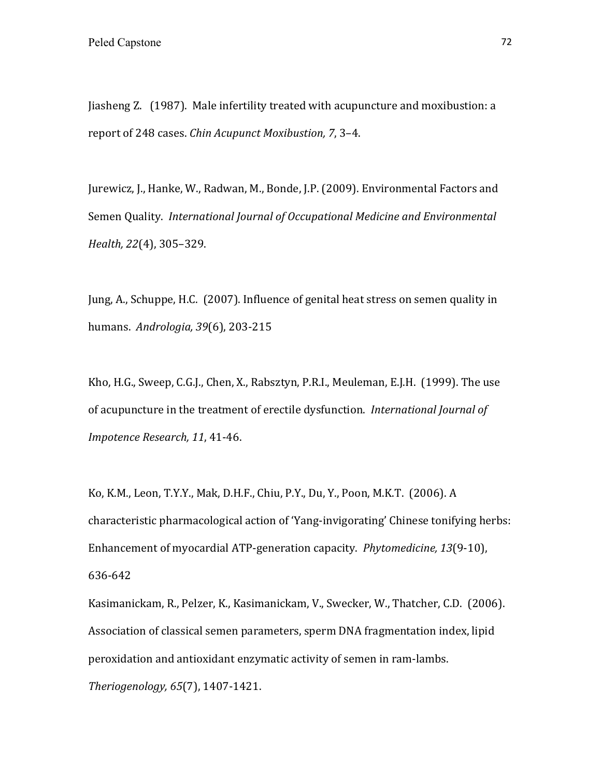Jiasheng Z. (1987). Male infertility treated with acupuncture and moxibustion: a report of 248 cases. *Chin Acupunct Moxibustion, 7, 3-4.* 

Jurewicz, J., Hanke, W., Radwan, M., Bonde, J.P. (2009). Environmental Factors and Semen Quality. *International Journal of Occupational Medicine and Environmental Health, 22*(4), 305–329. 

Jung, A., Schuppe, H.C. (2007). Influence of genital heat stress on semen quality in humans. *Andrologia*, 39(6), 203-215

Kho, H.G., Sweep, C.G.J., Chen, X., Rabsztyn, P.R.I., Meuleman, E.J.H. (1999). The use of acupuncture in the treatment of erectile dysfunction. *International Journal of Impotence Research, 11*, 41-46.

Ko, K.M., Leon, T.Y.Y., Mak, D.H.F., Chiu, P.Y., Du, Y., Poon, M.K.T. (2006). A characteristic pharmacological action of 'Yang-invigorating' Chinese tonifying herbs: Enhancement of myocardial ATP-generation capacity. *Phytomedicine*, 13(9-10), 636-642

Kasimanickam, R., Pelzer, K., Kasimanickam, V., Swecker, W., Thatcher, C.D. (2006). Association of classical semen parameters, sperm DNA fragmentation index, lipid peroxidation and antioxidant enzymatic activity of semen in ram-lambs. *Theriogenology, 65*(7), 1407-1421.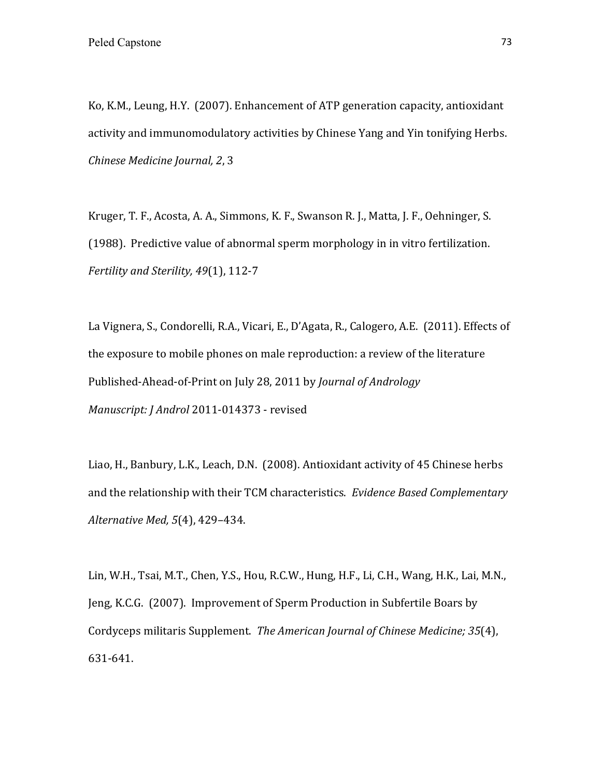Ko, K.M., Leung, H.Y. (2007). Enhancement of ATP generation capacity, antioxidant activity and immunomodulatory activities by Chinese Yang and Yin tonifying Herbs. *Chinese Medicine Journal, 2*, 3

Kruger, T. F., Acosta, A. A., Simmons, K. F., Swanson R. J., Matta, J. F., Oehninger, S. (1988). Predictive value of abnormal sperm morphology in in vitro fertilization. *Fertility and Sterility, 49*(1), 112-7

La Vignera, S., Condorelli, R.A., Vicari, E., D'Agata, R., Calogero, A.E. (2011). Effects of the exposure to mobile phones on male reproduction: a review of the literature Published-Ahead-of-Print on July 28, 2011 by *Journal of Andrology Manuscript: J Androl* 2011-014373 - revised

Liao, H., Banbury, L.K., Leach, D.N. (2008). Antioxidant activity of 45 Chinese herbs and the relationship with their TCM characteristics. *Evidence Based Complementary Alternative Med, 5*(4), 429–434.

Lin, W.H., Tsai, M.T., Chen, Y.S., Hou, R.C.W., Hung, H.F., Li, C.H., Wang, H.K., Lai, M.N., Jeng, K.C.G. (2007). Improvement of Sperm Production in Subfertile Boars by Cordyceps militaris Supplement. The American Journal of Chinese Medicine; 35(4), 631-641.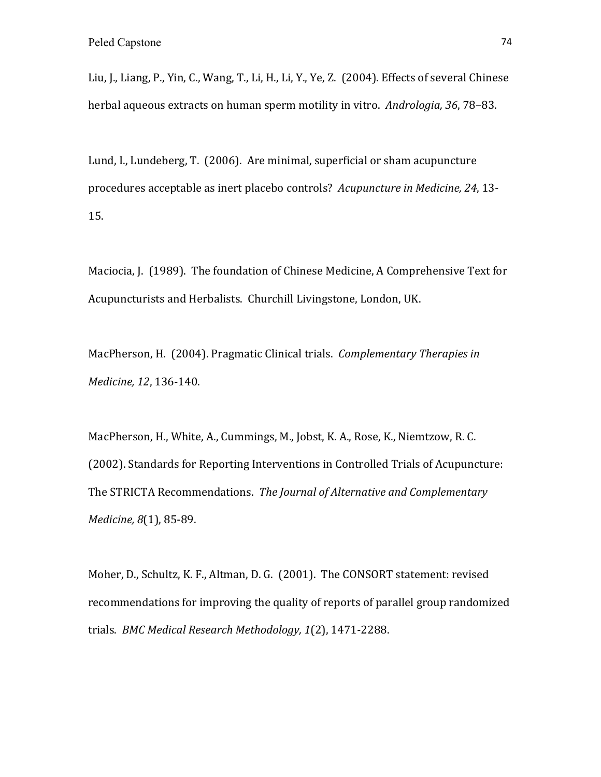Liu, J., Liang, P., Yin, C., Wang, T., Li, H., Li, Y., Ye, Z. (2004). Effects of several Chinese herbal aqueous extracts on human sperm motility in vitro. Andrologia, 36, 78–83.

Lund, I., Lundeberg, T. (2006). Are minimal, superficial or sham acupuncture procedures acceptable as inert placebo controls? Acupuncture in Medicine, 24, 13-15. 

Maciocia, J. (1989). The foundation of Chinese Medicine, A Comprehensive Text for Acupuncturists and Herbalists. Churchill Livingstone, London, UK.

MacPherson, H. (2004). Pragmatic Clinical trials. *Complementary Therapies in Medicine, 12*, 136-140.

MacPherson, H., White, A., Cummings, M., Jobst, K. A., Rose, K., Niemtzow, R. C. (2002). Standards for Reporting Interventions in Controlled Trials of Acupuncture: The STRICTA Recommendations. The Journal of Alternative and Complementary *Medicine, 8*(1), 85-89.

Moher, D., Schultz, K. F., Altman, D. G. (2001). The CONSORT statement: revised recommendations for improving the quality of reports of parallel group randomized trials. *BMC Medical Research Methodology, 1*(2), 1471-2288.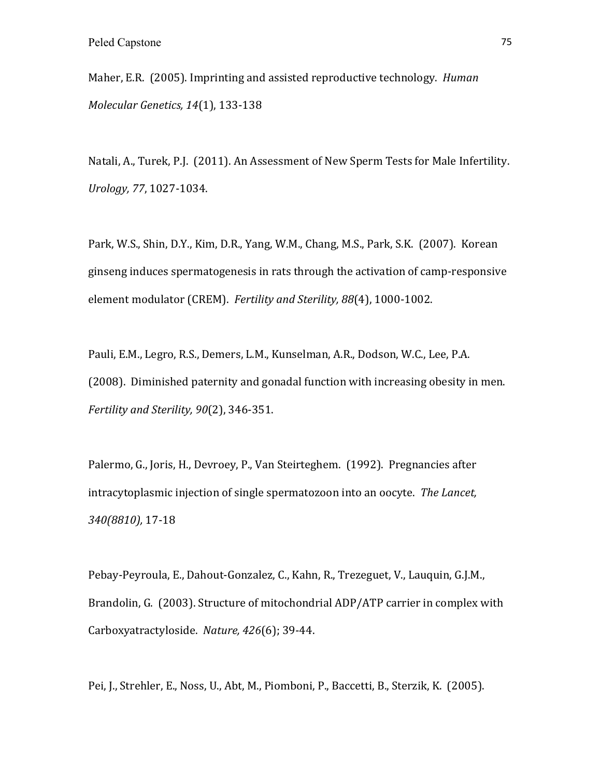Maher, E.R. (2005). Imprinting and assisted reproductive technology. *Human Molecular Genetics, 14*(1), 133-138

Natali, A., Turek, P.J. (2011). An Assessment of New Sperm Tests for Male Infertility. *Urology, 77*, 1027-1034.

Park, W.S., Shin, D.Y., Kim, D.R., Yang, W.M., Chang, M.S., Park, S.K. (2007). Korean ginseng induces spermatogenesis in rats through the activation of camp-responsive element modulator (CREM). Fertility and Sterility, 88(4), 1000-1002.

Pauli, E.M., Legro, R.S., Demers, L.M., Kunselman, A.R., Dodson, W.C., Lee, P.A. (2008). Diminished paternity and gonadal function with increasing obesity in men. *Fertility and Sterility,* 90(2), 346-351.

Palermo, G., Joris, H., Devroey, P., Van Steirteghem. (1992). Pregnancies after intracytoplasmic injection of single spermatozoon into an oocyte. The Lancet, *340(8810),* 17-18

Pebay-Peyroula, E., Dahout-Gonzalez, C., Kahn, R., Trezeguet, V., Lauquin, G.J.M., Brandolin, G. (2003). Structure of mitochondrial ADP/ATP carrier in complex with Carboxyatractyloside. Nature, 426(6); 39-44.

Pei, J., Strehler, E., Noss, U., Abt, M., Piomboni, P., Baccetti, B., Sterzik, K. (2005).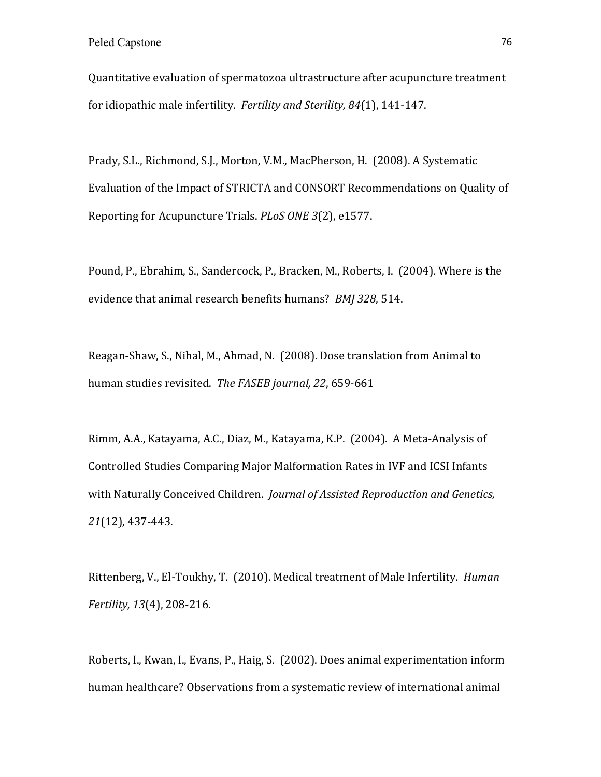Quantitative evaluation of spermatozoa ultrastructure after acupuncture treatment for idiopathic male infertility. Fertility and Sterility, 84(1), 141-147.

Prady, S.L., Richmond, S.J., Morton, V.M., MacPherson, H. (2008). A Systematic Evaluation of the Impact of STRICTA and CONSORT Recommendations on Quality of Reporting for Acupuncture Trials. *PLoS ONE* 3(2), e1577.

Pound, P., Ebrahim, S., Sandercock, P., Bracken, M., Roberts, I. (2004). Where is the evidence that animal research benefits humans? *BMJ* 328, 514.

Reagan-Shaw, S., Nihal, M., Ahmad, N. (2008). Dose translation from Animal to human studies revisited. The FASEB journal, 22, 659-661

Rimm, A.A., Katayama, A.C., Diaz, M., Katayama, K.P. (2004). A Meta-Analysis of Controlled Studies Comparing Major Malformation Rates in IVF and ICSI Infants with Naturally Conceived Children. *Journal of Assisted Reproduction and Genetics*, *21*(12), 437-443.

Rittenberg, V., El-Toukhy, T. (2010). Medical treatment of Male Infertility. *Human Fertility, 13*(4), 208-216.

Roberts, I., Kwan, I., Evans, P., Haig, S. (2002). Does animal experimentation inform human healthcare? Observations from a systematic review of international animal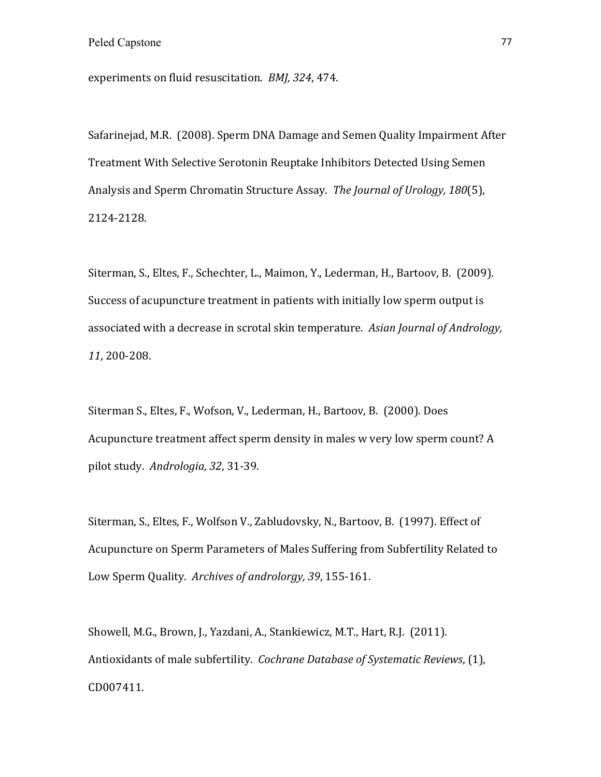experiments on fluid resuscitation. *BMJ*, 324, 474.

Safarinejad, M.R. (2008). Sperm DNA Damage and Semen Quality Impairment After Treatment With Selective Serotonin Reuptake Inhibitors Detected Using Semen Analysis and Sperm Chromatin Structure Assay. The *Journal of Urology*, 180(5), 2124-2128.

Siterman, S., Eltes, F., Schechter, L., Maimon, Y., Lederman, H., Bartoov, B. (2009). Success of acupuncture treatment in patients with initially low sperm output is associated with a decrease in scrotal skin temperature. Asian Journal of Andrology, *11*, 200-208.

Siterman S., Eltes, F., Wofson, V., Lederman, H., Bartoov, B. (2000). Does Acupuncture treatment affect sperm density in males w very low sperm count? A pilot study. Andrologia, 32, 31-39.

Siterman, S., Eltes, F., Wolfson V., Zabludovsky, N., Bartoov, B. (1997). Effect of Acupuncture on Sperm Parameters of Males Suffering from Subfertility Related to Low Sperm Quality. Archives of androlorgy, 39, 155-161.

Showell, M.G., Brown, J., Yazdani, A., Stankiewicz, M.T., Hart, R.J. (2011). Antioxidants of male subfertility. *Cochrane Database of Systematic Reviews*, (1), CD007411.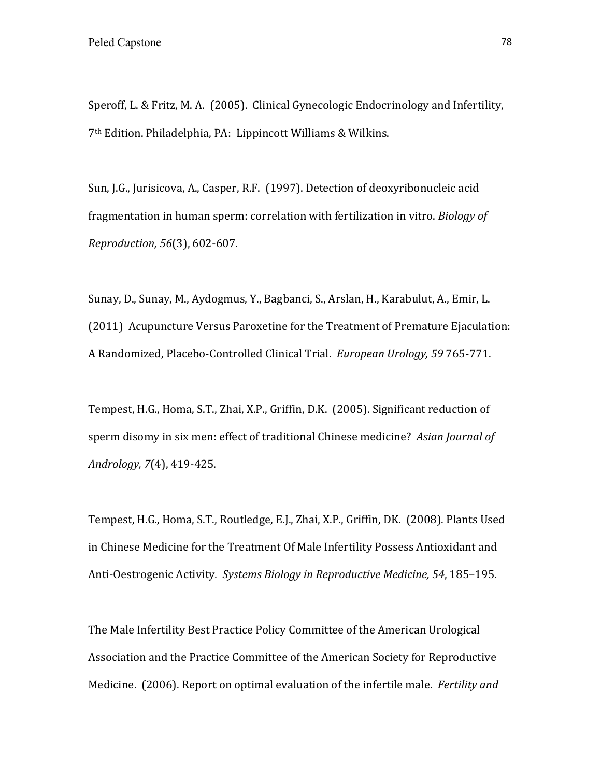Speroff, L. & Fritz, M. A. (2005). Clinical Gynecologic Endocrinology and Infertility, 7<sup>th</sup> Edition. Philadelphia, PA: Lippincott Williams & Wilkins.

Sun, J.G., Jurisicova, A., Casper, R.F. (1997). Detection of deoxyribonucleic acid fragmentation in human sperm: correlation with fertilization in vitro. *Biology of Reproduction, 56*(3), 602-607.

Sunay, D., Sunay, M., Aydogmus, Y., Bagbanci, S., Arslan, H., Karabulut, A., Emir, L. (2011) Acupuncture Versus Paroxetine for the Treatment of Premature Ejaculation: A Randomized, Placebo-Controlled Clinical Trial. *European Urology, 59* 765-771.

Tempest, H.G., Homa, S.T., Zhai, X.P., Griffin, D.K. (2005). Significant reduction of sperm disomy in six men: effect of traditional Chinese medicine? Asian Journal of *Andrology, 7*(4), 419-425.

Tempest, H.G., Homa, S.T., Routledge, E.J., Zhai, X.P., Griffin, DK. (2008). Plants Used in Chinese Medicine for the Treatment Of Male Infertility Possess Antioxidant and Anti-Oestrogenic Activity. Systems Biology in Reproductive Medicine, 54, 185-195.

The Male Infertility Best Practice Policy Committee of the American Urological Association and the Practice Committee of the American Society for Reproductive Medicine. (2006). Report on optimal evaluation of the infertile male. *Fertility and*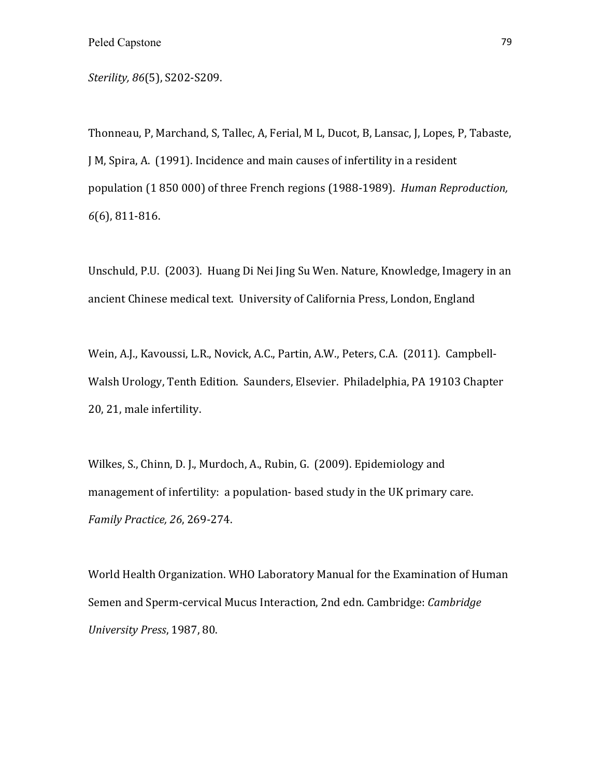*Sterility, 86*(5), S202-S209.

Thonneau, P, Marchand, S, Tallec, A, Ferial, M L, Ducot, B, Lansac, J, Lopes, P, Tabaste, J M, Spira, A. (1991). Incidence and main causes of infertility in a resident population (1 850 000) of three French regions (1988-1989). *Human Reproduction, 6*(6), 811-816.

Unschuld, P.U. (2003). Huang Di Nei Jing Su Wen. Nature, Knowledge, Imagery in an ancient Chinese medical text. University of California Press, London, England

Wein, A.J., Kavoussi, L.R., Novick, A.C., Partin, A.W., Peters, C.A. (2011). Campbell-Walsh Urology, Tenth Edition. Saunders, Elsevier. Philadelphia, PA 19103 Chapter 20, 21, male infertility.

Wilkes, S., Chinn, D. J., Murdoch, A., Rubin, G. (2009). Epidemiology and management of infertility: a population- based study in the UK primary care. *Family Practice, 26*, 269-274.

World Health Organization. WHO Laboratory Manual for the Examination of Human Semen and Sperm-cervical Mucus Interaction, 2nd edn. Cambridge: *Cambridge University Press*, 1987, 80.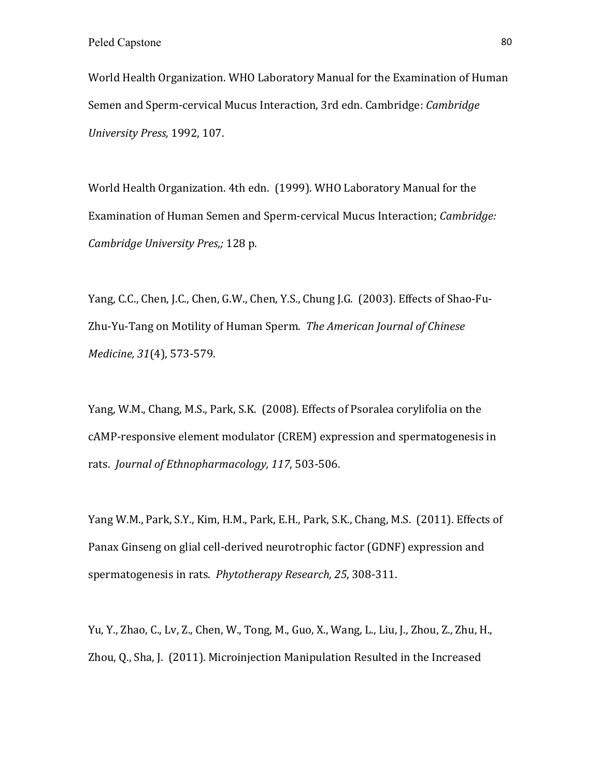World Health Organization. WHO Laboratory Manual for the Examination of Human Semen and Sperm-cervical Mucus Interaction, 3rd edn. Cambridge: *Cambridge University Press,* 1992, 107.

World Health Organization. 4th edn. (1999). WHO Laboratory Manual for the Examination of Human Semen and Sperm-cervical Mucus Interaction; *Cambridge: Cambridge University Pres,;* 128 p.

Yang, C.C., Chen, J.C., Chen, G.W., Chen, Y.S., Chung J.G. (2003). Effects of Shao-Fu-Zhu-Yu-Tang on Motility of Human Sperm. The American Journal of Chinese *Medicine, 31*(4), 573-579.

Yang, W.M., Chang, M.S., Park, S.K. (2008). Effects of Psoralea corylifolia on the cAMP-responsive element modulator (CREM) expression and spermatogenesis in rats. *Journal of Ethnopharmacology, 117, 503-506.* 

Yang W.M., Park, S.Y., Kim, H.M., Park, E.H., Park, S.K., Chang, M.S. (2011). Effects of Panax Ginseng on glial cell-derived neurotrophic factor (GDNF) expression and spermatogenesis in rats. Phytotherapy Research, 25, 308-311.

Yu, Y., Zhao, C., Lv, Z., Chen, W., Tong, M., Guo, X., Wang, L., Liu, J., Zhou, Z., Zhu, H., Zhou, Q., Sha, J. (2011). Microinjection Manipulation Resulted in the Increased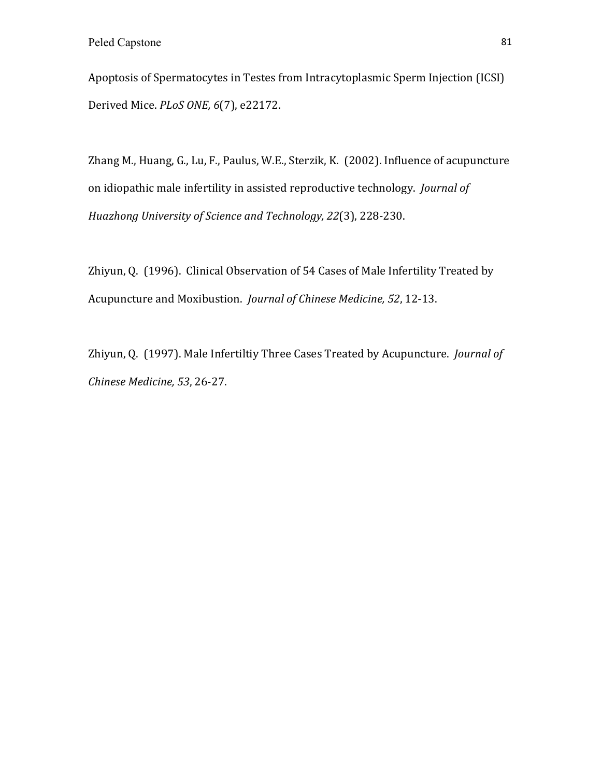Apoptosis of Spermatocytes in Testes from Intracytoplasmic Sperm Injection (ICSI) Derived Mice. *PLoS ONE*, 6(7), e22172.

Zhang M., Huang, G., Lu, F., Paulus, W.E., Sterzik, K. (2002). Influence of acupuncture on idiopathic male infertility in assisted reproductive technology. *Journal of Huazhong University of Science and Technology, 22*(3), 228-230.

Zhiyun, Q. (1996). Clinical Observation of 54 Cases of Male Infertility Treated by Acupuncture and Moxibustion. *Journal of Chinese Medicine, 52, 12-13.* 

Zhiyun, Q. (1997). Male Infertiltiy Three Cases Treated by Acupuncture. *Journal of Chinese Medicine, 53*, 26-27.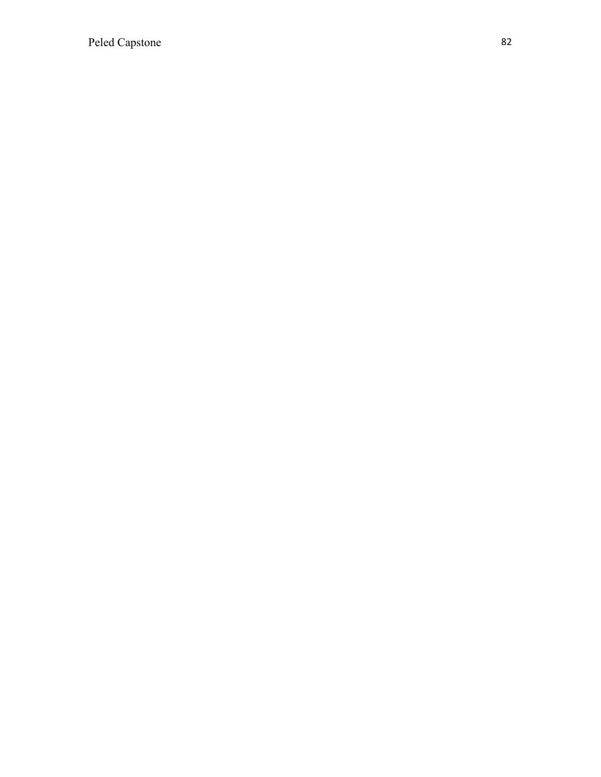# Peled Capstone 82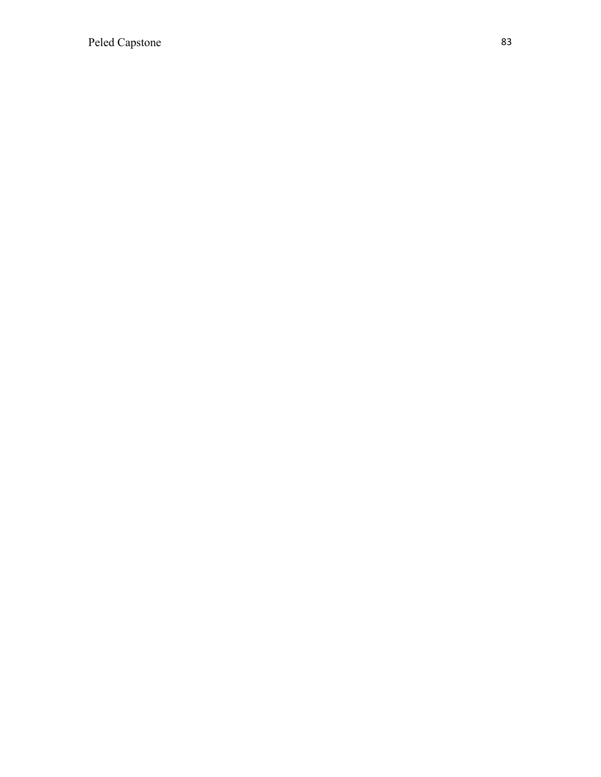# Peled Capstone 83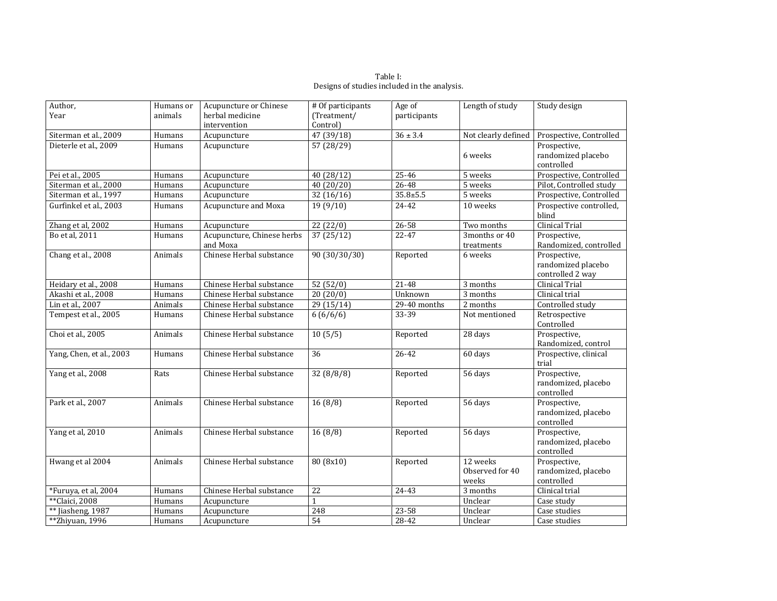| Author,                  | Humans or | Acupuncture or Chinese     | # Of participants       | Age of         | Length of study       | Study design                          |
|--------------------------|-----------|----------------------------|-------------------------|----------------|-----------------------|---------------------------------------|
| Year                     | animals   | herbal medicine            | (Treatment/             | participants   |                       |                                       |
|                          |           | intervention               | Control)                |                |                       |                                       |
| Siterman et al., 2009    | Humans    | Acupuncture                | 47 (39/18)              | $36 \pm 3.4$   | Not clearly defined   | Prospective, Controlled               |
| Dieterle et al., 2009    | Humans    | Acupuncture                | 57 (28/29)              |                |                       | Prospective,                          |
|                          |           |                            |                         |                | 6 weeks               | randomized placebo                    |
|                          |           |                            |                         | 25-46          | 5 weeks               | controlled<br>Prospective, Controlled |
| Pei et al., 2005         | Humans    | Acupuncture                | 40(28/12)               |                |                       |                                       |
| Siterman et al., 2000    | Humans    | Acupuncture                | 40(20/20)               | 26-48          | 5 weeks               | Pilot, Controlled study               |
| Siterman et al., 1997    | Humans    | Acupuncture                | 32 $(16/\overline{16})$ | $35.8 \pm 5.5$ | 5 weeks               | Prospective, Controlled               |
| Gurfinkel et al., 2003   | Humans    | Acupuncture and Moxa       | 19(9/10)                | 24-42          | 10 weeks              | Prospective controlled,<br>blind      |
| Zhang et al, 2002        | Humans    | Acupuncture                | 22(22/0)                | 26-58          | Two months            | <b>Clinical Trial</b>                 |
| Bo et al, 2011           | Humans    | Acupuncture, Chinese herbs | 37(25/12)               | 22-47          | 3months or 40         | Prospective,                          |
|                          |           | and Moxa                   |                         |                | treatments            | Randomized, controlled                |
| Chang et al., 2008       | Animals   | Chinese Herbal substance   | 90 (30/30/30)           | Reported       | 6 weeks               | Prospective,                          |
|                          |           |                            |                         |                |                       | randomized placebo                    |
|                          |           |                            |                         |                |                       | controlled 2 way                      |
| Heidary et al., 2008     | Humans    | Chinese Herbal substance   | 52(52/0)                | 21-48          | 3 months              | <b>Clinical Trial</b>                 |
| Akashi et al., 2008      | Humans    | Chinese Herbal substance   | 20(20/0)                | Unknown        | 3 months              | Clinical trial                        |
| Lin et al., 2007         | Animals   | Chinese Herbal substance   | 29(15/14)               | 29-40 months   | 2 months              | Controlled study                      |
| Tempest et al., 2005     | Humans    | Chinese Herbal substance   | 6(6/6/6)                | 33-39          | Not mentioned         | Retrospective<br>Controlled           |
| Choi et al., 2005        | Animals   | Chinese Herbal substance   | 10(5/5)                 | Reported       | 28 days               | Prospective,                          |
|                          |           |                            |                         |                |                       | Randomized, control                   |
| Yang, Chen, et al., 2003 | Humans    | Chinese Herbal substance   | 36                      | 26-42          | 60 days               | Prospective, clinical<br>trial        |
| Yang et al., 2008        | Rats      | Chinese Herbal substance   | 32(8/8/8)               | Reported       | 56 days               | Prospective,                          |
|                          |           |                            |                         |                |                       | randomized, placebo                   |
|                          |           |                            |                         |                |                       | controlled                            |
| Park et al., 2007        | Animals   | Chinese Herbal substance   | 16(8/8)                 | Reported       | 56 days               | Prospective,                          |
|                          |           |                            |                         |                |                       | randomized, placebo                   |
|                          |           |                            |                         |                |                       | controlled                            |
| Yang et al, 2010         | Animals   | Chinese Herbal substance   | 16(8/8)                 | Reported       | 56 days               | Prospective,                          |
|                          |           |                            |                         |                |                       | randomized, placebo                   |
|                          |           |                            |                         |                |                       | controlled                            |
| Hwang et al 2004         | Animals   | Chinese Herbal substance   | 80 (8x10)               | Reported       | 12 weeks              | Prospective,                          |
|                          |           |                            |                         |                | Observed for 40       | randomized, placebo                   |
|                          |           |                            |                         |                | weeks                 | controlled                            |
| *Furuya, et al, 2004     | Humans    | Chinese Herbal substance   | $\overline{22}$         | 24-43          | $\overline{3}$ months | Clinical trial                        |
| **Claici, 2008           | Humans    | Acupuncture                | $\mathbf{1}$            |                | Unclear               | Case study                            |
| ** Jiasheng, 1987        | Humans    | Acupuncture                | 248                     | 23-58          | Unclear               | Case studies                          |
| **Zhiyuan, 1996          | Humans    | Acupuncture                | 54                      | 28-42          | Unclear               | Case studies                          |

Table I: Designs of studies included in the analysis.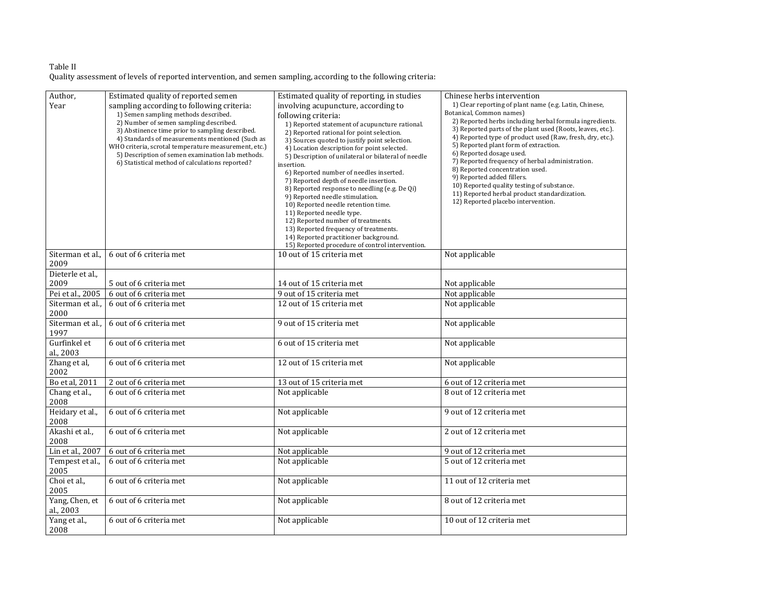#### Table II Quality assessment of levels of reported intervention, and semen sampling, according to the following criteria:

| Author,<br>Year             | Estimated quality of reported semen<br>sampling according to following criteria:<br>1) Semen sampling methods described.<br>2) Number of semen sampling described.<br>3) Abstinence time prior to sampling described.<br>4) Standards of measurements mentioned (Such as<br>WHO criteria, scrotal temperature measurement, etc.)<br>5) Description of semen examination lab methods.<br>6) Statistical method of calculations reported? | Estimated quality of reporting, in studies<br>involving acupuncture, according to<br>following criteria:<br>1) Reported statement of acupuncture rational.<br>2) Reported rational for point selection.<br>3) Sources quoted to justify point selection.<br>4) Location description for point selected.<br>5) Description of unilateral or bilateral of needle<br>insertion.<br>6) Reported number of needles inserted.<br>7) Reported depth of needle insertion.<br>8) Reported response to needling (e.g. De Qi)<br>9) Reported needle stimulation.<br>10) Reported needle retention time.<br>11) Reported needle type. | Chinese herbs intervention<br>1) Clear reporting of plant name (e.g. Latin, Chinese,<br>Botanical, Common names)<br>2) Reported herbs including herbal formula ingredients.<br>3) Reported parts of the plant used (Roots, leaves, etc.).<br>4) Reported type of product used (Raw, fresh, dry, etc.).<br>5) Reported plant form of extraction.<br>6) Reported dosage used.<br>7) Reported frequency of herbal administration.<br>8) Reported concentration used.<br>9) Reported added fillers.<br>10) Reported quality testing of substance.<br>11) Reported herbal product standardization.<br>12) Reported placebo intervention. |
|-----------------------------|-----------------------------------------------------------------------------------------------------------------------------------------------------------------------------------------------------------------------------------------------------------------------------------------------------------------------------------------------------------------------------------------------------------------------------------------|---------------------------------------------------------------------------------------------------------------------------------------------------------------------------------------------------------------------------------------------------------------------------------------------------------------------------------------------------------------------------------------------------------------------------------------------------------------------------------------------------------------------------------------------------------------------------------------------------------------------------|-------------------------------------------------------------------------------------------------------------------------------------------------------------------------------------------------------------------------------------------------------------------------------------------------------------------------------------------------------------------------------------------------------------------------------------------------------------------------------------------------------------------------------------------------------------------------------------------------------------------------------------|
|                             |                                                                                                                                                                                                                                                                                                                                                                                                                                         | 12) Reported number of treatments.<br>13) Reported frequency of treatments.<br>14) Reported practitioner background.<br>15) Reported procedure of control intervention.                                                                                                                                                                                                                                                                                                                                                                                                                                                   |                                                                                                                                                                                                                                                                                                                                                                                                                                                                                                                                                                                                                                     |
| Siterman et al.,<br>2009    | 6 out of 6 criteria met                                                                                                                                                                                                                                                                                                                                                                                                                 | 10 out of 15 criteria met                                                                                                                                                                                                                                                                                                                                                                                                                                                                                                                                                                                                 | Not applicable                                                                                                                                                                                                                                                                                                                                                                                                                                                                                                                                                                                                                      |
| Dieterle et al.,            |                                                                                                                                                                                                                                                                                                                                                                                                                                         |                                                                                                                                                                                                                                                                                                                                                                                                                                                                                                                                                                                                                           |                                                                                                                                                                                                                                                                                                                                                                                                                                                                                                                                                                                                                                     |
| 2009                        | 5 out of 6 criteria met                                                                                                                                                                                                                                                                                                                                                                                                                 | 14 out of 15 criteria met<br>9 out of 15 criteria met                                                                                                                                                                                                                                                                                                                                                                                                                                                                                                                                                                     | Not applicable                                                                                                                                                                                                                                                                                                                                                                                                                                                                                                                                                                                                                      |
| Pei et al., 2005            | 6 out of 6 criteria met<br>6 out of 6 criteria met                                                                                                                                                                                                                                                                                                                                                                                      | 12 out of 15 criteria met                                                                                                                                                                                                                                                                                                                                                                                                                                                                                                                                                                                                 | Not applicable                                                                                                                                                                                                                                                                                                                                                                                                                                                                                                                                                                                                                      |
| Siterman et al.,<br>2000    |                                                                                                                                                                                                                                                                                                                                                                                                                                         |                                                                                                                                                                                                                                                                                                                                                                                                                                                                                                                                                                                                                           | Not applicable                                                                                                                                                                                                                                                                                                                                                                                                                                                                                                                                                                                                                      |
| Siterman et al.,<br>1997    | 6 out of 6 criteria met                                                                                                                                                                                                                                                                                                                                                                                                                 | 9 out of 15 criteria met                                                                                                                                                                                                                                                                                                                                                                                                                                                                                                                                                                                                  | Not applicable                                                                                                                                                                                                                                                                                                                                                                                                                                                                                                                                                                                                                      |
| Gurfinkel et<br>al., 2003   | 6 out of 6 criteria met                                                                                                                                                                                                                                                                                                                                                                                                                 | 6 out of 15 criteria met                                                                                                                                                                                                                                                                                                                                                                                                                                                                                                                                                                                                  | Not applicable                                                                                                                                                                                                                                                                                                                                                                                                                                                                                                                                                                                                                      |
| Zhang et al,<br>2002        | 6 out of 6 criteria met                                                                                                                                                                                                                                                                                                                                                                                                                 | 12 out of 15 criteria met                                                                                                                                                                                                                                                                                                                                                                                                                                                                                                                                                                                                 | Not applicable                                                                                                                                                                                                                                                                                                                                                                                                                                                                                                                                                                                                                      |
| Bo et al, 2011              | 2 out of 6 criteria met                                                                                                                                                                                                                                                                                                                                                                                                                 | 13 out of 15 criteria met                                                                                                                                                                                                                                                                                                                                                                                                                                                                                                                                                                                                 | 6 out of 12 criteria met                                                                                                                                                                                                                                                                                                                                                                                                                                                                                                                                                                                                            |
| Chang et al.,<br>2008       | 6 out of 6 criteria met                                                                                                                                                                                                                                                                                                                                                                                                                 | Not applicable                                                                                                                                                                                                                                                                                                                                                                                                                                                                                                                                                                                                            | 8 out of 12 criteria met                                                                                                                                                                                                                                                                                                                                                                                                                                                                                                                                                                                                            |
| Heidary et al.,<br>2008     | 6 out of 6 criteria met                                                                                                                                                                                                                                                                                                                                                                                                                 | Not applicable                                                                                                                                                                                                                                                                                                                                                                                                                                                                                                                                                                                                            | 9 out of 12 criteria met                                                                                                                                                                                                                                                                                                                                                                                                                                                                                                                                                                                                            |
| Akashi et al.,<br>2008      | 6 out of 6 criteria met                                                                                                                                                                                                                                                                                                                                                                                                                 | Not applicable                                                                                                                                                                                                                                                                                                                                                                                                                                                                                                                                                                                                            | 2 out of 12 criteria met                                                                                                                                                                                                                                                                                                                                                                                                                                                                                                                                                                                                            |
| Lin et al., 2007            | $6$ out of 6 criteria met                                                                                                                                                                                                                                                                                                                                                                                                               | Not applicable                                                                                                                                                                                                                                                                                                                                                                                                                                                                                                                                                                                                            | 9 out of 12 criteria met                                                                                                                                                                                                                                                                                                                                                                                                                                                                                                                                                                                                            |
| Tempest et al.,<br>2005     | 6 out of 6 criteria met                                                                                                                                                                                                                                                                                                                                                                                                                 | Not applicable                                                                                                                                                                                                                                                                                                                                                                                                                                                                                                                                                                                                            | 5 out of 12 criteria met                                                                                                                                                                                                                                                                                                                                                                                                                                                                                                                                                                                                            |
| Choi et al.,<br>2005        | 6 out of 6 criteria met                                                                                                                                                                                                                                                                                                                                                                                                                 | Not applicable                                                                                                                                                                                                                                                                                                                                                                                                                                                                                                                                                                                                            | 11 out of 12 criteria met                                                                                                                                                                                                                                                                                                                                                                                                                                                                                                                                                                                                           |
| Yang, Chen, et<br>al., 2003 | 6 out of 6 criteria met                                                                                                                                                                                                                                                                                                                                                                                                                 | Not applicable                                                                                                                                                                                                                                                                                                                                                                                                                                                                                                                                                                                                            | 8 out of 12 criteria met                                                                                                                                                                                                                                                                                                                                                                                                                                                                                                                                                                                                            |
| Yang et al.,<br>2008        | 6 out of 6 criteria met                                                                                                                                                                                                                                                                                                                                                                                                                 | Not applicable                                                                                                                                                                                                                                                                                                                                                                                                                                                                                                                                                                                                            | 10 out of 12 criteria met                                                                                                                                                                                                                                                                                                                                                                                                                                                                                                                                                                                                           |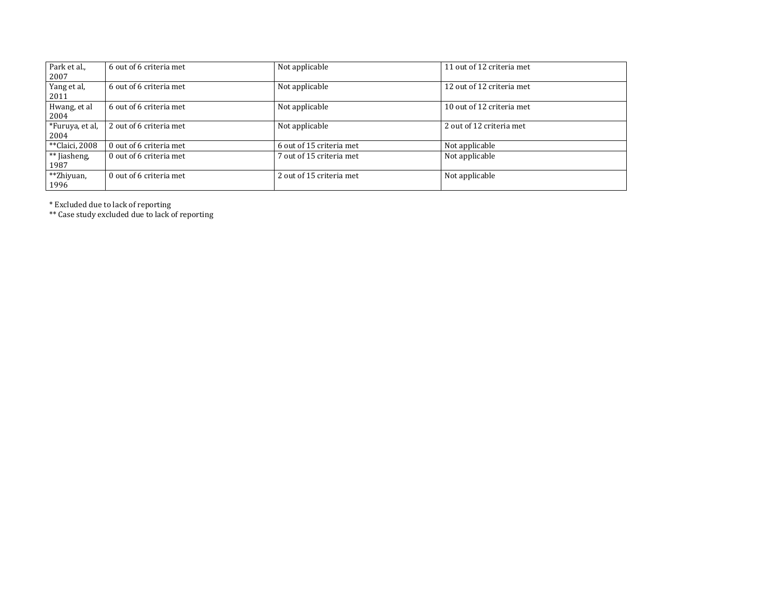| Park et al.,<br>2007    | 6 out of 6 criteria met | Not applicable           | 11 out of 12 criteria met |
|-------------------------|-------------------------|--------------------------|---------------------------|
| Yang et al,<br>2011     | 6 out of 6 criteria met | Not applicable           | 12 out of 12 criteria met |
| Hwang, et al<br>2004    | 6 out of 6 criteria met | Not applicable           | 10 out of 12 criteria met |
| *Furuya, et al,<br>2004 | 2 out of 6 criteria met | Not applicable           | 2 out of 12 criteria met  |
| **Claici, 2008          | 0 out of 6 criteria met | 6 out of 15 criteria met | Not applicable            |
| ** Jiasheng,<br>1987    | 0 out of 6 criteria met | 7 out of 15 criteria met | Not applicable            |
| **Zhiyuan,<br>1996      | 0 out of 6 criteria met | 2 out of 15 criteria met | Not applicable            |

\* Excluded due to lack of reporting

\*\* Case study excluded due to lack of reporting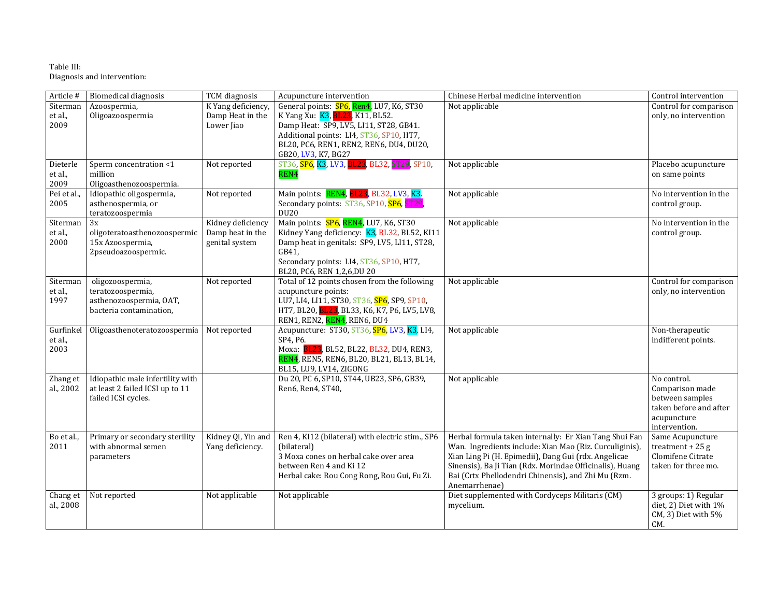#### Table III: Diagnosis and intervention:

| Article #       | <b>Biomedical diagnosis</b>        | TCM diagnosis      | Acupuncture intervention                                                    | Chinese Herbal medicine intervention                                                                             | Control intervention                     |
|-----------------|------------------------------------|--------------------|-----------------------------------------------------------------------------|------------------------------------------------------------------------------------------------------------------|------------------------------------------|
| Siterman        | Azoospermia,                       | K Yang deficiency, | General points: SP6, Ren4, LU7, K6, ST30                                    | Not applicable                                                                                                   | Control for comparison                   |
| et al.,         | Oligoazoospermia                   | Damp Heat in the   | K Yang Xu: K3, BL23, K11, BL52.                                             |                                                                                                                  | only, no intervention                    |
| 2009            |                                    | Lower Jiao         | Damp Heat: SP9, LV5, LI11, ST28, GB41.                                      |                                                                                                                  |                                          |
|                 |                                    |                    | Additional points: LI4, ST36, SP10, HT7,                                    |                                                                                                                  |                                          |
|                 |                                    |                    | BL20, PC6, REN1, REN2, REN6, DU4, DU20,                                     |                                                                                                                  |                                          |
|                 |                                    |                    | GB20, LV3, K7, BG27                                                         |                                                                                                                  |                                          |
| Dieterle        | Sperm concentration <1             | Not reported       | ST36, SP6, K3, LV3, BL23, BL32, ST29, SP10,                                 | Not applicable                                                                                                   | Placebo acupuncture                      |
| et al.,<br>2009 | million<br>Oligoasthenozoospermia. |                    | REN4                                                                        |                                                                                                                  | on same points                           |
| Pei et al.,     | Idiopathic oligospermia,           | Not reported       | Main points: REN4, BL23, BL32, LV3, K3.                                     | Not applicable                                                                                                   | No intervention in the                   |
| 2005            | asthenospermia, or                 |                    | Secondary points: ST36, SP10, SP6, ST29,                                    |                                                                                                                  | control group.                           |
|                 | teratozoospermia                   |                    | <b>DU20</b>                                                                 |                                                                                                                  |                                          |
| Siterman        | 3x                                 | Kidney deficiency  | Main points: SP6, REN4, LU7, K6, ST30                                       | Not applicable                                                                                                   | No intervention in the                   |
| et al.,         | oligoteratoasthenozoospermic       | Damp heat in the   | Kidney Yang deficiency: K3, BL32, BL52, KI11                                |                                                                                                                  | control group.                           |
| 2000            | 15x Azoospermia,                   | genital system     | Damp heat in genitals: SP9, LV5, LI11, ST28,                                |                                                                                                                  |                                          |
|                 | 2pseudoazoospermic.                |                    | GB41.                                                                       |                                                                                                                  |                                          |
|                 |                                    |                    | Secondary points: LI4, ST36, SP10, HT7,                                     |                                                                                                                  |                                          |
|                 |                                    |                    | BL20, PC6, REN 1,2,6, DU 20                                                 |                                                                                                                  |                                          |
| Siterman        | oligozoospermia,                   | Not reported       | Total of 12 points chosen from the following                                | Not applicable                                                                                                   | Control for comparison                   |
| et al.,         | teratozoospermia,                  |                    | acupuncture points:                                                         |                                                                                                                  | only, no intervention                    |
| 1997            | asthenozoospermia, OAT,            |                    | LU7, LI4, LI11, ST30, ST36, SP6, SP9, SP10,                                 |                                                                                                                  |                                          |
|                 | bacteria contamination,            |                    | HT7, BL20, BL23, BL33, K6, K7, P6, LV5, LV8,<br>REN1, REN2, REN4, REN6, DU4 |                                                                                                                  |                                          |
| Gurfinkel       | Oligoasthenoteratozoospermia       | Not reported       | Acupuncture: ST30, ST36, SP6, LV3, K3, LI4,                                 | Not applicable                                                                                                   | Non-therapeutic                          |
| et al.,         |                                    |                    | SP4, P6.                                                                    |                                                                                                                  | indifferent points.                      |
| 2003            |                                    |                    | Moxa: BL23, BL52, BL22, BL32, DU4, REN3,                                    |                                                                                                                  |                                          |
|                 |                                    |                    | REN4, REN5, REN6, BL20, BL21, BL13, BL14,                                   |                                                                                                                  |                                          |
|                 |                                    |                    | BL15, LU9, LV14, ZIGONG                                                     |                                                                                                                  |                                          |
| Zhang et        | Idiopathic male infertility with   |                    | Du 20, PC 6, SP10, ST44, UB23, SP6, GB39,                                   | Not applicable                                                                                                   | No control.                              |
| al., 2002       | at least 2 failed ICSI up to 11    |                    | Ren6, Ren4, ST40,                                                           |                                                                                                                  | Comparison made                          |
|                 | failed ICSI cycles.                |                    |                                                                             |                                                                                                                  | between samples                          |
|                 |                                    |                    |                                                                             |                                                                                                                  | taken before and after                   |
|                 |                                    |                    |                                                                             |                                                                                                                  | acupuncture                              |
|                 |                                    |                    |                                                                             |                                                                                                                  | intervention.                            |
| Bo et al.,      | Primary or secondary sterility     | Kidney Qi, Yin and | Ren 4, KI12 (bilateral) with electric stim., SP6                            | Herbal formula taken internally: Er Xian Tang Shui Fan                                                           | Same Acupuncture                         |
| 2011            | with abnormal semen                | Yang deficiency.   | (bilateral)<br>3 Moxa cones on herbal cake over area                        | Wan. Ingredients include: Xian Mao (Riz. Curculiginis),                                                          | treatment + $25 g$                       |
|                 | parameters                         |                    | between Ren 4 and Ki 12                                                     | Xian Ling Pi (H. Epimedii), Dang Gui (rdx. Angelicae<br>Sinensis), Ba Ji Tian (Rdx. Morindae Officinalis), Huang | Clomifene Citrate<br>taken for three mo. |
|                 |                                    |                    | Herbal cake: Rou Cong Rong, Rou Gui, Fu Zi.                                 | Bai (Crtx Phellodendri Chinensis), and Zhi Mu (Rzm.                                                              |                                          |
|                 |                                    |                    |                                                                             | Anemarrhenae)                                                                                                    |                                          |
| Chang et        | Not reported                       | Not applicable     | Not applicable                                                              | Diet supplemented with Cordyceps Militaris (CM)                                                                  | 3 groups: 1) Regular                     |
| al., 2008       |                                    |                    |                                                                             | mycelium.                                                                                                        | diet, 2) Diet with 1%                    |
|                 |                                    |                    |                                                                             |                                                                                                                  | $CM$ , 3) Diet with $5\%$                |
|                 |                                    |                    |                                                                             |                                                                                                                  | CM.                                      |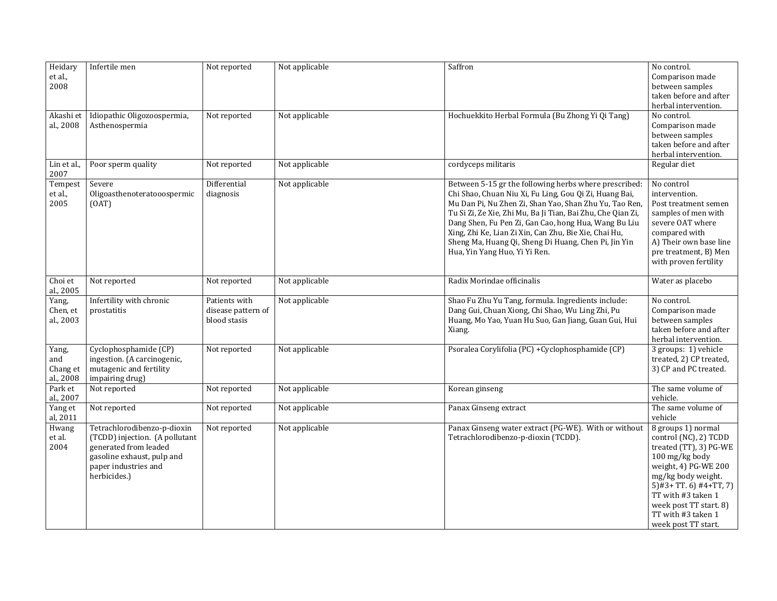| Heidary<br>et al.,<br>2008            | Infertile men                                                                                                                                                | Not reported                                        | Not applicable | Saffron                                                                                                                                                                                                                                                                                                                                                                                                                                            | No control.<br>Comparison made<br>between samples<br>taken before and after<br>herbal intervention.                                                                                                                                                             |
|---------------------------------------|--------------------------------------------------------------------------------------------------------------------------------------------------------------|-----------------------------------------------------|----------------|----------------------------------------------------------------------------------------------------------------------------------------------------------------------------------------------------------------------------------------------------------------------------------------------------------------------------------------------------------------------------------------------------------------------------------------------------|-----------------------------------------------------------------------------------------------------------------------------------------------------------------------------------------------------------------------------------------------------------------|
| Akashi et<br>al., 2008                | Idiopathic Oligozoospermia,<br>Asthenospermia                                                                                                                | Not reported                                        | Not applicable | Hochuekkito Herbal Formula (Bu Zhong Yi Qi Tang)                                                                                                                                                                                                                                                                                                                                                                                                   | No control.<br>Comparison made<br>between samples<br>taken before and after<br>herbal intervention.                                                                                                                                                             |
| Lin et al.,<br>2007                   | Poor sperm quality                                                                                                                                           | Not reported                                        | Not applicable | cordyceps militaris                                                                                                                                                                                                                                                                                                                                                                                                                                | Regular diet                                                                                                                                                                                                                                                    |
| Tempest<br>et al.,<br>2005            | Severe<br>Oligoasthenoteratooospermic<br>(OAT)                                                                                                               | Differential<br>diagnosis                           | Not applicable | Between 5-15 gr the following herbs where prescribed:<br>Chi Shao, Chuan Niu Xi, Fu Ling, Gou Qi Zi, Huang Bai,<br>Mu Dan Pi, Nu Zhen Zi, Shan Yao, Shan Zhu Yu, Tao Ren,<br>Tu Si Zi, Ze Xie, Zhi Mu, Ba Ji Tian, Bai Zhu, Che Qian Zi,<br>Dang Shen, Fu Pen Zi, Gan Cao, hong Hua, Wang Bu Liu<br>Xing, Zhi Ke, Lian Zi Xin, Can Zhu, Bie Xie, Chai Hu,<br>Sheng Ma, Huang Qi, Sheng Di Huang, Chen Pi, Jin Yin<br>Hua, Yin Yang Huo, Yi Yi Ren. | No control<br>intervention.<br>Post treatment semen<br>samples of men with<br>severe OAT where<br>compared with<br>A) Their own base line<br>pre treatment, B) Men<br>with proven fertility                                                                     |
| Choi et<br>al., 2005                  | Not reported                                                                                                                                                 | Not reported                                        | Not applicable | Radix Morindae officinalis                                                                                                                                                                                                                                                                                                                                                                                                                         | Water as placebo                                                                                                                                                                                                                                                |
| Yang,<br>Chen, et<br>al., 2003        | Infertility with chronic<br>prostatitis                                                                                                                      | Patients with<br>disease pattern of<br>blood stasis | Not applicable | Shao Fu Zhu Yu Tang, formula. Ingredients include:<br>Dang Gui, Chuan Xiong, Chi Shao, Wu Ling Zhi, Pu<br>Huang, Mo Yao, Yuan Hu Suo, Gan Jiang, Guan Gui, Hui<br>Xiang.                                                                                                                                                                                                                                                                           | No control.<br>Comparison made<br>between samples<br>taken before and after<br>herbal intervention.                                                                                                                                                             |
| Yang,<br>and<br>Chang et<br>al., 2008 | Cyclophosphamide (CP)<br>ingestion. (A carcinogenic,<br>mutagenic and fertility<br>impairing drug)                                                           | Not reported                                        | Not applicable | Psoralea Corylifolia (PC) + Cyclophosphamide (CP)                                                                                                                                                                                                                                                                                                                                                                                                  | 3 groups: 1) vehicle<br>treated, 2) CP treated,<br>3) CP and PC treated.                                                                                                                                                                                        |
| Park et<br>al., 2007                  | Not reported                                                                                                                                                 | Not reported                                        | Not applicable | Korean ginseng                                                                                                                                                                                                                                                                                                                                                                                                                                     | The same volume of<br>vehicle.                                                                                                                                                                                                                                  |
| Yang et<br>al, 2011                   | Not reported                                                                                                                                                 | Not reported                                        | Not applicable | Panax Ginseng extract                                                                                                                                                                                                                                                                                                                                                                                                                              | The same volume of<br>vehicle                                                                                                                                                                                                                                   |
| Hwang<br>et al.<br>2004               | Tetrachlorodibenzo-p-dioxin<br>(TCDD) injection. (A pollutant<br>generated from leaded<br>gasoline exhaust, pulp and<br>paper industries and<br>herbicides.) | Not reported                                        | Not applicable | Panax Ginseng water extract (PG-WE). With or without<br>Tetrachlorodibenzo-p-dioxin (TCDD).                                                                                                                                                                                                                                                                                                                                                        | 8 groups 1) normal<br>control (NC), 2) TCDD<br>treated (TT), 3) PG-WE<br>100 mg/kg body<br>weight, 4) PG-WE 200<br>mg/kg body weight.<br>$5)$ #3+ TT. 6) #4+TT, 7)<br>TT with #3 taken 1<br>week post TT start. 8)<br>TT with #3 taken 1<br>week post TT start. |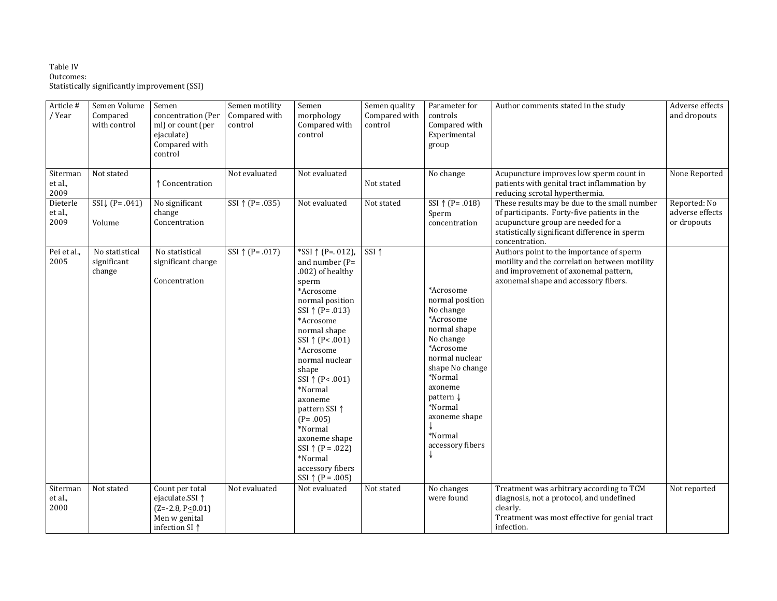#### Table IV Outcomes: Statistically significantly improvement (SSI)

| Article #<br>/ Year         | Semen Volume<br>Compared<br>with control | Semen<br>concentration (Per<br>ml) or count (per<br>ejaculate)<br>Compared with<br>control      | Semen motility<br>Compared with<br>control | Semen<br>morphology<br>Compared with<br>control                                                                                                                                                                                                                                                                                                                                                                                               | Semen quality<br>Compared with<br>control | Parameter for<br>controls<br>Compared with<br>Experimental<br>group                                                                                                                                                                 | Author comments stated in the study                                                                                                                                                                  | Adverse effects<br>and dropouts                |
|-----------------------------|------------------------------------------|-------------------------------------------------------------------------------------------------|--------------------------------------------|-----------------------------------------------------------------------------------------------------------------------------------------------------------------------------------------------------------------------------------------------------------------------------------------------------------------------------------------------------------------------------------------------------------------------------------------------|-------------------------------------------|-------------------------------------------------------------------------------------------------------------------------------------------------------------------------------------------------------------------------------------|------------------------------------------------------------------------------------------------------------------------------------------------------------------------------------------------------|------------------------------------------------|
| Siterman<br>et al.,<br>2009 | Not stated                               | ↑ Concentration                                                                                 | Not evaluated                              | Not evaluated                                                                                                                                                                                                                                                                                                                                                                                                                                 | Not stated                                | $\overline{No}$ change                                                                                                                                                                                                              | Acupuncture improves low sperm count in<br>patients with genital tract inflammation by<br>reducing scrotal hyperthermia.                                                                             | None Reported                                  |
| Dieterle<br>et al.,<br>2009 | SSI $\downarrow$ (P= .041)<br>Volume     | No significant<br>change<br>Concentration                                                       | SSI $\uparrow$ (P= .035)                   | Not evaluated                                                                                                                                                                                                                                                                                                                                                                                                                                 | Not stated                                | SSI $\uparrow$ (P= .018)<br>Sperm<br>concentration                                                                                                                                                                                  | These results may be due to the small number<br>of participants. Forty-five patients in the<br>acupuncture group are needed for a<br>statistically significant difference in sperm<br>concentration. | Reported: No<br>adverse effects<br>or dropouts |
| Pei et al.,<br>2005         | No statistical<br>significant<br>change  | No statistical<br>significant change<br>Concentration                                           | SSI $\uparrow$ (P= .017)                   | *SSI $\uparrow$ (P=. 012),<br>and number $(P=$<br>.002) of healthy<br>sperm<br>*Acrosome<br>normal position<br>SSI $\uparrow$ (P= .013)<br>*Acrosome<br>normal shape<br>SSI $\uparrow$ (P< .001)<br>*Acrosome<br>normal nuclear<br>shape<br>SSI $\uparrow$ (P<.001)<br>*Normal<br>axoneme<br>pattern SSI ↑<br>$(P=.005)$<br>*Normal<br>axoneme shape<br>SSI $\uparrow$ (P = .022)<br>*Normal<br>accessory fibers<br>SSI $\uparrow$ (P = .005) | SSI 1                                     | *Acrosome<br>normal position<br>No change<br>*Acrosome<br>normal shape<br>No change<br>*Acrosome<br>normal nuclear<br>shape No change<br>*Normal<br>axoneme<br>pattern ↓<br>*Normal<br>axoneme shape<br>*Normal<br>accessory fibers | Authors point to the importance of sperm<br>motility and the correlation between motility<br>and improvement of axonemal pattern,<br>axonemal shape and accessory fibers.                            |                                                |
| Siterman<br>et al.,<br>2000 | Not stated                               | Count per total<br>ejaculate.SSI ↑<br>$(Z=-2.8, P\leq 0.01)$<br>Men w genital<br>infection SI 1 | Not evaluated                              | Not evaluated                                                                                                                                                                                                                                                                                                                                                                                                                                 | Not stated                                | No changes<br>were found                                                                                                                                                                                                            | Treatment was arbitrary according to TCM<br>diagnosis, not a protocol, and undefined<br>clearly.<br>Treatment was most effective for genial tract<br>infection.                                      | Not reported                                   |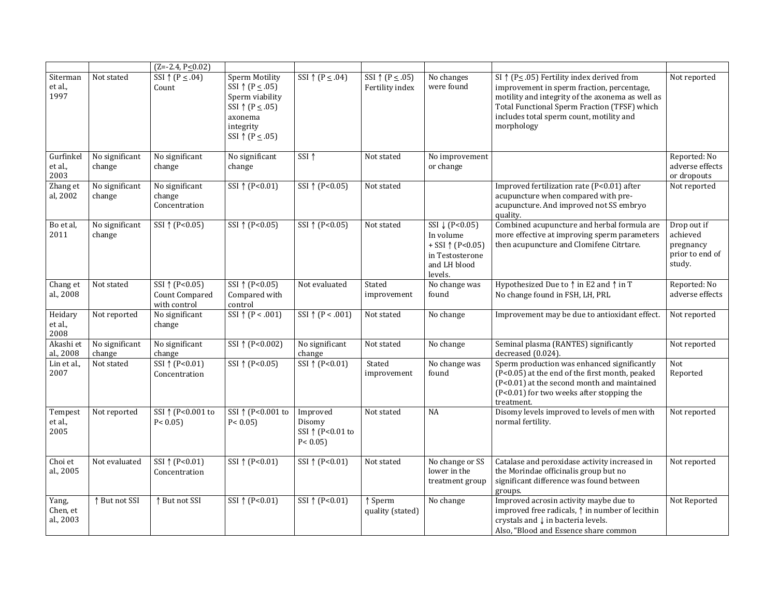|                                |                          | $(Z=-2.4, P\leq0.02)$                                     |                                                                                                                                                              |                                                        |                                                  |                                                                                                               |                                                                                                                                                                                                                                                                       |                                                                   |
|--------------------------------|--------------------------|-----------------------------------------------------------|--------------------------------------------------------------------------------------------------------------------------------------------------------------|--------------------------------------------------------|--------------------------------------------------|---------------------------------------------------------------------------------------------------------------|-----------------------------------------------------------------------------------------------------------------------------------------------------------------------------------------------------------------------------------------------------------------------|-------------------------------------------------------------------|
| Siterman<br>et al.,<br>1997    | Not stated               | SSI $\uparrow$ (P $\leq$ .04)<br>Count                    | Sperm Motility<br>SSI $\uparrow$ (P $\leq$ .05)<br>Sperm viability<br>SSI $\uparrow$ (P $\leq$ .05)<br>axonema<br>integrity<br>SSI $\uparrow$ (P $\leq$ .05) | SSI $\uparrow$ (P $\leq$ .04)                          | SSI $\uparrow$ (P $\leq$ .05)<br>Fertility index | No changes<br>were found                                                                                      | SI $\uparrow$ (P $\leq$ .05) Fertility index derived from<br>improvement in sperm fraction, percentage,<br>motility and integrity of the axonema as well as<br>Total Functional Sperm Fraction (TFSF) which<br>includes total sperm count, motility and<br>morphology | Not reported                                                      |
| Gurfinkel<br>et al.,<br>2003   | No significant<br>change | No significant<br>change                                  | No significant<br>change                                                                                                                                     | SSI 1                                                  | Not stated                                       | No improvement<br>or change                                                                                   |                                                                                                                                                                                                                                                                       | Reported: No<br>adverse effects<br>or dropouts                    |
| Zhang et<br>al, 2002           | No significant<br>change | No significant<br>change<br>Concentration                 | SSI ↑ (P<0.01)                                                                                                                                               | SSI $\uparrow$ (P<0.05)                                | Not stated                                       |                                                                                                               | Improved fertilization rate (P<0.01) after<br>acupuncture when compared with pre-<br>acupuncture. And improved not SS embryo<br>quality.                                                                                                                              | Not reported                                                      |
| Bo et al,<br>2011              | No significant<br>change | SSI $\uparrow$ (P<0.05)                                   | SSI $\uparrow$ (P<0.05)                                                                                                                                      | SSI $\uparrow$ (P<0.05)                                | Not stated                                       | SSI $\sqrt{(P<0.05)}$<br>In volume<br>+ SSI $\uparrow$ (P<0.05)<br>in Testosterone<br>and LH blood<br>levels. | Combined acupuncture and herbal formula are<br>more effective at improving sperm parameters<br>then acupuncture and Clomifene Citrtare.                                                                                                                               | Drop out if<br>achieved<br>pregnancy<br>prior to end of<br>study. |
| Chang et<br>al., 2008          | Not stated               | SSI $\uparrow$ (P<0.05)<br>Count Compared<br>with control | SSI $($ P < 0.05)<br>Compared with<br>control                                                                                                                | Not evaluated                                          | Stated<br>improvement                            | No change was<br>found                                                                                        | Hypothesized Due to ↑ in E2 and ↑ in T<br>No change found in FSH, LH, PRL                                                                                                                                                                                             | Reported: No<br>adverse effects                                   |
| Heidary<br>et al.,<br>2008     | Not reported             | No significant<br>change                                  | SSI $\uparrow$ (P < .001)                                                                                                                                    | SSI $\uparrow$ (P < .001)                              | Not stated                                       | No change                                                                                                     | Improvement may be due to antioxidant effect.                                                                                                                                                                                                                         | Not reported                                                      |
| Akashi et<br>al., 2008         | No significant<br>change | No significant<br>change                                  | SSI $\uparrow$ (P<0.002)                                                                                                                                     | No significant<br>change                               | Not stated                                       | No change                                                                                                     | Seminal plasma (RANTES) significantly<br>decreased (0.024).                                                                                                                                                                                                           | Not reported                                                      |
| Lin et al.,<br>2007            | Not stated               | SSI $\uparrow$ (P<0.01)<br>Concentration                  | SSI $\uparrow$ (P<0.05)                                                                                                                                      | SSI ↑ (P<0.01)                                         | Stated<br>improvement                            | No change was<br>found                                                                                        | Sperm production was enhanced significantly<br>(P<0.05) at the end of the first month, peaked<br>(P<0.01) at the second month and maintained<br>$(P<0.01)$ for two weeks after stopping the<br>treatment.                                                             | Not<br>Reported                                                   |
| Tempest<br>et al.,<br>2005     | Not reported             | SSI 1 (P<0.001 to<br>P < 0.05                             | SSI 1 (P<0.001 to<br>P < 0.05                                                                                                                                | Improved<br>Disomy<br>SSI 1 (P<0.01 to<br>$P < 0.05$ ) | Not stated                                       | NA                                                                                                            | Disomy levels improved to levels of men with<br>normal fertility.                                                                                                                                                                                                     | Not reported                                                      |
| Choi et<br>al., 2005           | Not evaluated            | SSI $\uparrow$ (P<0.01)<br>Concentration                  | SSI $\uparrow$ (P<0.01)                                                                                                                                      | SSI ↑ (P<0.01)                                         | Not stated                                       | No change or SS<br>lower in the<br>treatment group                                                            | Catalase and peroxidase activity increased in<br>the Morindae officinalis group but no<br>significant difference was found between<br>groups.                                                                                                                         | Not reported                                                      |
| Yang,<br>Chen, et<br>al., 2003 | ↑ But not SSI            | ↑ But not SSI                                             | SSI $\uparrow$ (P<0.01)                                                                                                                                      | SSI ↑ (P<0.01)                                         | ↑ Sperm<br>quality (stated)                      | No change                                                                                                     | Improved acrosin activity maybe due to<br>improved free radicals, $\uparrow$ in number of lecithin<br>crystals and ↓ in bacteria levels.<br>Also, "Blood and Essence share common                                                                                     | Not Reported                                                      |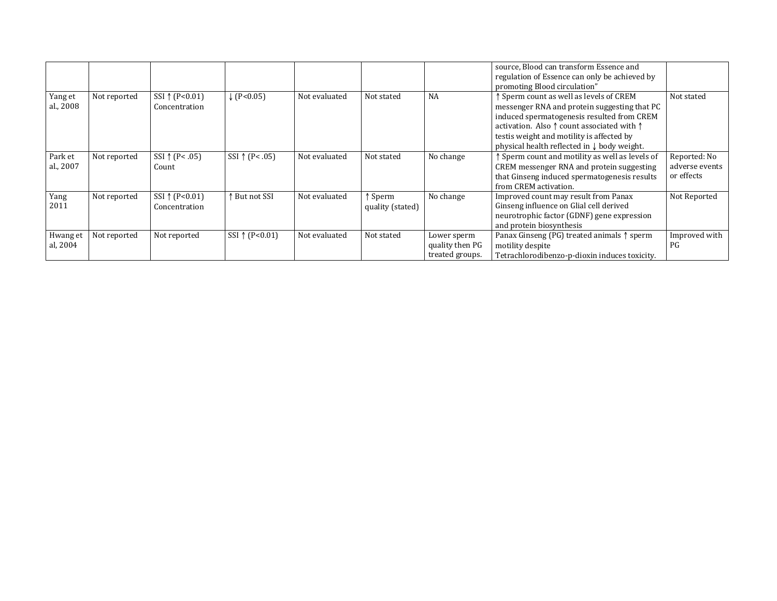|                      |              |                                          |                         |               |                             |                                                   | source, Blood can transform Essence and<br>regulation of Essence can only be achieved by<br>promoting Blood circulation"                                                                                                                                                                          |                                              |
|----------------------|--------------|------------------------------------------|-------------------------|---------------|-----------------------------|---------------------------------------------------|---------------------------------------------------------------------------------------------------------------------------------------------------------------------------------------------------------------------------------------------------------------------------------------------------|----------------------------------------------|
| Yang et<br>al., 2008 | Not reported | SSI $\uparrow$ (P<0.01)<br>Concentration | $[$ (P<0.05)            | Not evaluated | Not stated                  | <b>NA</b>                                         | ↑ Sperm count as well as levels of CREM<br>messenger RNA and protein suggesting that PC<br>induced spermatogenesis resulted from CREM<br>activation. Also $\uparrow$ count associated with $\uparrow$<br>testis weight and motility is affected by<br>physical health reflected in ↓ body weight. | Not stated                                   |
| Park et<br>al., 2007 | Not reported | SSI $\uparrow$ (P< .05)<br>Count         | SSI $\uparrow$ (P< .05) | Not evaluated | Not stated                  | No change                                         | Sperm count and motility as well as levels of<br>CREM messenger RNA and protein suggesting<br>that Ginseng induced spermatogenesis results<br>from CREM activation.                                                                                                                               | Reported: No<br>adverse events<br>or effects |
| Yang<br>2011         | Not reported | SSI $\uparrow$ (P<0.01)<br>Concentration | But not SSI             | Not evaluated | ↑ Sperm<br>quality (stated) | No change                                         | Improved count may result from Panax<br>Ginseng influence on Glial cell derived<br>neurotrophic factor (GDNF) gene expression<br>and protein biosynthesis                                                                                                                                         | Not Reported                                 |
| Hwang et<br>al, 2004 | Not reported | Not reported                             | SSI $\uparrow$ (P<0.01) | Not evaluated | Not stated                  | Lower sperm<br>quality then PG<br>treated groups. | Panax Ginseng (PG) treated animals $\uparrow$ sperm<br>motility despite<br>Tetrachlorodibenzo-p-dioxin induces toxicity.                                                                                                                                                                          | Improved with<br>PG                          |